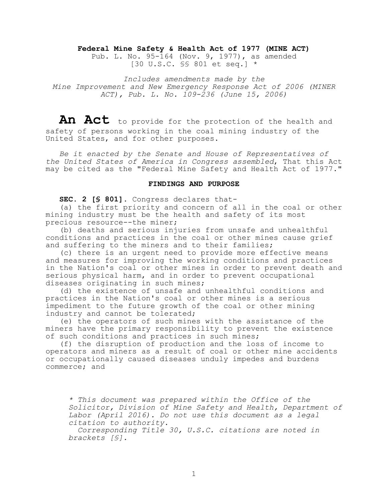## **Federal Mine Safety & Health Act of 1977 (MINE ACT)**

Pub. L. No. 95-164 (Nov. 9, 1977), as amended [30 U.S.C. §§ 801 et seq.] \*

*Includes amendments made by the Mine Improvement and New Emergency Response Act of 2006 (MINER ACT), Pub. L. No. 109-236 (June 15, 2006)*

An Act to provide for the protection of the health and safety of persons working in the coal mining industry of the United States, and for other purposes.

*Be it enacted by the Senate and House of Representatives of the United States of America in Congress assembled*, That this Act may be cited as the "Federal Mine Safety and Health Act of 1977."

# **FINDINGS AND PURPOSE**

**SEC. 2 [§ 801]**. Congress declares that-

(a) the first priority and concern of all in the coal or other mining industry must be the health and safety of its most precious resource--the miner;

(b) deaths and serious injuries from unsafe and unhealthful conditions and practices in the coal or other mines cause grief and suffering to the miners and to their families;

(c) there is an urgent need to provide more effective means and measures for improving the working conditions and practices in the Nation's coal or other mines in order to prevent death and serious physical harm, and in order to prevent occupational diseases originating in such mines;

(d) the existence of unsafe and unhealthful conditions and practices in the Nation's coal or other mines is a serious impediment to the future growth of the coal or other mining industry and cannot be tolerated;

(e) the operators of such mines with the assistance of the miners have the primary responsibility to prevent the existence of such conditions and practices in such mines;

(f) the disruption of production and the loss of income to operators and miners as a result of coal or other mine accidents or occupationally caused diseases unduly impedes and burdens commerce; and

*\* This document was prepared within the Office of the Solicitor, Division of Mine Safety and Health, Department of Labor (April 2016). Do not use this document as a legal citation to authority.*

 *Corresponding Title 30, U.S.C. citations are noted in brackets [§].*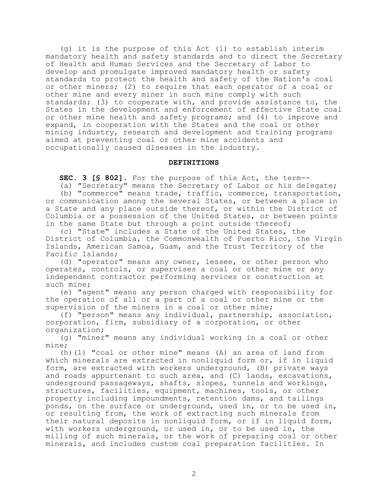(g) it is the purpose of this Act (1) to establish interim mandatory health and safety standards and to direct the Secretary of Health and Human Services and the Secretary of Labor to develop and promulgate improved mandatory health or safety standards to protect the health and safety of the Nation's coal or other miners; (2) to require that each operator of a coal or other mine and every miner in such mine comply with such standards; (3) to cooperate with, and provide assistance to, the States in the development and enforcement of effective State coal or other mine health and safety programs; and (4) to improve and expand, in cooperation with the States and the coal or other mining industry, research and development and training programs aimed at preventing coal or other mine accidents and occupationally caused diseases in the industry.

## **DEFINITIONS**

**SEC. 3 [§ 802]**. For the purpose of this Act, the term--

(a) "Secretary" means the Secretary of Labor or his delegate;

(b) "commerce" means trade, traffic, commerce, transportation, or communication among the several States, or between a place in a State and any place outside thereof, or within the District of Columbia or a possession of the United States, or between points in the same State but through a point outside thereof;

(c) "State" includes a State of the United States, the District of Columbia, the Commonwealth of Puerto Rico, the Virgin Islands, American Samoa, Guam, and the Trust Territory of the Pacific Islands;

(d) "operator" means any owner, lessee, or other person who operates, controls, or supervises a coal or other mine or any independent contractor performing services or construction at such mine;

(e) "agent" means any person charged with responsibility for the operation of all or a part of a coal or other mine or the supervision of the miners in a coal or other mine;

(f) "person" means any individual, partnership, association, corporation, firm, subsidiary of a corporation, or other organization;

(g) "miner" means any individual working in a coal or other mine;

(h)(1) "coal or other mine" means (A) an area of land from which minerals are extracted in nonliquid form or, if in liquid form, are extracted with workers underground, (B) private ways and roads appurtenant to such area, and (C) lands, excavations, underground passageways, shafts, slopes, tunnels and workings, structures, facilities, equipment, machines, tools, or other property including impoundments, retention dams, and tailings ponds, on the surface or underground, used in, or to be used in, or resulting from, the work of extracting such minerals from their natural deposits in nonliquid form, or if in liquid form, with workers underground, or used in, or to be used in, the milling of such minerals, or the work of preparing coal or other minerals, and includes custom coal preparation facilities. In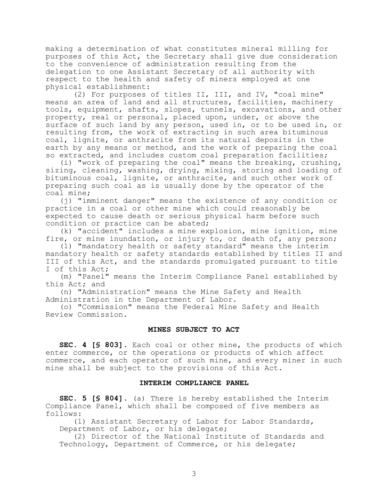making a determination of what constitutes mineral milling for purposes of this Act, the Secretary shall give due consideration to the convenience of administration resulting from the delegation to one Assistant Secretary of all authority with respect to the health and safety of miners employed at one physical establishment:

(2) For purposes of titles II, III, and IV, "coal mine" means an area of land and all structures, facilities, machinery tools, equipment, shafts, slopes, tunnels, excavations, and other property, real or personal, placed upon, under, or above the surface of such land by any person, used in, or to be used in, or resulting from, the work of extracting in such area bituminous coal, lignite, or anthracite from its natural deposits in the earth by any means or method, and the work of preparing the coal so extracted, and includes custom coal preparation facilities;

(i) "work of preparing the coal" means the breaking, crushing, sizing, cleaning, washing, drying, mixing, storing and loading of bituminous coal, lignite, or anthracite, and such other work of preparing such coal as is usually done by the operator of the coal mine;

(j) "imminent danger" means the existence of any condition or practice in a coal or other mine which could reasonably be expected to cause death or serious physical harm before such condition or practice can be abated;

(k) "accident" includes a mine explosion, mine ignition, mine fire, or mine inundation, or injury to, or death of, any person;

(1) "mandatory health or safety standard" means the interim mandatory health or safety standards established by titles II and III of this Act, and the standards promulgated pursuant to title I of this Act;

(m) "Panel" means the Interim Compliance Panel established by this Act; and

(n) "Administration" means the Mine Safety and Health Administration in the Department of Labor.

(o) "Commission" means the Federal Mine Safety and Health Review Commission.

#### **MINES SUBJECT TO ACT**

**SEC. 4 [§ 803]**. Each coal or other mine, the products of which enter commerce, or the operations or products of which affect commerce, and each operator of such mine, and every miner in such mine shall be subject to the provisions of this Act.

#### **INTERIM COMPLIANCE PANEL**

**SEC. 5 [§ 804]**. (a) There is hereby established the Interim Compliance Panel, which shall be composed of five members as follows:

(1) Assistant Secretary of Labor for Labor Standards, Department of Labor, or his delegate;

(2) Director of the National Institute of Standards and Technology, Department of Commerce, or his delegate;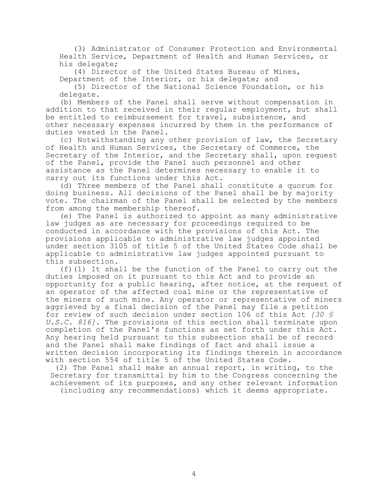(3) Administrator of Consumer Protection and Environmental Health Service, Department of Health and Human Services, or his delegate;

(4) Director of the United States Bureau of Mines, Department of the Interior, or his delegate; and

(5) Director of the National Science Foundation, or his delegate.

(b) Members of the Panel shall serve without compensation in addition to that received in their regular employment, but shall be entitled to reimbursement for travel, subsistence, and other necessary expenses incurred by them in the performance of duties vested in the Panel.

(c) Notwithstanding any other provision of law, the Secretary of Health and Human Services, the Secretary of Commerce, the Secretary of the Interior, and the Secretary shall, upon request of the Panel, provide the Panel such personnel and other assistance as the Panel determines necessary to enable it to carry out its functions under this Act.

(d) Three members of the Panel shall constitute a quorum for doing business. All decisions of the Panel shall be by majority vote. The chairman of the Panel shall be selected by the members from among the membership thereof.

(e) The Panel is authorized to appoint as many administrative law judges as are necessary for proceedings required to be conducted in accordance with the provisions of this Act. The provisions applicable to administrative law judges appointed under section 3105 of title 5 of the United States Code shall be applicable to administrative law judges appointed pursuant to this subsection.

(f)(1) It shall be the function of the Panel to carry out the duties imposed on it pursuant to this Act and to provide an opportunity for a public hearing, after notice, at the request of an operator of the affected coal mine or the representative of the miners of such mine. Any operator or representative of miners aggrieved by a final decision of the Panel may file a petition for review of such decision under section 106 of this Act *[30 § U.S.C. 816]*. The provisions of this section shall terminate upon completion of the Panel's functions as set forth under this Act. Any hearing held pursuant to this subsection shall be of record and the Panel shall make findings of fact and shall issue a written decision incorporating its findings therein in accordance with section 554 of title 5 of the United States Code.

(2) The Panel shall make an annual report, in writing, to the Secretary for transmittal by him to the Congress concerning the achievement of its purposes, and any other relevant information (including any recommendations) which it deems appropriate.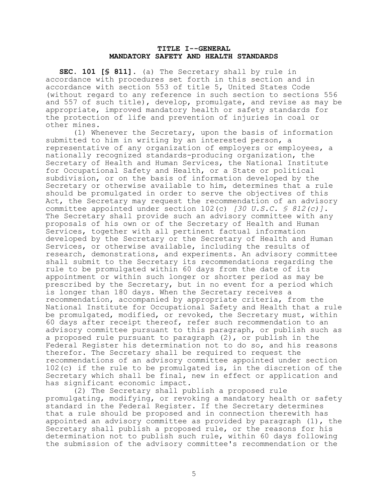## **TITLE I--GENERAL MANDATORY SAFETY AND HEALTH STANDARDS**

**SEC. 101 [§ 811]**. (a) The Secretary shall by rule in accordance with procedures set forth in this section and in accordance with section 553 of title 5, United States Code (without regard to any reference in such section to sections 556 and 557 of such title), develop, promulgate, and revise as may be appropriate, improved mandatory health or safety standards for the protection of life and prevention of injuries in coal or other mines.

(1) Whenever the Secretary, upon the basis of information submitted to him in writing by an interested person, a representative of any organization of employers or employees, a nationally recognized standards-producing organization, the Secretary of Health and Human Services, the National Institute for Occupational Safety and Health, or a State or political subdivision, or on the basis of information developed by the Secretary or otherwise available to him, determines that a rule should be promulgated in order to serve the objectives of this Act, the Secretary may request the recommendation of an advisory committee appointed under section 102(c) *[30 U.S.C. § 812(c)]*. The Secretary shall provide such an advisory committee with any proposals of his own or of the Secretary of Health and Human Services, together with all pertinent factual information developed by the Secretary or the Secretary of Health and Human Services, or otherwise available, including the results of research, demonstrations, and experiments. An advisory committee shall submit to the Secretary its recommendations regarding the rule to be promulgated within 60 days from the date of its appointment or within such longer or shorter period as may be prescribed by the Secretary, but in no event for a period which is longer than 180 days. When the Secretary receives a recommendation, accompanied by appropriate criteria, from the National Institute for Occupational Safety and Health that a rule be promulgated, modified, or revoked, the Secretary must, within 60 days after receipt thereof, refer such recommendation to an advisory committee pursuant to this paragraph, or publish such as a proposed rule pursuant to paragraph (2), or publish in the Federal Register his determination not to do so, and his reasons therefor. The Secretary shall be required to request the recommendations of an advisory committee appointed under section 102(c) if the rule to be promulgated is, in the discretion of the Secretary which shall be final, new in effect or application and has significant economic impact.

(2) The Secretary shall publish a proposed rule promulgating, modifying, or revoking a mandatory health or safety standard in the Federal Register. If the Secretary determines that a rule should be proposed and in connection therewith has appointed an advisory committee as provided by paragraph (1), the Secretary shall publish a proposed rule, or the reasons for his determination not to publish such rule, within 60 days following the submission of the advisory committee's recommendation or the

5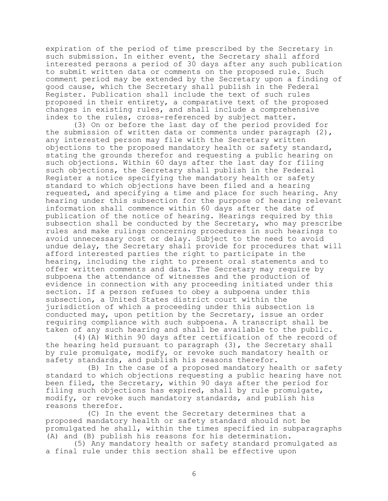expiration of the period of time prescribed by the Secretary in such submission. In either event, the Secretary shall afford interested persons a period of 30 days after any such publication to submit written data or comments on the proposed rule. Such comment period may be extended by the Secretary upon a finding of good cause, which the Secretary shall publish in the Federal Register. Publication shall include the text of such rules proposed in their entirety, a comparative text of the proposed changes in existing rules, and shall include a comprehensive index to the rules, cross-referenced by subject matter.

(3) On or before the last day of the period provided for the submission of written data or comments under paragraph  $(2)$ , any interested person may file with the Secretary written objections to the proposed mandatory health or safety standard, stating the grounds therefor and requesting a public hearing on such objections. Within 60 days after the last day for filing such objections, the Secretary shall publish in the Federal Register a notice specifying the mandatory health or safety standard to which objections have been filed and a hearing requested, and specifying a time and place for such hearing. Any hearing under this subsection for the purpose of hearing relevant information shall commence within 60 days after the date of publication of the notice of hearing. Hearings required by this subsection shall be conducted by the Secretary, who may prescribe rules and make rulings concerning procedures in such hearings to avoid unnecessary cost or delay. Subject to the need to avoid undue delay, the Secretary shall provide for procedures that will afford interested parties the right to participate in the hearing, including the right to present oral statements and to offer written comments and data. The Secretary may require by subpoena the attendance of witnesses and the production of evidence in connection with any proceeding initiated under this section. If a person refuses to obey a subpoena under this subsection, a United States district court within the jurisdiction of which a proceeding under this subsection is conducted may, upon petition by the Secretary, issue an order requiring compliance with such subpoena. A transcript shall be taken of any such hearing and shall be available to the public.

(4)(A) Within 90 days after certification of the record of the hearing held pursuant to paragraph (3), the Secretary shall by rule promulgate, modify, or revoke such mandatory health or safety standards, and publish his reasons therefor.

(B) In the case of a proposed mandatory health or safety standard to which objections requesting a public hearing have not been filed, the Secretary, within 90 days after the period for filing such objections has expired, shall by rule promulgate, modify, or revoke such mandatory standards, and publish his reasons therefor.

(C) In the event the Secretary determines that a proposed mandatory health or safety standard should not be promulgated he shall, within the times specified in subparagraphs (A) and (B) publish his reasons for his determination.

(5) Any mandatory health or safety standard promulgated as a final rule under this section shall be effective upon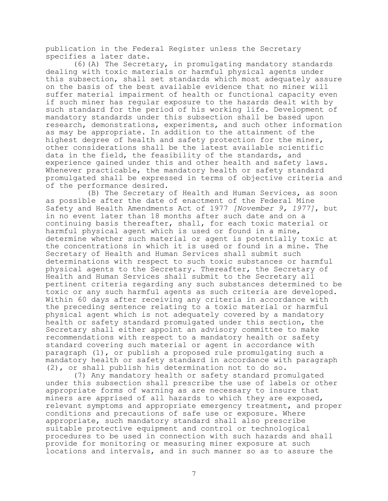publication in the Federal Register unless the Secretary specifies a later date.

(6)(A) The Secretary, in promulgating mandatory standards dealing with toxic materials or harmful physical agents under this subsection, shall set standards which most adequately assure on the basis of the best available evidence that no miner will suffer material impairment of health or functional capacity even if such miner has regular exposure to the hazards dealt with by such standard for the period of his working life. Development of mandatory standards under this subsection shall be based upon research, demonstrations, experiments, and such other information as may be appropriate. In addition to the attainment of the highest degree of health and safety protection for the miner, other considerations shall be the latest available scientific data in the field, the feasibility of the standards, and experience gained under this and other health and safety laws. Whenever practicable, the mandatory health or safety standard promulgated shall be expressed in terms of objective criteria and of the performance desired.

(B) The Secretary of Health and Human Services, as soon as possible after the date of enactment of the Federal Mine Safety and Health Amendments Act of 1977 *[November 9, 1977]*, but in no event later than 18 months after such date and on a continuing basis thereafter, shall, for each toxic material or harmful physical agent which is used or found in a mine, determine whether such material or agent is potentially toxic at the concentrations in which it is used or found in a mine. The Secretary of Health and Human Services shall submit such determinations with respect to such toxic substances or harmful physical agents to the Secretary. Thereafter, the Secretary of Health and Human Services shall submit to the Secretary all pertinent criteria regarding any such substances determined to be toxic or any such harmful agents as such criteria are developed. Within 60 days after receiving any criteria in accordance with the preceding sentence relating to a toxic material or harmful physical agent which is not adequately covered by a mandatory health or safety standard promulgated under this section, the Secretary shall either appoint an advisory committee to make recommendations with respect to a mandatory health or safety standard covering such material or agent in accordance with paragraph (1), or publish a proposed rule promulgating such a mandatory health or safety standard in accordance with paragraph (2), or shall publish his determination not to do so.

(7) Any mandatory health or safety standard promulgated under this subsection shall prescribe the use of labels or other appropriate forms of warning as are necessary to insure that miners are apprised of all hazards to which they are exposed, relevant symptoms and appropriate emergency treatment, and proper conditions and precautions of safe use or exposure. Where appropriate, such mandatory standard shall also prescribe suitable protective equipment and control or technological procedures to be used in connection with such hazards and shall provide for monitoring or measuring miner exposure at such locations and intervals, and in such manner so as to assure the

7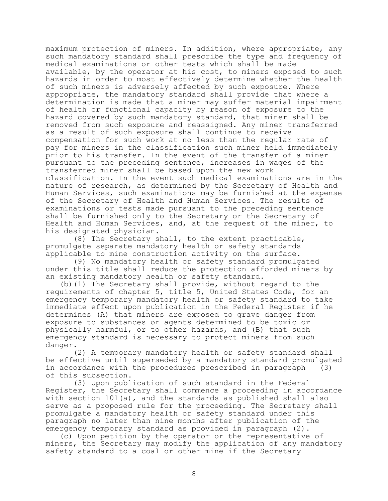maximum protection of miners. In addition, where appropriate, any such mandatory standard shall prescribe the type and frequency of medical examinations or other tests which shall be made available, by the operator at his cost, to miners exposed to such hazards in order to most effectively determine whether the health of such miners is adversely affected by such exposure. Where appropriate, the mandatory standard shall provide that where a determination is made that a miner may suffer material impairment of health or functional capacity by reason of exposure to the hazard covered by such mandatory standard, that miner shall be removed from such exposure and reassigned. Any miner transferred as a result of such exposure shall continue to receive compensation for such work at no less than the regular rate of pay for miners in the classification such miner held immediately prior to his transfer. In the event of the transfer of a miner pursuant to the preceding sentence, increases in wages of the transferred miner shall be based upon the new work classification. In the event such medical examinations are in the nature of research, as determined by the Secretary of Health and Human Services, such examinations may be furnished at the expense of the Secretary of Health and Human Services. The results of examinations or tests made pursuant to the preceding sentence shall be furnished only to the Secretary or the Secretary of Health and Human Services, and, at the request of the miner, to his designated physician.

(8) The Secretary shall, to the extent practicable, promulgate separate mandatory health or safety standards applicable to mine construction activity on the surface.

(9) No mandatory health or safety standard promulgated under this title shall reduce the protection afforded miners by an existing mandatory health or safety standard.

(b)(1) The Secretary shall provide, without regard to the requirements of chapter 5, title 5, United States Code, for an emergency temporary mandatory health or safety standard to take immediate effect upon publication in the Federal Register if he determines (A) that miners are exposed to grave danger from exposure to substances or agents determined to be toxic or physically harmful, or to other hazards, and (B) that such emergency standard is necessary to protect miners from such danger.

(2) A temporary mandatory health or safety standard shall be effective until superseded by a mandatory standard promulgated in accordance with the procedures prescribed in paragraph (3) of this subsection.

(3) Upon publication of such standard in the Federal Register, the Secretary shall commence a proceeding in accordance with section 101(a), and the standards as published shall also serve as a proposed rule for the proceeding. The Secretary shall promulgate a mandatory health or safety standard under this paragraph no later than nine months after publication of the emergency temporary standard as provided in paragraph (2).

(c) Upon petition by the operator or the representative of miners, the Secretary may modify the application of any mandatory safety standard to a coal or other mine if the Secretary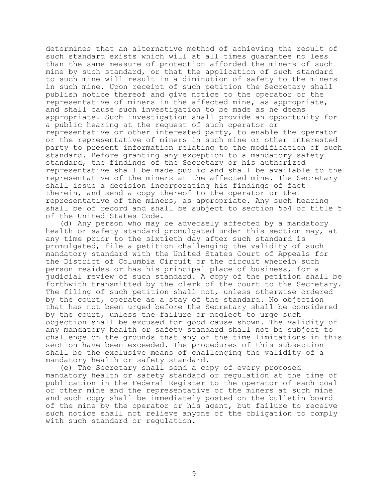determines that an alternative method of achieving the result of such standard exists which will at all times guarantee no less than the same measure of protection afforded the miners of such mine by such standard, or that the application of such standard to such mine will result in a diminution of safety to the miners in such mine. Upon receipt of such petition the Secretary shall publish notice thereof and give notice to the operator or the representative of miners in the affected mine, as appropriate, and shall cause such investigation to be made as he deems appropriate. Such investigation shall provide an opportunity for a public hearing at the request of such operator or representative or other interested party, to enable the operator or the representative of miners in such mine or other interested party to present information relating to the modification of such standard. Before granting any exception to a mandatory safety standard, the findings of the Secretary or his authorized representative shall be made public and shall be available to the representative of the miners at the affected mine. The Secretary shall issue a decision incorporating his findings of fact therein, and send a copy thereof to the operator or the representative of the miners, as appropriate. Any such hearing shall be of record and shall be subject to section 554 of title 5 of the United States Code.

(d) Any person who may be adversely affected by a mandatory health or safety standard promulgated under this section may, at any time prior to the sixtieth day after such standard is promulgated, file a petition challenging the validity of such mandatory standard with the United States Court of Appeals for the District of Columbia Circuit or the circuit wherein such person resides or has his principal place of business, for a judicial review of such standard. A copy of the petition shall be forthwith transmitted by the clerk of the court to the Secretary. The filing of such petition shall not, unless otherwise ordered by the court, operate as a stay of the standard. No objection that has not been urged before the Secretary shall be considered by the court, unless the failure or neglect to urge such objection shall be excused for good cause shown. The validity of any mandatory health or safety standard shall not be subject to challenge on the grounds that any of the time limitations in this section have been exceeded. The procedures of this subsection shall be the exclusive means of challenging the validity of a mandatory health or safety standard.

(e) The Secretary shall send a copy of every proposed mandatory health or safety standard or regulation at the time of publication in the Federal Register to the operator of each coal or other mine and the representative of the miners at such mine and such copy shall be immediately posted on the bulletin board of the mine by the operator or his agent, but failure to receive such notice shall not relieve anyone of the obligation to comply with such standard or regulation.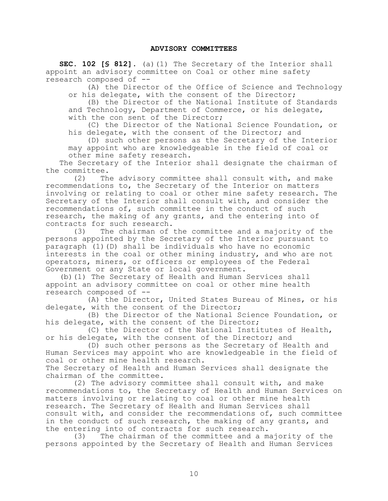# **ADVISORY COMMITTEES**

**SEC. 102 [§ 812]**. (a)(1) The Secretary of the Interior shall appoint an advisory committee on Coal or other mine safety research composed of --

(A) the Director of the Office of Science and Technology or his delegate, with the consent of the Director;

(B) the Director of the National Institute of Standards and Technology, Department of Commerce, or his delegate, with the con sent of the Director;

(C) the Director of the National Science Foundation, or his delegate, with the consent of the Director; and

(D) such other persons as the Secretary of the Interior may appoint who are knowledgeable in the field of coal or other mine safety research.

The Secretary of the Interior shall designate the chairman of the committee.

(2) The advisory committee shall consult with, and make recommendations to, the Secretary of the Interior on matters involving or relating to coal or other mine safety research. The Secretary of the Interior shall consult with, and consider the recommendations of, such committee in the conduct of such research, the making of any grants, and the entering into of contracts for such research.

(3) The chairman of the committee and a majority of the persons appointed by the Secretary of the Interior pursuant to paragraph (1)(D) shall be individuals who have no economic interests in the coal or other mining industry, and who are not operators, miners, or officers or employees of the Federal Government or any State or local government.

(b)(1) The Secretary of Health and Human Services shall appoint an advisory committee on coal or other mine health research composed of --

(A) the Director, United States Bureau of Mines, or his delegate, with the consent of the Director;

(B) the Director of the National Science Foundation, or his delegate, with the consent of the Director;

(C) the Director of the National Institutes of Health, or his delegate, with the consent of the Director; and

(D) such other persons as the Secretary of Health and Human Services may appoint who are knowledgeable in the field of coal or other mine health research.

The Secretary of Health and Human Services shall designate the chairman of the committee.

(2) The advisory committee shall consult with, and make recommendations to, the Secretary of Health and Human Services on matters involving or relating to coal or other mine health research. The Secretary of Health and Human Services shall consult with, and consider the recommendations of, such committee in the conduct of such research, the making of any grants, and the entering into of contracts for such research.

(3) The chairman of the committee and a majority of the persons appointed by the Secretary of Health and Human Services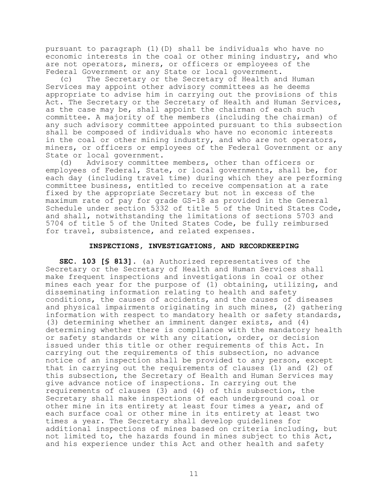pursuant to paragraph (1)(D) shall be individuals who have no economic interests in the coal or other mining industry, and who are not operators, miners, or officers or employees of the Federal Government or any State or local government.

(c) The Secretary or the Secretary of Health and Human Services may appoint other advisory committees as he deems appropriate to advise him in carrying out the provisions of this Act. The Secretary or the Secretary of Health and Human Services, as the case may be, shall appoint the chairman of each such committee. A majority of the members (including the chairman) of any such advisory committee appointed pursuant to this subsection shall be composed of individuals who have no economic interests in the coal or other mining industry, and who are not operators, miners, or officers or employees of the Federal Government or any State or local government.

(d) Advisory committee members, other than officers or employees of Federal, State, or local governments, shall be, for each day (including travel time) during which they are performing committee business, entitled to receive compensation at a rate fixed by the appropriate Secretary but not in excess of the maximum rate of pay for grade GS-18 as provided in the General Schedule under section 5332 of title 5 of the United States Code, and shall, notwithstanding the limitations of sections 5703 and 5704 of title 5 of the United States Code, be fully reimbursed for travel, subsistence, and related expenses.

## **INSPECTIONS, INVESTIGATIONS, AND RECORDKEEPING**

**SEC. 103 [§ 813]**. (a) Authorized representatives of the Secretary or the Secretary of Health and Human Services shall make frequent inspections and investigations in coal or other mines each year for the purpose of (1) obtaining, utilizing, and disseminating information relating to health and safety conditions, the causes of accidents, and the causes of diseases and physical impairments originating in such mines, (2) gathering information with respect to mandatory health or safety standards, (3) determining whether an imminent danger exists, and (4) determining whether there is compliance with the mandatory health or safety standards or with any citation, order, or decision issued under this title or other requirements of this Act. In carrying out the requirements of this subsection, no advance notice of an inspection shall be provided to any person, except that in carrying out the requirements of clauses (1) and (2) of this subsection, the Secretary of Health and Human Services may give advance notice of inspections. In carrying out the requirements of clauses (3) and (4) of this subsection, the Secretary shall make inspections of each underground coal or other mine in its entirety at least four times a year, and of each surface coal or other mine in its entirety at least two times a year. The Secretary shall develop guidelines for additional inspections of mines based on criteria including, but not limited to, the hazards found in mines subject to this Act, and his experience under this Act and other health and safety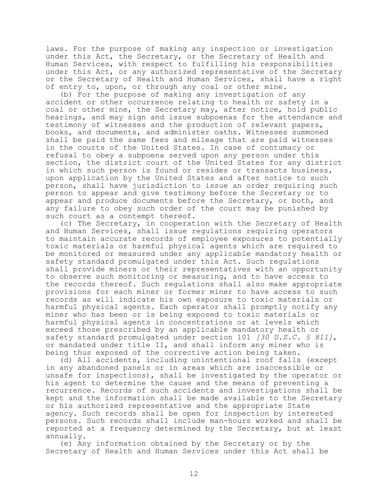laws. For the purpose of making any inspection or investigation under this Act, the Secretary, or the Secretary of Health and Human Services, with respect to fulfilling his responsibilities under this Act, or any authorized representative of the Secretary or the Secretary of Health and Human Services, shall have a right of entry to, upon, or through any coal or other mine.

(b) For the purpose of making any investigation of any accident or other occurrence relating to health or safety in a coal or other mine, the Secretary may, after notice, hold public hearings, and may sign and issue subpoenas for the attendance and testimony of witnesses and the production of relevant papers, books, and documents, and administer oaths. Witnesses summoned shall be paid the same fees and mileage that are paid witnesses in the courts of the United States. In case of contumacy or refusal to obey a subpoena served upon any person under this section, the district court of the United States for any district in which such person is found or resides or transacts business, upon application by the United States and after notice to such person, shall have jurisdiction to issue an order requiring such person to appear and give testimony before the Secretary or to appear and produce documents before the Secretary, or both, and any failure to obey such order of the court may be punished by such court as a contempt thereof.

(c) The Secretary, in cooperation with the Secretary of Health and Human Services, shall issue regulations requiring operators to maintain accurate records of employee exposures to potentially toxic materials or harmful physical agents which are required to be monitored or measured under any applicable mandatory health or safety standard promulgated under this Act. Such regulations shall provide miners or their representatives with an opportunity to observe such monitoring or measuring, and to have access to the records thereof. Such regulations shall also make appropriate provisions for each miner or former miner to have access to such records as will indicate his own exposure to toxic materials or harmful physical agents. Each operator shall promptly notify any miner who has been or is being exposed to toxic materials or harmful physical agents in concentrations or at levels which exceed those prescribed by an applicable mandatory health or safety standard promulgated under section 101 *[30 U.S.C. § 811]*, or mandated under title II, and shall inform any miner who is being thus exposed of the corrective action being taken.

(d) All accidents, including unintentional roof falls (except in any abandoned panels or in areas which are inaccessible or unsafe for inspections), shall be investigated by the operator or his agent to determine the cause and the means of preventing a recurrence. Records of such accidents and investigations shall be kept and the information shall be made available to the Secretary or his authorized representative and the appropriate State agency. Such records shall be open for inspection by interested persons. Such records shall include man-hours worked and shall be reported at a frequency determined by the Secretary, but at least annually.

(e) Any information obtained by the Secretary or by the Secretary of Health and Human Services under this Act shall be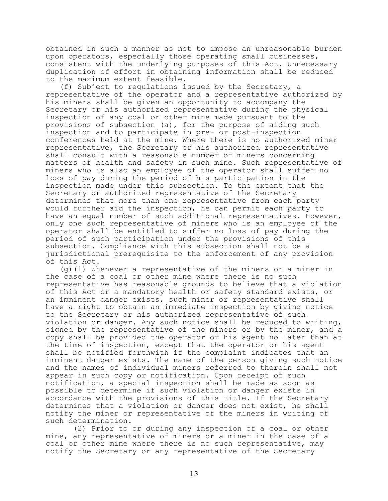obtained in such a manner as not to impose an unreasonable burden upon operators, especially those operating small businesses, consistent with the underlying purposes of this Act. Unnecessary duplication of effort in obtaining information shall be reduced to the maximum extent feasible.

(f) Subject to regulations issued by the Secretary, a representative of the operator and a representative authorized by his miners shall be given an opportunity to accompany the Secretary or his authorized representative during the physical inspection of any coal or other mine made pursuant to the provisions of subsection (a), for the purpose of aiding such inspection and to participate in pre- or post-inspection conferences held at the mine. Where there is no authorized miner representative, the Secretary or his authorized representative shall consult with a reasonable number of miners concerning matters of health and safety in such mine. Such representative of miners who is also an employee of the operator shall suffer no loss of pay during the period of his participation in the inspection made under this subsection. To the extent that the Secretary or authorized representative of the Secretary determines that more than one representative from each party would further aid the inspection, he can permit each party to have an equal number of such additional representatives. However, only one such representative of miners who is an employee of the operator shall be entitled to suffer no loss of pay during the period of such participation under the provisions of this subsection. Compliance with this subsection shall not be a jurisdictional prerequisite to the enforcement of any provision of this Act.

(g)(1) Whenever a representative of the miners or a miner in the case of a coal or other mine where there is no such representative has reasonable grounds to believe that a violation of this Act or a mandatory health or safety standard exists, or an imminent danger exists, such miner or representative shall have a right to obtain an immediate inspection by giving notice to the Secretary or his authorized representative of such violation or danger. Any such notice shall be reduced to writing, signed by the representative of the miners or by the miner, and a copy shall be provided the operator or his agent no later than at the time of inspection, except that the operator or his agent shall be notified forthwith if the complaint indicates that an imminent danger exists. The name of the person giving such notice and the names of individual miners referred to therein shall not appear in such copy or notification. Upon receipt of such notification, a special inspection shall be made as soon as possible to determine if such violation or danger exists in accordance with the provisions of this title. If the Secretary determines that a violation or danger does not exist, he shall notify the miner or representative of the miners in writing of such determination.

(2) Prior to or during any inspection of a coal or other mine, any representative of miners or a miner in the case of a coal or other mine where there is no such representative, may notify the Secretary or any representative of the Secretary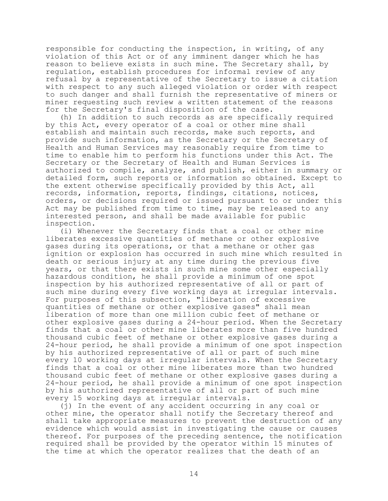responsible for conducting the inspection, in writing, of any violation of this Act or of any imminent danger which he has reason to believe exists in such mine. The Secretary shall, by regulation, establish procedures for informal review of any refusal by a representative of the Secretary to issue a citation with respect to any such alleged violation or order with respect to such danger and shall furnish the representative of miners or miner requesting such review a written statement of the reasons for the Secretary's final disposition of the case.

(h) In addition to such records as are specifically required by this Act, every operator of a coal or other mine shall establish and maintain such records, make such reports, and provide such information, as the Secretary or the Secretary of Health and Human Services may reasonably require from time to time to enable him to perform his functions under this Act. The Secretary or the Secretary of Health and Human Services is authorized to compile, analyze, and publish, either in summary or detailed form, such reports or information so obtained. Except to the extent otherwise specifically provided by this Act, all records, information, reports, findings, citations, notices, orders, or decisions required or issued pursuant to or under this Act may be published from time to time, may be released to any interested person, and shall be made available for public inspection.

(i) Whenever the Secretary finds that a coal or other mine liberates excessive quantities of methane or other explosive gases during its operations, or that a methane or other gas ignition or explosion has occurred in such mine which resulted in death or serious injury at any time during the previous five years, or that there exists in such mine some other especially hazardous condition, he shall provide a minimum of one spot inspection by his authorized representative of all or part of such mine during every five working days at irregular intervals. For purposes of this subsection, "liberation of excessive quantities of methane or other explosive gases" shall mean liberation of more than one million cubic feet of methane or other explosive gases during a 24-hour period. When the Secretary finds that a coal or other mine liberates more than five hundred thousand cubic feet of methane or other explosive gases during a 24-hour period, he shall provide a minimum of one spot inspection by his authorized representative of all or part of such mine every 10 working days at irregular intervals. When the Secretary finds that a coal or other mine liberates more than two hundred thousand cubic feet of methane or other explosive gases during a 24-hour period, he shall provide a minimum of one spot inspection by his authorized representative of all or part of such mine every 15 working days at irregular intervals.

(j) In the event of any accident occurring in any coal or other mine, the operator shall notify the Secretary thereof and shall take appropriate measures to prevent the destruction of any evidence which would assist in investigating the cause or causes thereof. For purposes of the preceding sentence, the notification required shall be provided by the operator within 15 minutes of the time at which the operator realizes that the death of an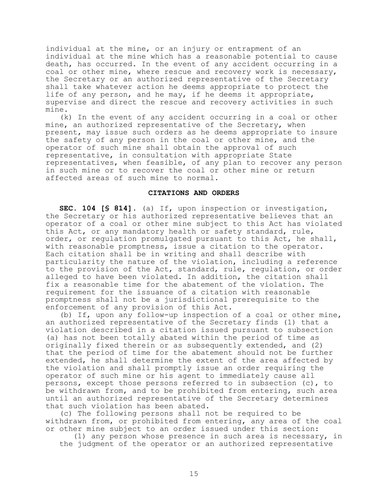individual at the mine, or an injury or entrapment of an individual at the mine which has a reasonable potential to cause death, has occurred. In the event of any accident occurring in a coal or other mine, where rescue and recovery work is necessary, the Secretary or an authorized representative of the Secretary shall take whatever action he deems appropriate to protect the life of any person, and he may, if he deems it appropriate, supervise and direct the rescue and recovery activities in such mine.

(k) In the event of any accident occurring in a coal or other mine, an authorized representative of the Secretary, when present, may issue such orders as he deems appropriate to insure the safety of any person in the coal or other mine, and the operator of such mine shall obtain the approval of such representative, in consultation with appropriate State representatives, when feasible, of any plan to recover any person in such mine or to recover the coal or other mine or return affected areas of such mine to normal.

## **CITATIONS AND ORDERS**

**SEC. 104 [§ 814]**. (a) If, upon inspection or investigation, the Secretary or his authorized representative believes that an operator of a coal or other mine subject to this Act has violated this Act, or any mandatory health or safety standard, rule, order, or regulation promulgated pursuant to this Act, he shall, with reasonable promptness, issue a citation to the operator. Each citation shall be in writing and shall describe with particularity the nature of the violation, including a reference to the provision of the Act, standard, rule, regulation, or order alleged to have been violated. In addition, the citation shall fix a reasonable time for the abatement of the violation. The requirement for the issuance of a citation with reasonable promptness shall not be a jurisdictional prerequisite to the enforcement of any provision of this Act.

(b) If, upon any follow-up inspection of a coal or other mine, an authorized representative of the Secretary finds (1) that a violation described in a citation issued pursuant to subsection (a) has not been totally abated within the period of time as originally fixed therein or as subsequently extended, and (2) that the period of time for the abatement should not be further extended, he shall determine the extent of the area affected by the violation and shall promptly issue an order requiring the operator of such mine or his agent to immediately cause all persons, except those persons referred to in subsection (c), to be withdrawn from, and to be prohibited from entering, such area until an authorized representative of the Secretary determines that such violation has been abated.

(c) The following persons shall not be required to be withdrawn from, or prohibited from entering, any area of the coal or other mine subject to an order issued under this section:

(1) any person whose presence in such area is necessary, in the judgment of the operator or an authorized representative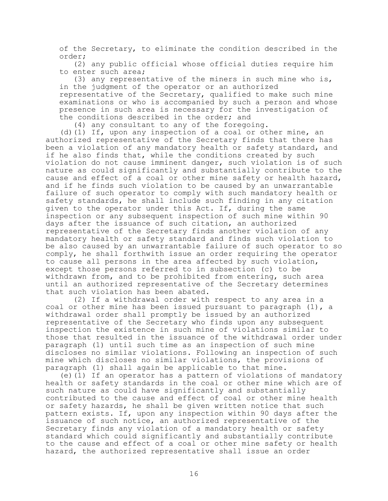of the Secretary, to eliminate the condition described in the order;

(2) any public official whose official duties require him to enter such area;

(3) any representative of the miners in such mine who is, in the judgment of the operator or an authorized representative of the Secretary, qualified to make such mine examinations or who is accompanied by such a person and whose presence in such area is necessary for the investigation of the conditions described in the order; and

(4) any consultant to any of the foregoing.

(d)(1) If, upon any inspection of a coal or other mine, an authorized representative of the Secretary finds that there has been a violation of any mandatory health or safety standard, and if he also finds that, while the conditions created by such violation do not cause imminent danger, such violation is of such nature as could significantly and substantially contribute to the cause and effect of a coal or other mine safety or health hazard, and if he finds such violation to be caused by an unwarrantable failure of such operator to comply with such mandatory health or safety standards, he shall include such finding in any citation given to the operator under this Act. If, during the same inspection or any subsequent inspection of such mine within 90 days after the issuance of such citation, an authorized representative of the Secretary finds another violation of any mandatory health or safety standard and finds such violation to be also caused by an unwarrantable failure of such operator to so comply, he shall forthwith issue an order requiring the operator to cause all persons in the area affected by such violation, except those persons referred to in subsection (c) to be withdrawn from, and to be prohibited from entering, such area until an authorized representative of the Secretary determines that such violation has been abated.

(2) If a withdrawal order with respect to any area in a coal or other mine has been issued pursuant to paragraph (1), a withdrawal order shall promptly be issued by an authorized representative of the Secretary who finds upon any subsequent inspection the existence in such mine of violations similar to those that resulted in the issuance of the withdrawal order under paragraph (1) until such time as an inspection of such mine discloses no similar violations. Following an inspection of such mine which discloses no similar violations, the provisions of paragraph (1) shall again be applicable to that mine.

(e)(1) If an operator has a pattern of violations of mandatory health or safety standards in the coal or other mine which are of such nature as could have significantly and substantially contributed to the cause and effect of coal or other mine health or safety hazards, he shall be given written notice that such pattern exists. If, upon any inspection within 90 days after the issuance of such notice, an authorized representative of the Secretary finds any violation of a mandatory health or safety standard which could significantly and substantially contribute to the cause and effect of a coal or other mine safety or health hazard, the authorized representative shall issue an order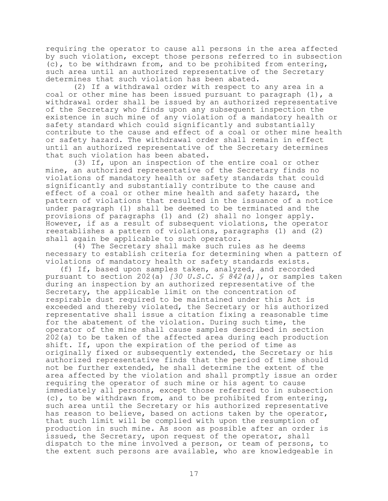requiring the operator to cause all persons in the area affected by such violation, except those persons referred to in subsection (c), to be withdrawn from, and to be prohibited from entering, such area until an authorized representative of the Secretary determines that such violation has been abated.

(2) If a withdrawal order with respect to any area in a coal or other mine has been issued pursuant to paragraph (1), a withdrawal order shall be issued by an authorized representative of the Secretary who finds upon any subsequent inspection the existence in such mine of any violation of a mandatory health or safety standard which could significantly and substantially contribute to the cause and effect of a coal or other mine health or safety hazard. The withdrawal order shall remain in effect until an authorized representative of the Secretary determines that such violation has been abated.

(3) If, upon an inspection of the entire coal or other mine, an authorized representative of the Secretary finds no violations of mandatory health or safety standards that could significantly and substantially contribute to the cause and effect of a coal or other mine health and safety hazard, the pattern of violations that resulted in the issuance of a notice under paragraph (1) shall be deemed to be terminated and the provisions of paragraphs (1) and (2) shall no longer apply. However, if as a result of subsequent violations, the operator reestablishes a pattern of violations, paragraphs (1) and (2) shall again be applicable to such operator.

(4) The Secretary shall make such rules as he deems necessary to establish criteria for determining when a pattern of violations of mandatory health or safety standards exists.

(f) If, based upon samples taken, analyzed, and recorded pursuant to section 202(a) *[30 U.S.C. § 842(a)]*, or samples taken during an inspection by an authorized representative of the Secretary, the applicable limit on the concentration of respirable dust required to be maintained under this Act is exceeded and thereby violated, the Secretary or his authorized representative shall issue a citation fixing a reasonable time for the abatement of the violation. During such time, the operator of the mine shall cause samples described in section 202(a) to be taken of the affected area during each production shift. If, upon the expiration of the period of time as originally fixed or subsequently extended, the Secretary or his authorized representative finds that the period of time should not be further extended, he shall determine the extent of the area affected by the violation and shall promptly issue an order requiring the operator of such mine or his agent to cause immediately all persons, except those referred to in subsection (c), to be withdrawn from, and to be prohibited from entering, such area until the Secretary or his authorized representative has reason to believe, based on actions taken by the operator, that such limit will be complied with upon the resumption of production in such mine. As soon as possible after an order is issued, the Secretary, upon request of the operator, shall dispatch to the mine involved a person, or team of persons, to the extent such persons are available, who are knowledgeable in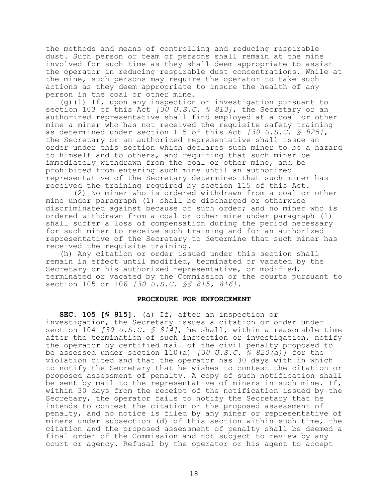the methods and means of controlling and reducing respirable dust. Such person or team of persons shall remain at the mine involved for such time as they shall deem appropriate to assist the operator in reducing respirable dust concentrations. While at the mine, such persons may require the operator to take such actions as they deem appropriate to insure the health of any person in the coal or other mine.

(g)(1) If, upon any inspection or investigation pursuant to section 103 of this Act *[30 U.S.C. § 813]*, the Secretary or an authorized representative shall find employed at a coal or other mine a miner who has not received the requisite safety training as determined under section 115 of this Act *[30 U.S.C. § 825]*, the Secretary or an authorized representative shall issue an order under this section which declares such miner to be a hazard to himself and to others, and requiring that such miner be immediately withdrawn from the coal or other mine, and be prohibited from entering such mine until an authorized representative of the Secretary determines that such miner has received the training required by section 115 of this Act.

(2) No miner who is ordered withdrawn from a coal or other mine under paragraph (1) shall be discharged or otherwise discriminated against because of such order; and no miner who is ordered withdrawn from a coal or other mine under paragraph (1) shall suffer a loss of compensation during the period necessary for such miner to receive such training and for an authorized representative of the Secretary to determine that such miner has received the requisite training.

(h) Any citation or order issued under this section shall remain in effect until modified, terminated or vacated by the Secretary or his authorized representative, or modified, terminated or vacated by the Commission or the courts pursuant to section 105 or 106 *[30 U.S.C. §§ 815, 816]*.

## **PROCEDURE FOR ENFORCEMENT**

**SEC. 105 [§ 815]**. (a) If, after an inspection or investigation, the Secretary issues a citation or order under section 104 *[30 U.S.C. § 814]*, he shall, within a reasonable time after the termination of such inspection or investigation, notify the operator by certified mail of the civil penalty proposed to be assessed under section 110(a) *[30 U.S.C. § 820(a)]* for the violation cited and that the operator has 30 days with in which to notify the Secretary that he wishes to contest the citation or proposed assessment of penalty. A copy of such notification shall be sent by mail to the representative of miners in such mine. If, within 30 days from the receipt of the notification issued by the Secretary, the operator fails to notify the Secretary that he intends to contest the citation or the proposed assessment of penalty, and no notice is filed by any miner or representative of miners under subsection (d) of this section within such time, the citation and the proposed assessment of penalty shall be deemed a final order of the Commission and not subject to review by any court or agency. Refusal by the operator or his agent to accept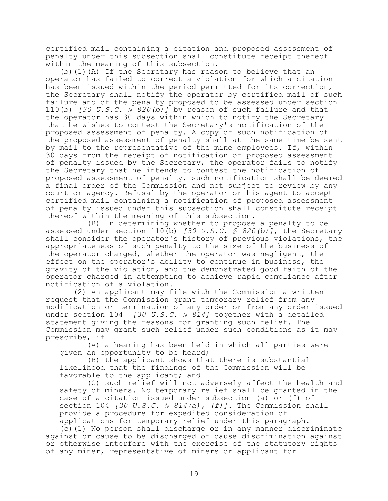certified mail containing a citation and proposed assessment of penalty under this subsection shall constitute receipt thereof within the meaning of this subsection.

(b)(1)(A) If the Secretary has reason to believe that an operator has failed to correct a violation for which a citation has been issued within the period permitted for its correction, the Secretary shall notify the operator by certified mail of such failure and of the penalty proposed to be assessed under section 110(b) *[30 U.S.C. § 820(b)]* by reason of such failure and that the operator has 30 days within which to notify the Secretary that he wishes to contest the Secretary's notification of the proposed assessment of penalty. A copy of such notification of the proposed assessment of penalty shall at the same time be sent by mail to the representative of the mine employees. If, within 30 days from the receipt of notification of proposed assessment of penalty issued by the Secretary, the operator fails to notify the Secretary that he intends to contest the notification of proposed assessment of penalty, such notification shall be deemed a final order of the Commission and not subject to review by any court or agency. Refusal by the operator or his agent to accept certified mail containing a notification of proposed assessment of penalty issued under this subsection shall constitute receipt thereof within the meaning of this subsection.

(B) In determining whether to propose a penalty to be assessed under section 110(b) *[30 U.S.C. § 820(b)]*, the Secretary shall consider the operator's history of previous violations, the appropriateness of such penalty to the size of the business of the operator charged, whether the operator was negligent, the effect on the operator's ability to continue in business, the gravity of the violation, and the demonstrated good faith of the operator charged in attempting to achieve rapid compliance after notification of a violation.

(2) An applicant may file with the Commission a written request that the Commission grant temporary relief from any modification or termination of any order or from any order issued under section 104 *[30 U.S.C. § 814]* together with a detailed statement giving the reasons for granting such relief. The Commission may grant such relief under such conditions as it may prescribe, if –

(A) a hearing has been held in which all parties were given an opportunity to be heard;

(B) the applicant shows that there is substantial likelihood that the findings of the Commission will be favorable to the applicant; and

(C) such relief will not adversely affect the health and safety of miners. No temporary relief shall be granted in the case of a citation issued under subsection (a) or (f) of section 104 *[30 U.S.C. § 814(a), (f)]*. The Commission shall provide a procedure for expedited consideration of applications for temporary relief under this paragraph.

(c)(1) No person shall discharge or in any manner discriminate against or cause to be discharged or cause discrimination against or otherwise interfere with the exercise of the statutory rights of any miner, representative of miners or applicant for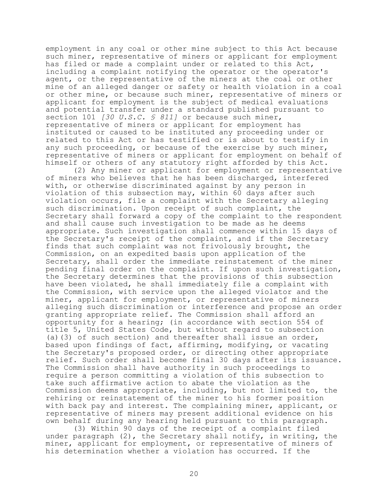employment in any coal or other mine subject to this Act because such miner, representative of miners or applicant for employment has filed or made a complaint under or related to this Act, including a complaint notifying the operator or the operator's agent, or the representative of the miners at the coal or other mine of an alleged danger or safety or health violation in a coal or other mine, or because such miner, representative of miners or applicant for employment is the subject of medical evaluations and potential transfer under a standard published pursuant to section 101 *[30 U.S.C. § 811]* or because such miner, representative of miners or applicant for employment has instituted or caused to be instituted any proceeding under or related to this Act or has testified or is about to testify in any such proceeding, or because of the exercise by such miner, representative of miners or applicant for employment on behalf of himself or others of any statutory right afforded by this Act.

(2) Any miner or applicant for employment or representative of miners who believes that he has been discharged, interfered with, or otherwise discriminated against by any person in violation of this subsection may, within 60 days after such violation occurs, file a complaint with the Secretary alleging such discrimination. Upon receipt of such complaint, the Secretary shall forward a copy of the complaint to the respondent and shall cause such investigation to be made as he deems appropriate. Such investigation shall commence within 15 days of the Secretary's receipt of the complaint, and if the Secretary finds that such complaint was not frivolously brought, the Commission, on an expedited basis upon application of the Secretary, shall order the immediate reinstatement of the miner pending final order on the complaint. If upon such investigation, the Secretary determines that the provisions of this subsection have been violated, he shall immediately file a complaint with the Commission, with service upon the alleged violator and the miner, applicant for employment, or representative of miners alleging such discrimination or interference and propose an order granting appropriate relief. The Commission shall afford an opportunity for a hearing; (in accordance with section 554 of title 5, United States Code, but without regard to subsection (a)(3) of such section) and thereafter shall issue an order, based upon findings of fact, affirming, modifying, or vacating the Secretary's proposed order, or directing other appropriate relief. Such order shall become final 30 days after its issuance. The Commission shall have authority in such proceedings to require a person committing a violation of this subsection to take such affirmative action to abate the violation as the Commission deems appropriate, including, but not limited to, the rehiring or reinstatement of the miner to his former position with back pay and interest. The complaining miner, applicant, or representative of miners may present additional evidence on his own behalf during any hearing held pursuant to this paragraph.

(3) Within 90 days of the receipt of a complaint filed under paragraph (2), the Secretary shall notify, in writing, the miner, applicant for employment, or representative of miners of his determination whether a violation has occurred. If the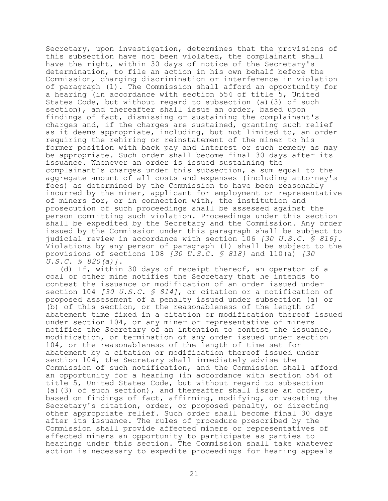Secretary, upon investigation, determines that the provisions of this subsection have not been violated, the complainant shall have the right, within 30 days of notice of the Secretary's determination, to file an action in his own behalf before the Commission, charging discrimination or interference in violation of paragraph (1). The Commission shall afford an opportunity for a hearing (in accordance with section 554 of title 5, United States Code, but without regard to subsection (a)(3) of such section), and thereafter shall issue an order, based upon findings of fact, dismissing or sustaining the complainant's charges and, if the charges are sustained, granting such relief as it deems appropriate, including, but not limited to, an order requiring the rehiring or reinstatement of the miner to his former position with back pay and interest or such remedy as may be appropriate. Such order shall become final 30 days after its issuance. Whenever an order is issued sustaining the complainant's charges under this subsection, a sum equal to the aggregate amount of all costs and expenses (including attorney's fees) as determined by the Commission to have been reasonably incurred by the miner, applicant for employment or representative of miners for, or in connection with, the institution and prosecution of such proceedings shall be assessed against the person committing such violation. Proceedings under this section shall be expedited by the Secretary and the Commission. Any order issued by the Commission under this paragraph shall be subject to judicial review in accordance with section 106 *[30 U.S.C. § 816]*. Violations by any person of paragraph (1) shall be subject to the provisions of sections 108 *[30 U.S.C. § 818]* and 110(a) *[30 U.S.C. § 820(a)]*.

(d) If, within 30 days of receipt thereof, an operator of a coal or other mine notifies the Secretary that he intends to contest the issuance or modification of an order issued under section 104 *[30 U.S.C. § 814]*, or citation or a notification of proposed assessment of a penalty issued under subsection (a) or (b) of this section, or the reasonableness of the length of abatement time fixed in a citation or modification thereof issued under section 104, or any miner or representative of miners notifies the Secretary of an intention to contest the issuance, modification, or termination of any order issued under section 104, or the reasonableness of the length of time set for abatement by a citation or modification thereof issued under section 104, the Secretary shall immediately advise the Commission of such notification, and the Commission shall afford an opportunity for a hearing (in accordance with section 554 of title 5, United States Code, but without regard to subsection (a)(3) of such section), and thereafter shall issue an order, based on findings of fact, affirming, modifying, or vacating the Secretary's citation, order, or proposed penalty, or directing other appropriate relief. Such order shall become final 30 days after its issuance. The rules of procedure prescribed by the Commission shall provide affected miners or representatives of affected miners an opportunity to participate as parties to hearings under this section. The Commission shall take whatever action is necessary to expedite proceedings for hearing appeals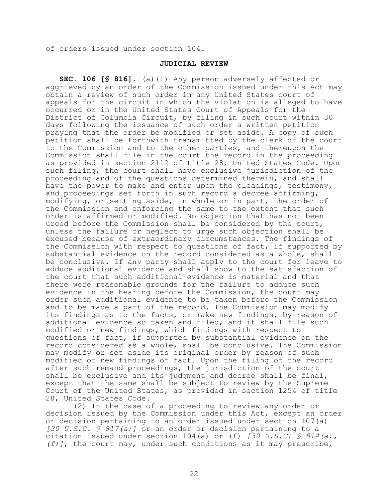of orders issued under section 104.

### **JUDICIAL REVIEW**

**SEC. 106 [§ 816]**. (a)(1) Any person adversely affected or aggrieved by an order of the Commission issued under this Act may obtain a review of such order in any United States court of appeals for the circuit in which the violation is alleged to have occurred or in the United States Court of Appeals for the District of Columbia Circuit, by filing in such court within 30 days following the issuance of such order a written petition praying that the order be modified or set aside. A copy of such petition shall be forthwith transmitted by the clerk of the court to the Commission and to the other parties, and thereupon the Commission shall file in the court the record in the proceeding as provided in section 2112 of title 28, United States Code. Upon such filing, the court shall have exclusive jurisdiction of the proceeding and of the questions determined therein, and shall have the power to make and enter upon the pleadings, testimony, and proceedings set forth in such record a decree affirming, modifying, or setting aside, in whole or in part, the order of the Commission and enforcing the same to the extent that such order is affirmed or modified. No objection that has not been urged before the Commission shall be considered by the court, unless the failure or neglect to urge such objection shall be excused because of extraordinary circumstances. The findings of the Commission with respect to questions of fact, if supported by substantial evidence on the record considered as a whole, shall be conclusive. If any party shall apply to the court for leave to adduce additional evidence and shall show to the satisfaction of the court that such additional evidence is material and that there were reasonable grounds for the failure to adduce such evidence in the hearing before the Commission, the court may order such additional evidence to be taken before the Commission and to be made a part of the record. The Commission may modify its findings as to the facts, or make new findings, by reason of additional evidence so taken and filed, and it shall file such modified or new findings, which findings with respect to questions of fact, if supported by substantial evidence on the record considered as a whole, shall be conclusive. The Commission may modify or set aside its original order by reason of such modified or new findings of fact. Upon the filing of the record after such remand proceedings, the jurisdiction of the court shall be exclusive and its judgment and decree shall be final, except that the same shall be subject to review by the Supreme Court of the United States, as provided in section 1254 of title 28, United States Code.

(2) In the case of a proceeding to review any order or decision issued by the Commission under this Act, except an order or decision pertaining to an order issued under section 107(a) *[30 U.S.C. § 817(a)]* or an order or decision pertaining to a citation issued under section 104(a) or (f) *[30 U.S.C. § 814(a), (f)]*, the court may, under such conditions as it may prescribe,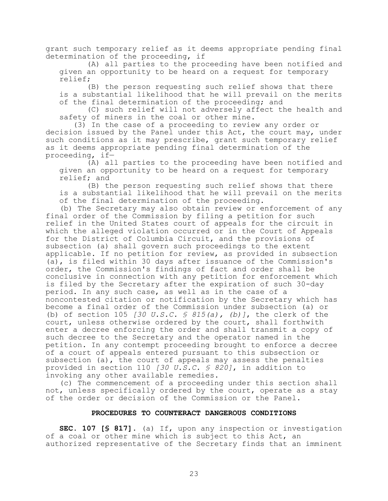grant such temporary relief as it deems appropriate pending final determination of the proceeding, if

(A) all parties to the proceeding have been notified and given an opportunity to be heard on a request for temporary relief;

(B) the person requesting such relief shows that there is a substantial likelihood that he will prevail on the merits of the final determination of the proceeding; and

(C) such relief will not adversely affect the health and safety of miners in the coal or other mine.

(3) In the case of a proceeding to review any order or decision issued by the Panel under this Act, the court may, under such conditions as it may prescribe, grant such temporary relief as it deems appropriate pending final determination of the proceeding, if—

(A) all parties to the proceeding have been notified and given an opportunity to be heard on a request for temporary relief; and

(B) the person requesting such relief shows that there is a substantial likelihood that he will prevail on the merits of the final determination of the proceeding.

(b) The Secretary may also obtain review or enforcement of any final order of the Commission by filing a petition for such relief in the United States court of appeals for the circuit in which the alleged violation occurred or in the Court of Appeals for the District of Columbia Circuit, and the provisions of subsection (a) shall govern such proceedings to the extent applicable. If no petition for review, as provided in subsection (a), is filed within 30 days after issuance of the Commission's order, the Commission's findings of fact and order shall be conclusive in connection with any petition for enforcement which is filed by the Secretary after the expiration of such 30-day period. In any such case, as well as in the case of a noncontested citation or notification by the Secretary which has become a final order of the Commission under subsection (a) or (b) of section 105 *[30 U.S.C. § 815(a), (b)]*, the clerk of the court, unless otherwise ordered by the court, shall forthwith enter a decree enforcing the order and shall transmit a copy of such decree to the Secretary and the operator named in the petition. In any contempt proceeding brought to enforce a decree of a court of appeals entered pursuant to this subsection or subsection (a), the court of appeals may assess the penalties provided in section 110 *[30 U.S.C. § 820]*, in addition to invoking any other available remedies.

(c) The commencement of a proceeding under this section shall not, unless specifically ordered by the court, operate as a stay of the order or decision of the Commission or the Panel.

## **PROCEDURES TO COUNTERACT DANGEROUS CONDITIONS**

**SEC. 107 [§ 817]**. (a) If, upon any inspection or investigation of a coal or other mine which is subject to this Act, an authorized representative of the Secretary finds that an imminent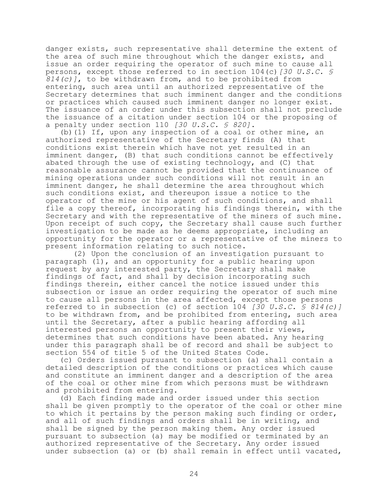danger exists, such representative shall determine the extent of the area of such mine throughout which the danger exists, and issue an order requiring the operator of such mine to cause all persons, except those referred to in section 104(c)*[30 U.S.C. § 814(c)]*, to be withdrawn from, and to be prohibited from entering, such area until an authorized representative of the Secretary determines that such imminent danger and the conditions or practices which caused such imminent danger no longer exist. The issuance of an order under this subsection shall not preclude the issuance of a citation under section 104 or the proposing of a penalty under section 110 *[30 U.S.C. § 820]*.

(b)(1) If, upon any inspection of a coal or other mine, an authorized representative of the Secretary finds (A) that conditions exist therein which have not yet resulted in an imminent danger, (B) that such conditions cannot be effectively abated through the use of existing technology, and (C) that reasonable assurance cannot be provided that the continuance of mining operations under such conditions will not result in an imminent danger, he shall determine the area throughout which such conditions exist, and thereupon issue a notice to the operator of the mine or his agent of such conditions, and shall file a copy thereof, incorporating his findings therein, with the Secretary and with the representative of the miners of such mine. Upon receipt of such copy, the Secretary shall cause such further investigation to be made as he deems appropriate, including an opportunity for the operator or a representative of the miners to present information relating to such notice.

(2) Upon the conclusion of an investigation pursuant to paragraph (1), and an opportunity for a public hearing upon request by any interested party, the Secretary shall make findings of fact, and shall by decision incorporating such findings therein, either cancel the notice issued under this subsection or issue an order requiring the operator of such mine to cause all persons in the area affected, except those persons referred to in subsection (c) of section 104 *[30 U.S.C. § 814(c)]* to be withdrawn from, and be prohibited from entering, such area until the Secretary, after a public hearing affording all interested persons an opportunity to present their views, determines that such conditions have been abated. Any hearing under this paragraph shall be of record and shall be subject to section 554 of title 5 of the United States Code.

(c) Orders issued pursuant to subsection (a) shall contain a detailed description of the conditions or practices which cause and constitute an imminent danger and a description of the area of the coal or other mine from which persons must be withdrawn and prohibited from entering.

(d) Each finding made and order issued under this section shall be given promptly to the operator of the coal or other mine to which it pertains by the person making such finding or order, and all of such findings and orders shall be in writing, and shall be signed by the person making them. Any order issued pursuant to subsection (a) may be modified or terminated by an authorized representative of the Secretary. Any order issued under subsection (a) or (b) shall remain in effect until vacated,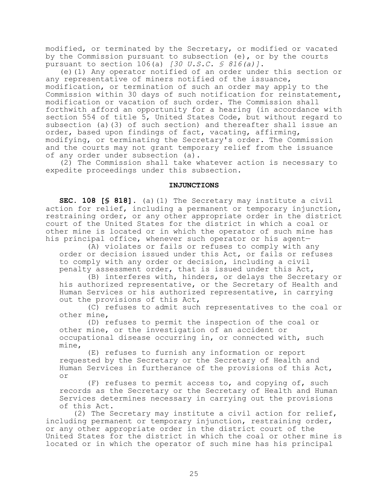modified, or terminated by the Secretary, or modified or vacated by the Commission pursuant to subsection (e), or by the courts pursuant to section 106(a) *[30 U.S.C. § 816(a)]*.

(e)(1) Any operator notified of an order under this section or any representative of miners notified of the issuance, modification, or termination of such an order may apply to the Commission within 30 days of such notification for reinstatement, modification or vacation of such order. The Commission shall forthwith afford an opportunity for a hearing (in accordance with section 554 of title 5, United States Code, but without regard to subsection (a)(3) of such section) and thereafter shall issue an order, based upon findings of fact, vacating, affirming, modifying, or terminating the Secretary's order. The Commission and the courts may not grant temporary relief from the issuance of any order under subsection (a).

(2) The Commission shall take whatever action is necessary to expedite proceedings under this subsection.

### **INJUNCTIONS**

**SEC. 108 [§ 818]**. (a)(1) The Secretary may institute a civil action for relief, including a permanent or temporary injunction, restraining order, or any other appropriate order in the district court of the United States for the district in which a coal or other mine is located or in which the operator of such mine has his principal office, whenever such operator or his agent—

(A) violates or fails or refuses to comply with any order or decision issued under this Act, or fails or refuses to comply with any order or decision, including a civil penalty assessment order, that is issued under this Act,

(B) interferes with, hinders, or delays the Secretary or his authorized representative, or the Secretary of Health and Human Services or his authorized representative, in carrying out the provisions of this Act,

(C) refuses to admit such representatives to the coal or other mine,

(D) refuses to permit the inspection of the coal or other mine, or the investigation of an accident or occupational disease occurring in, or connected with, such mine,

(E) refuses to furnish any information or report requested by the Secretary or the Secretary of Health and Human Services in furtherance of the provisions of this Act, or

(F) refuses to permit access to, and copying of, such records as the Secretary or the Secretary of Health and Human Services determines necessary in carrying out the provisions of this Act.

(2) The Secretary may institute a civil action for relief, including permanent or temporary injunction, restraining order, or any other appropriate order in the district court of the United States for the district in which the coal or other mine is located or in which the operator of such mine has his principal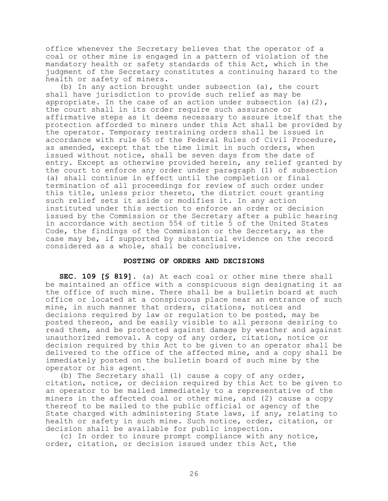office whenever the Secretary believes that the operator of a coal or other mine is engaged in a pattern of violation of the mandatory health or safety standards of this Act, which in the judgment of the Secretary constitutes a continuing hazard to the health or safety of miners.

(b) In any action brought under subsection (a), the court shall have jurisdiction to provide such relief as may be appropriate. In the case of an action under subsection (a)(2), the court shall in its order require such assurance or affirmative steps as it deems necessary to assure itself that the protection afforded to miners under this Act shall be provided by the operator. Temporary restraining orders shall be issued in accordance with rule 65 of the Federal Rules of Civil Procedure, as amended, except that the time limit in such orders, when issued without notice, shall be seven days from the date of entry. Except as otherwise provided herein, any relief granted by the court to enforce any order under paragraph (1) of subsection (a) shall continue in effect until the completion or final termination of all proceedings for review of such order under this title, unless prior thereto, the district court granting such relief sets it aside or modifies it. In any action instituted under this section to enforce an order or decision issued by the Commission or the Secretary after a public hearing in accordance with section 554 of title 5 of the United States Code, the findings of the Commission or the Secretary, as the case may be, if supported by substantial evidence on the record considered as a whole, shall be conclusive.

## **POSTING OF ORDERS AND DECISIONS**

**SEC. 109 [§ 819]**. (a) At each coal or other mine there shall be maintained an office with a conspicuous sign designating it as the office of such mine. There shall be a bulletin board at such office or located at a conspicuous place near an entrance of such mine, in such manner that orders, citations, notices and decisions required by law or regulation to be posted, may be posted thereon, and be easily visible to all persons desiring to read them, and be protected against damage by weather and against unauthorized removal. A copy of any order, citation, notice or decision required by this Act to be given to an operator shall be delivered to the office of the affected mine, and a copy shall be immediately posted on the bulletin board of such mine by the operator or his agent.

(b) The Secretary shall (1) cause a copy of any order, citation, notice, or decision required by this Act to be given to an operator to be mailed immediately to a representative of the miners in the affected coal or other mine, and (2) cause a copy thereof to be mailed to the public official or agency of the State charged with administering State laws, if any, relating to health or safety in such mine. Such notice, order, citation, or decision shall be available for public inspection.

(c) In order to insure prompt compliance with any notice, order, citation, or decision issued under this Act, the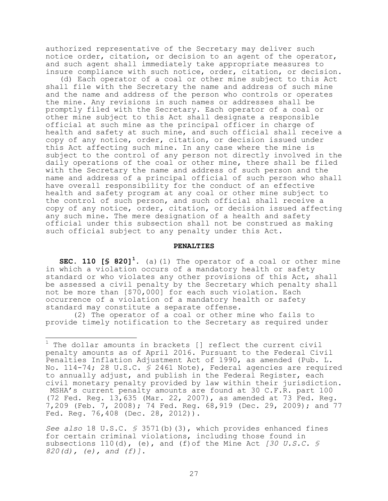authorized representative of the Secretary may deliver such notice order, citation, or decision to an agent of the operator, and such agent shall immediately take appropriate measures to insure compliance with such notice, order, citation, or decision.

(d) Each operator of a coal or other mine subject to this Act shall file with the Secretary the name and address of such mine and the name and address of the person who controls or operates the mine. Any revisions in such names or addresses shall be promptly filed with the Secretary. Each operator of a coal or other mine subject to this Act shall designate a responsible official at such mine as the principal officer in charge of health and safety at such mine, and such official shall receive a copy of any notice, order, citation, or decision issued under this Act affecting such mine. In any case where the mine is subject to the control of any person not directly involved in the daily operations of the coal or other mine, there shall be filed with the Secretary the name and address of such person and the name and address of a principal official of such person who shall have overall responsibility for the conduct of an effective health and safety program at any coal or other mine subject to the control of such person, and such official shall receive a copy of any notice, order, citation, or decision issued affecting any such mine. The mere designation of a health and safety official under this subsection shall not be construed as making such official subject to any penalty under this Act.

### **PENALTIES**

**SEC. 110 [§ 820]<sup>1</sup>**. (a)(1) The operator of a coal or other mine in which a violation occurs of a mandatory health or safety standard or who violates any other provisions of this Act, shall be assessed a civil penalty by the Secretary which penalty shall not be more than [\$70,000] for each such violation. Each occurrence of a violation of a mandatory health or safety standard may constitute a separate offense.

(2) The operator of a coal or other mine who fails to provide timely notification to the Secretary as required under

i.

 $^1$  The dollar amounts in brackets [] reflect the current civil penalty amounts as of April 2016. Pursuant to the Federal Civil Penalties Inflation Adjustment Act of 1990, as amended (Pub. L. No. 114-74; 28 U.S.C. *§* 2461 Note), Federal agencies are required to annually adjust, and publish in the Federal Register, each civil monetary penalty provided by law within their jurisdiction. MSHA's current penalty amounts are found at 30 C.F.R. part 100 (72 Fed. Reg. 13,635 (Mar. 22, 2007), as amended at 73 Fed. Reg. 7,209 (Feb. 7, 2008); 74 Fed. Reg. 68,919 (Dec. 29, 2009); and 77 Fed. Reg. 76,408 (Dec. 28, 2012)).

*See also* 18 U.S.C. *§* 3571(b)(3), which provides enhanced fines for certain criminal violations, including those found in subsections 110(d), (e), and (f)of the Mine Act *[30 U.S.C. § 820(d), (e), and (f)]*.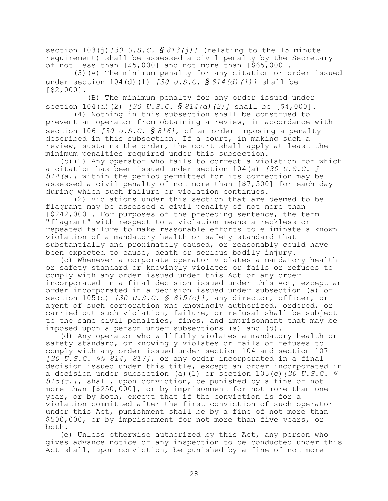section 103(j)*[30 U.S.C. § 813(j)]* (relating to the 15 minute requirement) shall be assessed a civil penalty by the Secretary of not less than [\$5,000] and not more than [\$65,000].

(3)(A) The minimum penalty for any citation or order issued under section 104(d)(1) *[30 U.S.C. § 814(d)(1)]* shall be [\$2,000].

(B) The minimum penalty for any order issued under section 104(d)(2) *[30 U.S.C. § 814(d)(2)]* shall be [\$4,000].

(4) Nothing in this subsection shall be construed to prevent an operator from obtaining a review, in accordance with section 106 *[30 U.S.C. § 816]*, of an order imposing a penalty described in this subsection. If a court, in making such a review, sustains the order, the court shall apply at least the minimum penalties required under this subsection.

(b)(1) Any operator who fails to correct a violation for which a citation has been issued under section 104(a) *[30 U.S.C. § 814(a)]* within the period permitted for its correction may be assessed a civil penalty of not more than [\$7,500] for each day during which such failure or violation continues.

(2) Violations under this section that are deemed to be flagrant may be assessed a civil penalty of not more than [\$242,000]. For purposes of the preceding sentence, the term "flagrant" with respect to a violation means a reckless or repeated failure to make reasonable efforts to eliminate a known violation of a mandatory health or safety standard that substantially and proximately caused, or reasonably could have been expected to cause, death or serious bodily injury.

(c) Whenever a corporate operator violates a mandatory health or safety standard or knowingly violates or fails or refuses to comply with any order issued under this Act or any order incorporated in a final decision issued under this Act, except an order incorporated in a decision issued under subsection (a) or section 105(c) *[30 U.S.C. § 815(c)]*, any director, officer, or agent of such corporation who knowingly authorized, ordered, or carried out such violation, failure, or refusal shall be subject to the same civil penalties, fines, and imprisonment that may be imposed upon a person under subsections (a) and (d).

(d) Any operator who willfully violates a mandatory health or safety standard, or knowingly violates or fails or refuses to comply with any order issued under section 104 and section 107 *[30 U.S.C. §§ 814, 817]*, or any order incorporated in a final decision issued under this title, except an order incorporated in a decision under subsection (a)(1) or section 105(c)*[30 U.S.C. § 815(c)]*, shall, upon conviction, be punished by a fine of not more than [\$250,000], or by imprisonment for not more than one year, or by both, except that if the conviction is for a violation committed after the first conviction of such operator under this Act, punishment shall be by a fine of not more than \$500,000, or by imprisonment for not more than five years, or both.

(e) Unless otherwise authorized by this Act, any person who gives advance notice of any inspection to be conducted under this Act shall, upon conviction, be punished by a fine of not more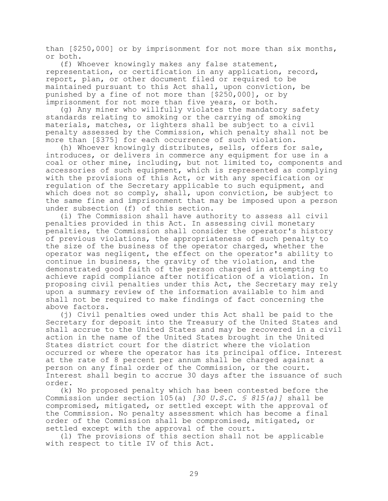than [\$250,000] or by imprisonment for not more than six months, or both.

(f) Whoever knowingly makes any false statement, representation, or certification in any application, record, report, plan, or other document filed or required to be maintained pursuant to this Act shall, upon conviction, be punished by a fine of not more than [\$250,000], or by imprisonment for not more than five years, or both.

(g) Any miner who willfully violates the mandatory safety standards relating to smoking or the carrying of smoking materials, matches, or lighters shall be subject to a civil penalty assessed by the Commission, which penalty shall not be more than [\$375] for each occurrence of such violation.

(h) Whoever knowingly distributes, sells, offers for sale, introduces, or delivers in commerce any equipment for use in a coal or other mine, including, but not limited to, components and accessories of such equipment, which is represented as complying with the provisions of this Act, or with any specification or regulation of the Secretary applicable to such equipment, and which does not so comply, shall, upon conviction, be subject to the same fine and imprisonment that may be imposed upon a person under subsection (f) of this section.

(i) The Commission shall have authority to assess all civil penalties provided in this Act. In assessing civil monetary penalties, the Commission shall consider the operator's history of previous violations, the appropriateness of such penalty to the size of the business of the operator charged, whether the operator was negligent, the effect on the operator's ability to continue in business, the gravity of the violation, and the demonstrated good faith of the person charged in attempting to achieve rapid compliance after notification of a violation. In proposing civil penalties under this Act, the Secretary may rely upon a summary review of the information available to him and shall not be required to make findings of fact concerning the above factors.

(j) Civil penalties owed under this Act shall be paid to the Secretary for deposit into the Treasury of the United States and shall accrue to the United States and may be recovered in a civil action in the name of the United States brought in the United States district court for the district where the violation occurred or where the operator has its principal office. Interest at the rate of 8 percent per annum shall be charged against a person on any final order of the Commission, or the court. Interest shall begin to accrue 30 days after the issuance of such order.

(k) No proposed penalty which has been contested before the Commission under section 105(a) *[30 U.S.C. § 815(a)]* shall be compromised, mitigated, or settled except with the approval of the Commission. No penalty assessment which has become a final order of the Commission shall be compromised, mitigated, or settled except with the approval of the court.

(l) The provisions of this section shall not be applicable with respect to title IV of this Act.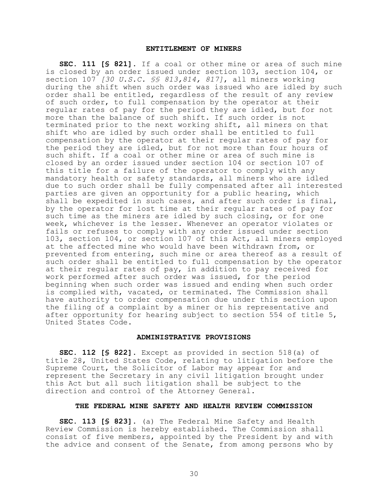### **ENTITLEMENT OF MINERS**

**SEC. 111 [§ 821]**. If a coal or other mine or area of such mine is closed by an order issued under section 103, section 104, or section 107 *[30 U.S.C. §§ 813,814, 817]*, all miners working during the shift when such order was issued who are idled by such order shall be entitled, regardless of the result of any review of such order, to full compensation by the operator at their regular rates of pay for the period they are idled, but for not more than the balance of such shift. If such order is not terminated prior to the next working shift, all miners on that shift who are idled by such order shall be entitled to full compensation by the operator at their regular rates of pay for the period they are idled, but for not more than four hours of such shift. If a coal or other mine or area of such mine is closed by an order issued under section 104 or section 107 of this title for a failure of the operator to comply with any mandatory health or safety standards, all miners who are idled due to such order shall be fully compensated after all interested parties are given an opportunity for a public hearing, which shall be expedited in such cases, and after such order is final, by the operator for lost time at their regular rates of pay for such time as the miners are idled by such closing, or for one week, whichever is the lesser. Whenever an operator violates or fails or refuses to comply with any order issued under section 103, section 104, or section 107 of this Act, all miners employed at the affected mine who would have been withdrawn from, or prevented from entering, such mine or area thereof as a result of such order shall be entitled to full compensation by the operator at their regular rates of pay, in addition to pay received for work performed after such order was issued, for the period beginning when such order was issued and ending when such order is complied with, vacated, or terminated. The Commission shall have authority to order compensation due under this section upon the filing of a complaint by a miner or his representative and after opportunity for hearing subject to section 554 of title 5, United States Code.

### **ADMINISTRATIVE PROVISIONS**

**SEC. 112 [§ 822]**. Except as provided in section 518(a) of title 28, United States Code, relating to litigation before the Supreme Court, the Solicitor of Labor may appear for and represent the Secretary in any civil litigation brought under this Act but all such litigation shall be subject to the direction and control of the Attorney General.

#### **THE FEDERAL MINE SAFETY AND HEALTH REVIEW COMMISSION**

**SEC. 113 [§ 823]**. (a) The Federal Mine Safety and Health Review Commission is hereby established. The Commission shall consist of five members, appointed by the President by and with the advice and consent of the Senate, from among persons who by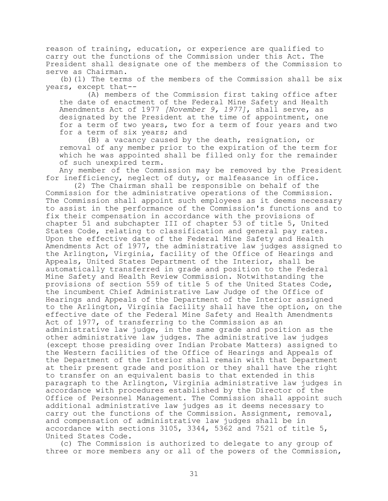reason of training, education, or experience are qualified to carry out the functions of the Commission under this Act. The President shall designate one of the members of the Commission to serve as Chairman.

(b)(1) The terms of the members of the Commission shall be six years, except that--

(A) members of the Commission first taking office after the date of enactment of the Federal Mine Safety and Health Amendments Act of 1977 *[November 9, 1977]*, shall serve, as designated by the President at the time of appointment, one for a term of two years, two for a term of four years and two for a term of six years; and

(B) a vacancy caused by the death, resignation, or removal of any member prior to the expiration of the term for which he was appointed shall be filled only for the remainder of such unexpired term.

Any member of the Commission may be removed by the President for inefficiency, neglect of duty, or malfeasance in office.

(2) The Chairman shall be responsible on behalf of the Commission for the administrative operations of the Commission. The Commission shall appoint such employees as it deems necessary to assist in the performance of the Commission's functions and to fix their compensation in accordance with the provisions of chapter 51 and subchapter III of chapter 53 of title 5, United States Code, relating to classification and general pay rates. Upon the effective date of the Federal Mine Safety and Health Amendments Act of 1977, the administrative law judges assigned to the Arlington, Virginia, facility of the Office of Hearings and Appeals, United States Department of the Interior, shall be automatically transferred in grade and position to the Federal Mine Safety and Health Review Commission. Notwithstanding the provisions of section 559 of title 5 of the United States Code, the incumbent Chief Administrative Law Judge of the Office of Hearings and Appeals of the Department of the Interior assigned to the Arlington, Virginia facility shall have the option, on the effective date of the Federal Mine Safety and Health Amendments Act of 1977, of transferring to the Commission as an administrative law judge, in the same grade and position as the other administrative law judges. The administrative law judges (except those presiding over Indian Probate Matters) assigned to the Western facilities of the Office of Hearings and Appeals of the Department of the Interior shall remain with that Department at their present grade and position or they shall have the right to transfer on an equivalent basis to that extended in this paragraph to the Arlington, Virginia administrative law judges in accordance with procedures established by the Director of the Office of Personnel Management. The Commission shall appoint such additional administrative law judges as it deems necessary to carry out the functions of the Commission. Assignment, removal, and compensation of administrative law judges shall be in accordance with sections 3105, 3344, 5362 and 7521 of title 5, United States Code.

(c) The Commission is authorized to delegate to any group of three or more members any or all of the powers of the Commission,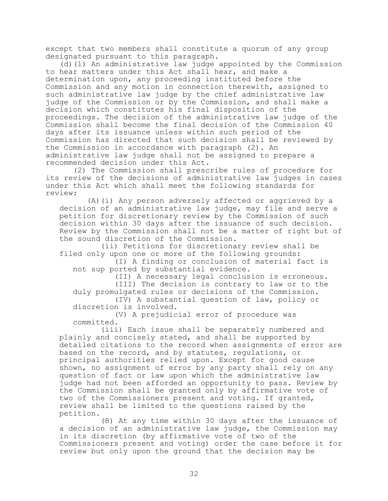except that two members shall constitute a quorum of any group designated pursuant to this paragraph.

(d)(1) An administrative law judge appointed by the Commission to hear matters under this Act shall hear, and make a determination upon, any proceeding instituted before the Commission and any motion in connection therewith, assigned to such administrative law judge by the chief administrative law judge of the Commission or by the Commission, and shall make a decision which constitutes his final disposition of the proceedings. The decision of the administrative law judge of the Commission shall become the final decision of the Commission 40 days after its issuance unless within such period of the Commission has directed that such decision shall be reviewed by the Commission in accordance with paragraph (2). An administrative law judge shall not be assigned to prepare a recommended decision under this Act.

(2) The Commission shall prescribe rules of procedure for its review of the decisions of administrative law judges in cases under this Act which shall meet the following standards for review:

(A)(i) Any person adversely affected or aggrieved by a decision of an administrative law judge, may file and serve a petition for discretionary review by the Commission of such decision within 30 days after the issuance of such decision. Review by the Commission shall not be a matter of right but of the sound discretion of the Commission.

(ii) Petitions for discretionary review shall be filed only upon one or more of the following grounds:

(I) A finding or conclusion of material fact is not sup ported by substantial evidence.

(II) A necessary legal conclusion is erroneous.

(III) The decision is contrary to law or to the duly promulgated rules or decisions of the Commission. (IV) A substantial question of law, policy or discretion is involved.

(V) A prejudicial error of procedure was committed.

(iii) Each issue shall be separately numbered and plainly and concisely stated, and shall be supported by detailed citations to the record when assignments of error are based on the record, and by statutes, regulations, or principal authorities relied upon. Except for good cause shown, no assignment of error by any party shall rely on any question of fact or law upon which the administrative law judge had not been afforded an opportunity to pass. Review by the Commission shall be granted only by affirmative vote of two of the Commissioners present and voting. If granted, review shall be limited to the questions raised by the petition.

(B) At any time within 30 days after the issuance of a decision of an administrative law judge, the Commission may in its discretion (by affirmative vote of two of the Commissioners present and voting) order the case before it for review but only upon the ground that the decision may be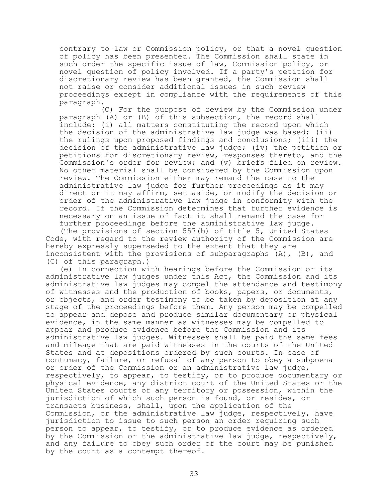contrary to law or Commission policy, or that a novel question of policy has been presented. The Commission shall state in such order the specific issue of law, Commission policy, or novel question of policy involved. If a party's petition for discretionary review has been granted, the Commission shall not raise or consider additional issues in such review proceedings except in compliance with the requirements of this paragraph.

(C) For the purpose of review by the Commission under paragraph (A) or (B) of this subsection, the record shall include: (i) all matters constituting the record upon which the decision of the administrative law judge was based; (ii) the rulings upon proposed findings and conclusions; (iii) the decision of the administrative law judge; (iv) the petition or petitions for discretionary review, responses thereto, and the Commission's order for review; and (v) briefs filed on review. No other material shall be considered by the Commission upon review. The Commission either may remand the case to the administrative law judge for further proceedings as it may direct or it may affirm, set aside, or modify the decision or order of the administrative law judge in conformity with the record. If the Commission determines that further evidence is necessary on an issue of fact it shall remand the case for further proceedings before the administrative law judge.

(The provisions of section 557(b) of title 5, United States Code, with regard to the review authority of the Commission are hereby expressly superseded to the extent that they are inconsistent with the provisions of subparagraphs (A), (B), and (C) of this paragraph.)

(e) In connection with hearings before the Commission or its administrative law judges under this Act, the Commission and its administrative law judges may compel the attendance and testimony of witnesses and the production of books, papers, or documents, or objects, and order testimony to be taken by deposition at any stage of the proceedings before them. Any person may be compelled to appear and depose and produce similar documentary or physical evidence, in the same manner as witnesses may be compelled to appear and produce evidence before the Commission and its administrative law judges. Witnesses shall be paid the same fees and mileage that are paid witnesses in the courts of the United States and at depositions ordered by such courts. In case of contumacy, failure, or refusal of any person to obey a subpoena or order of the Commission or an administrative law judge, respectively, to appear, to testify, or to produce documentary or physical evidence, any district court of the United States or the United States courts of any territory or possession, within the jurisdiction of which such person is found, or resides, or transacts business, shall, upon the application of the Commission, or the administrative law judge, respectively, have jurisdiction to issue to such person an order requiring such person to appear, to testify, or to produce evidence as ordered by the Commission or the administrative law judge, respectively, and any failure to obey such order of the court may be punished by the court as a contempt thereof.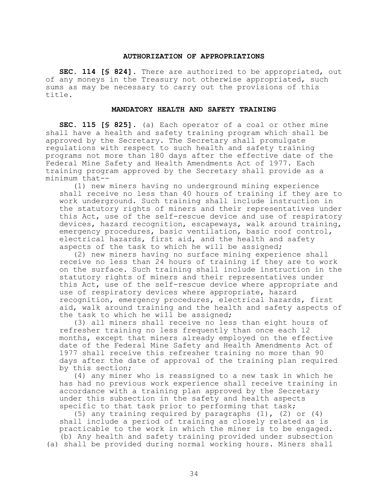# **AUTHORIZATION OF APPROPRIATIONS**

**SEC. 114 [§ 824]**. There are authorized to be appropriated, out of any moneys in the Treasury not otherwise appropriated, such sums as may be necessary to carry out the provisions of this title.

## **MANDATORY HEALTH AND SAFETY TRAINING**

**SEC. 115 [§ 825]**. (a) Each operator of a coal or other mine shall have a health and safety training program which shall be approved by the Secretary. The Secretary shall promulgate regulations with respect to such health and safety training programs not more than 180 days after the effective date of the Federal Mine Safety and Health Amendments Act of 1977. Each training program approved by the Secretary shall provide as a minimum that--

(1) new miners having no underground mining experience shall receive no less than 40 hours of training if they are to work underground. Such training shall include instruction in the statutory rights of miners and their representatives under this Act, use of the self-rescue device and use of respiratory devices, hazard recognition, escapeways, walk around training, emergency procedures, basic ventilation, basic roof control, electrical hazards, first aid, and the health and safety aspects of the task to which he will be assigned;

(2) new miners having no surface mining experience shall receive no less than 24 hours of training if they are to work on the surface. Such training shall include instruction in the statutory rights of miners and their representatives under this Act, use of the self-rescue device where appropriate and use of respiratory devices where appropriate, hazard recognition, emergency procedures, electrical hazards, first aid, walk around training and the health and safety aspects of the task to which he will be assigned;

(3) all miners shall receive no less than eight hours of refresher training no less frequently than once each 12 months, except that miners already employed on the effective date of the Federal Mine Safety and Health Amendments Act of 1977 shall receive this refresher training no more than 90 days after the date of approval of the training plan required by this section;

(4) any miner who is reassigned to a new task in which he has had no previous work experience shall receive training in accordance with a training plan approved by the Secretary under this subsection in the safety and health aspects specific to that task prior to performing that task;

(5) any training required by paragraphs (1), (2) or (4) shall include a period of training as closely related as is practicable to the work in which the miner is to be engaged. (b) Any health and safety training provided under subsection (a) shall be provided during normal working hours. Miners shall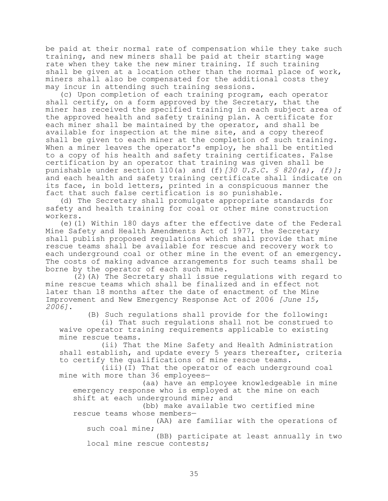be paid at their normal rate of compensation while they take such training, and new miners shall be paid at their starting wage rate when they take the new miner training. If such training shall be given at a location other than the normal place of work, miners shall also be compensated for the additional costs they may incur in attending such training sessions.

(c) Upon completion of each training program, each operator shall certify, on a form approved by the Secretary, that the miner has received the specified training in each subject area of the approved health and safety training plan. A certificate for each miner shall be maintained by the operator, and shall be available for inspection at the mine site, and a copy thereof shall be given to each miner at the completion of such training. When a miner leaves the operator's employ, he shall be entitled to a copy of his health and safety training certificates. False certification by an operator that training was given shall be punishable under section 110(a) and (f)*[30 U.S.C. § 820(a), (f)]*; and each health and safety training certificate shall indicate on its face, in bold letters, printed in a conspicuous manner the fact that such false certification is so punishable.

(d) The Secretary shall promulgate appropriate standards for safety and health training for coal or other mine construction workers.

(e)(1) Within 180 days after the effective date of the Federal Mine Safety and Health Amendments Act of 1977, the Secretary shall publish proposed regulations which shall provide that mine rescue teams shall be available for rescue and recovery work to each underground coal or other mine in the event of an emergency. The costs of making advance arrangements for such teams shall be borne by the operator of each such mine.

(2)(A) The Secretary shall issue regulations with regard to mine rescue teams which shall be finalized and in effect not later than 18 months after the date of enactment of the Mine Improvement and New Emergency Response Act of 2006 *[June 15, 2006]*.

(B) Such regulations shall provide for the following:

(i) That such regulations shall not be construed to waive operator training requirements applicable to existing mine rescue teams.

 (ii) That the Mine Safety and Health Administration shall establish, and update every 5 years thereafter, criteria to certify the qualifications of mine rescue teams.

(iii)(I) That the operator of each underground coal mine with more than 36 employees—

(aa) have an employee knowledgeable in mine emergency response who is employed at the mine on each shift at each underground mine; and

(bb) make available two certified mine rescue teams whose members—

(AA) are familiar with the operations of such coal mine;

(BB) participate at least annually in two local mine rescue contests;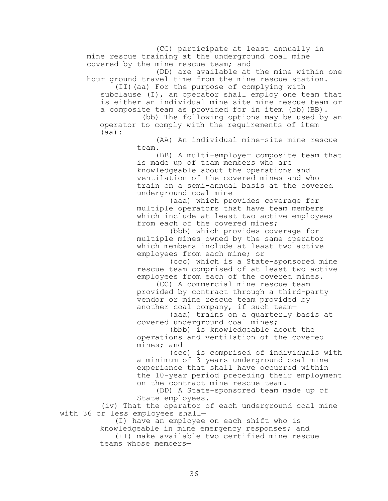(CC) participate at least annually in mine rescue training at the underground coal mine covered by the mine rescue team; and (DD) are available at the mine within one hour ground travel time from the mine rescue station. (II)(aa) For the purpose of complying with subclause (I), an operator shall employ one team that is either an individual mine site mine rescue team or a composite team as provided for in item (bb)(BB). (bb) The following options may be used by an operator to comply with the requirements of item (aa): (AA) An individual mine-site mine rescue team. (BB) A multi-employer composite team that is made up of team members who are knowledgeable about the operations and ventilation of the covered mines and who train on a semi-annual basis at the covered underground coal mine— (aaa) which provides coverage for multiple operators that have team members which include at least two active employees from each of the covered mines; (bbb) which provides coverage for multiple mines owned by the same operator which members include at least two active employees from each mine; or (ccc) which is a State-sponsored mine rescue team comprised of at least two active employees from each of the covered mines. (CC) A commercial mine rescue team provided by contract through a third-party vendor or mine rescue team provided by another coal company, if such team— (aaa) trains on a quarterly basis at covered underground coal mines; (bbb) is knowledgeable about the operations and ventilation of the covered mines; and (ccc) is comprised of individuals with a minimum of 3 years underground coal mine experience that shall have occurred within the 10-year period preceding their employment on the contract mine rescue team. (DD) A State-sponsored team made up of State employees. (iv) That the operator of each underground coal mine with 36 or less employees shall— (I) have an employee on each shift who is knowledgeable in mine emergency responses; and (II) make available two certified mine rescue teams whose members—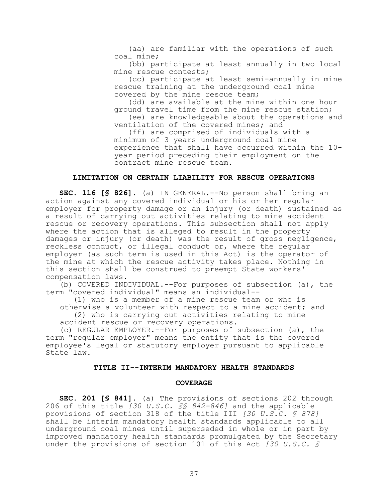(aa) are familiar with the operations of such coal mine;

(bb) participate at least annually in two local mine rescue contests;

(cc) participate at least semi-annually in mine rescue training at the underground coal mine covered by the mine rescue team;

(dd) are available at the mine within one hour ground travel time from the mine rescue station;

(ee) are knowledgeable about the operations and ventilation of the covered mines; and

(ff) are comprised of individuals with a minimum of 3 years underground coal mine experience that shall have occurred within the 10 year period preceding their employment on the contract mine rescue team.

# **LIMITATION ON CERTAIN LIABILITY FOR RESCUE OPERATIONS**

**SEC. 116 [§ 826]**. (a) IN GENERAL.--No person shall bring an action against any covered individual or his or her regular employer for property damage or an injury (or death) sustained as a result of carrying out activities relating to mine accident rescue or recovery operations. This subsection shall not apply where the action that is alleged to result in the property damages or injury (or death) was the result of gross negligence, reckless conduct, or illegal conduct or, where the regular employer (as such term is used in this Act) is the operator of the mine at which the rescue activity takes place. Nothing in this section shall be construed to preempt State workers' compensation laws.

(b) COVERED INDIVIDUAL.--For purposes of subsection (a), the term "covered individual" means an individual--

(1) who is a member of a mine rescue team or who is otherwise a volunteer with respect to a mine accident; and

(2) who is carrying out activities relating to mine accident rescue or recovery operations.

(c) REGULAR EMPLOYER.--For purposes of subsection (a), the term "regular employer" means the entity that is the covered employee's legal or statutory employer pursuant to applicable State law.

# **TITLE II--INTERIM MANDATORY HEALTH STANDARDS**

#### **COVERAGE**

**SEC. 201 [§ 841]**. (a) The provisions of sections 202 through 206 of this title *[30 U.S.C. §§ 842-846]* and the applicable provisions of section 318 of the title III *[30 U.S.C. § 878]* shall be interim mandatory health standards applicable to all underground coal mines until superseded in whole or in part by improved mandatory health standards promulgated by the Secretary under the provisions of section 101 of this Act *[30 U.S.C. §*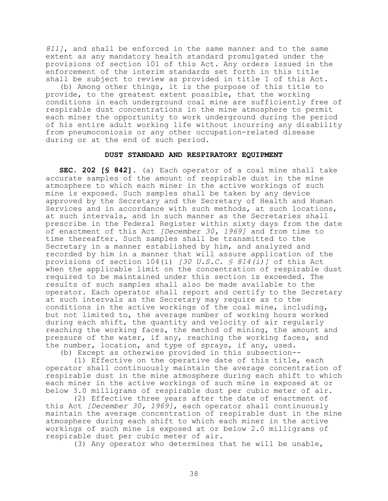*811]*, and shall be enforced in the same manner and to the same extent as any mandatory health standard promulgated under the provisions of section 101 of this Act. Any orders issued in the enforcement of the interim standards set forth in this title shall be subject to review as provided in title I of this Act.

(b) Among other things, it is the purpose of this title to provide, to the greatest extent possible, that the working conditions in each underground coal mine are sufficiently free of respirable dust concentrations in the mine atmosphere to permit each miner the opportunity to work underground during the period of his entire adult working life without incurring any disability from pneumoconiosis or any other occupation-related disease during or at the end of such period.

## **DUST STANDARD AND RESPIRATORY EQUIPMENT**

**SEC. 202 [§ 842]**. (a) Each operator of a coal mine shall take accurate samples of the amount of respirable dust in the mine atmosphere to which each miner in the active workings of such mine is exposed. Such samples shall be taken by any device approved by the Secretary and the Secretary of Health and Human Services and in accordance with such methods, at such locations, at such intervals, and in such manner as the Secretaries shall prescribe in the Federal Register within sixty days from the date of enactment of this Act *[December 30, 1969]* and from time to time thereafter. Such samples shall be transmitted to the Secretary in a manner established by him, and analyzed and recorded by him in a manner that will assure application of the provisions of section 104(i) *[30 U.S.C. § 814(i)]* of this Act when the applicable limit on the concentration of respirable dust required to be maintained under this section is exceeded. The results of such samples shall also be made available to the operator. Each operator shall report and certify to the Secretary at such intervals as the Secretary may require as to the conditions in the active workings of the coal mine, including, but not limited to, the average number of working hours worked during each shift, the quantity and velocity of air regularly reaching the working faces, the method of mining, the amount and pressure of the water, if any, reaching the working faces, and the number, location, and type of sprays, if any, used.

(b) Except as otherwise provided in this subsection--

(1) Effective on the operative date of this title, each operator shall continuously maintain the average concentration of respirable dust in the mine atmosphere during each shift to which each miner in the active workings of such mine is exposed at or below 3.0 milligrams of respirable dust per cubic meter of air.

(2) Effective three years after the date of enactment of this Act *[December 30, 1969]*, each operator shall continuously maintain the average concentration of respirable dust in the mine atmosphere during each shift to which each miner in the active workings of such mine is exposed at or below 2.0 milligrams of respirable dust per cubic meter of air.

(3) Any operator who determines that he will be unable,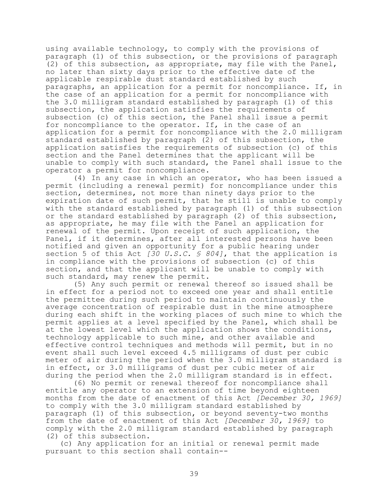using available technology, to comply with the provisions of paragraph (1) of this subsection, or the provisions of paragraph (2) of this subsection, as appropriate, may file with the Panel, no later than sixty days prior to the effective date of the applicable respirable dust standard established by such paragraphs, an application for a permit for noncompliance. If, in the case of an application for a permit for noncompliance with the 3.0 milligram standard established by paragraph (1) of this subsection, the application satisfies the requirements of subsection (c) of this section, the Panel shall issue a permit for noncompliance to the operator. If, in the case of an application for a permit for noncompliance with the 2.0 milligram standard established by paragraph (2) of this subsection, the application satisfies the requirements of subsection (c) of this section and the Panel determines that the applicant will be unable to comply with such standard, the Panel shall issue to the operator a permit for noncompliance.

(4) In any case in which an operator, who has been issued a permit (including a renewal permit) for noncompliance under this section, determines, not more than ninety days prior to the expiration date of such permit, that he still is unable to comply with the standard established by paragraph (1) of this subsection or the standard established by paragraph (2) of this subsection, as appropriate, he may file with the Panel an application for renewal of the permit. Upon receipt of such application, the Panel, if it determines, after all interested persons have been notified and given an opportunity for a public hearing under section 5 of this Act *[30 U.S.C. § 804]*, that the application is in compliance with the provisions of subsection (c) of this section, and that the applicant will be unable to comply with such standard, may renew the permit.

(5) Any such permit or renewal thereof so issued shall be in effect for a period not to exceed one year and shall entitle the permittee during such period to maintain continuously the average concentration of respirable dust in the mine atmosphere during each shift in the working places of such mine to which the permit applies at a level specified by the Panel, which shall be at the lowest level which the application shows the conditions, technology applicable to such mine, and other available and effective control techniques and methods will permit, but in no event shall such level exceed 4.5 milligrams of dust per cubic meter of air during the period when the 3.0 milligram standard is in effect, or 3.0 milligrams of dust per cubic meter of air during the period when the 2.0 milligram standard is in effect.

(6) No permit or renewal thereof for noncompliance shall entitle any operator to an extension of time beyond eighteen months from the date of enactment of this Act *[December 30, 1969]* to comply with the 3.0 milligram standard established by paragraph (1) of this subsection, or beyond seventy-two months from the date of enactment of this Act *[December 30, 1969]* to comply with the 2.0 milligram standard established by paragraph (2) of this subsection.

(c) Any application for an initial or renewal permit made pursuant to this section shall contain--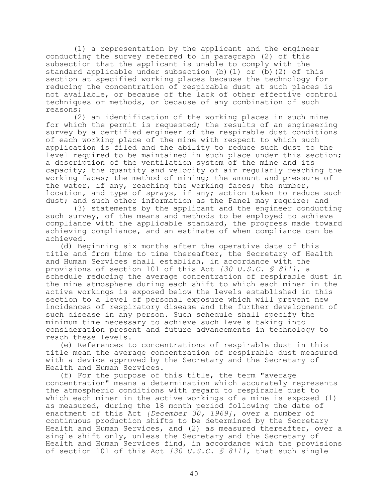(1) a representation by the applicant and the engineer conducting the survey referred to in paragraph (2) of this subsection that the applicant is unable to comply with the standard applicable under subsection (b)(1) or (b)(2) of this section at specified working places because the technology for reducing the concentration of respirable dust at such places is not available, or because of the lack of other effective control techniques or methods, or because of any combination of such reasons;

(2) an identification of the working places in such mine for which the permit is requested; the results of an engineering survey by a certified engineer of the respirable dust conditions of each working place of the mine with respect to which such application is filed and the ability to reduce such dust to the level required to be maintained in such place under this section; a description of the ventilation system of the mine and its capacity; the quantity and velocity of air regularly reaching the working faces; the method of mining; the amount and pressure of the water, if any, reaching the working faces; the number, location, and type of sprays, if any; action taken to reduce such dust; and such other information as the Panel may require; and

(3) statements by the applicant and the engineer conducting such survey, of the means and methods to be employed to achieve compliance with the applicable standard, the progress made toward achieving compliance, and an estimate of when compliance can be achieved.

(d) Beginning six months after the operative date of this title and from time to time thereafter, the Secretary of Health and Human Services shall establish, in accordance with the provisions of section 101 of this Act *[30 U.S.C. § 811]*, a schedule reducing the average concentration of respirable dust in the mine atmosphere during each shift to which each miner in the active workings is exposed below the levels established in this section to a level of personal exposure which will prevent new incidences of respiratory disease and the further development of such disease in any person. Such schedule shall specify the minimum time necessary to achieve such levels taking into consideration present and future advancements in technology to reach these levels.

(e) References to concentrations of respirable dust in this title mean the average concentration of respirable dust measured with a device approved by the Secretary and the Secretary of Health and Human Services.

(f) For the purpose of this title, the term "average concentration" means a determination which accurately represents the atmospheric conditions with regard to respirable dust to which each miner in the active workings of a mine is exposed (1) as measured, during the 18 month period following the date of enactment of this Act *[December 30, 1969]*, over a number of continuous production shifts to be determined by the Secretary Health and Human Services, and (2) as measured thereafter, over a single shift only, unless the Secretary and the Secretary of Health and Human Services find, in accordance with the provisions of section 101 of this Act *[30 U.S.C. § 811]*, that such single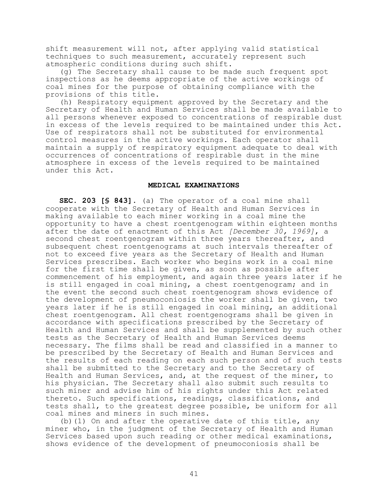shift measurement will not, after applying valid statistical techniques to such measurement, accurately represent such atmospheric conditions during such shift.

(g) The Secretary shall cause to be made such frequent spot inspections as he deems appropriate of the active workings of coal mines for the purpose of obtaining compliance with the provisions of this title.

(h) Respiratory equipment approved by the Secretary and the Secretary of Health and Human Services shall be made available to all persons whenever exposed to concentrations of respirable dust in excess of the levels required to be maintained under this Act. Use of respirators shall not be substituted for environmental control measures in the active workings. Each operator shall maintain a supply of respiratory equipment adequate to deal with occurrences of concentrations of respirable dust in the mine atmosphere in excess of the levels required to be maintained under this Act.

#### **MEDICAL EXAMINATIONS**

**SEC. 203 [§ 843]**. (a) The operator of a coal mine shall cooperate with the Secretary of Health and Human Services in making available to each miner working in a coal mine the opportunity to have a chest roentgenogram within eighteen months after the date of enactment of this Act *[December 30, 1969]*, a second chest roentgenogram within three years thereafter, and subsequent chest roentgenograms at such intervals thereafter of not to exceed five years as the Secretary of Health and Human Services prescribes. Each worker who begins work in a coal mine for the first time shall be given, as soon as possible after commencement of his employment, and again three years later if he is still engaged in coal mining, a chest roentgenogram; and in the event the second such chest roentgenogram shows evidence of the development of pneumoconiosis the worker shall be given, two years later if he is still engaged in coal mining, an additional chest roentgenogram. All chest roentgenograms shall be given in accordance with specifications prescribed by the Secretary of Health and Human Services and shall be supplemented by such other tests as the Secretary of Health and Human Services deems necessary. The films shall be read and classified in a manner to be prescribed by the Secretary of Health and Human Services and the results of each reading on each such person and of such tests shall be submitted to the Secretary and to the Secretary of Health and Human Services, and, at the request of the miner, to his physician. The Secretary shall also submit such results to such miner and advise him of his rights under this Act related thereto. Such specifications, readings, classifications, and tests shall, to the greatest degree possible, be uniform for all coal mines and miners in such mines.

(b)(1) On and after the operative date of this title, any miner who, in the judgment of the Secretary of Health and Human Services based upon such reading or other medical examinations, shows evidence of the development of pneumoconiosis shall be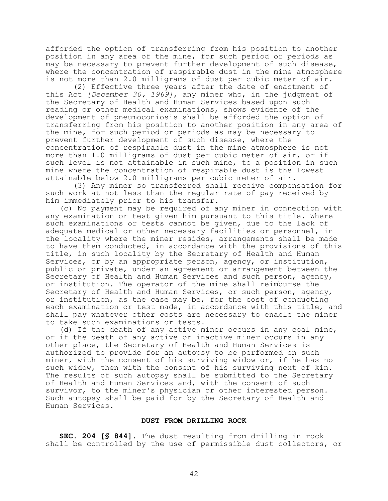afforded the option of transferring from his position to another position in any area of the mine, for such period or periods as may be necessary to prevent further development of such disease, where the concentration of respirable dust in the mine atmosphere is not more than 2.0 milligrams of dust per cubic meter of air.

(2) Effective three years after the date of enactment of this Act *[December 30, 1969]*, any miner who, in the judgment of the Secretary of Health and Human Services based upon such reading or other medical examinations, shows evidence of the development of pneumoconiosis shall be afforded the option of transferring from his position to another position in any area of the mine, for such period or periods as may be necessary to prevent further development of such disease, where the concentration of respirable dust in the mine atmosphere is not more than 1.0 milligrams of dust per cubic meter of air, or if such level is not attainable in such mine, to a position in such mine where the concentration of respirable dust is the lowest attainable below 2.0 milligrams per cubic meter of air.

(3) Any miner so transferred shall receive compensation for such work at not less than the regular rate of pay received by him immediately prior to his transfer.

(c) No payment may be required of any miner in connection with any examination or test given him pursuant to this title. Where such examinations or tests cannot be given, due to the lack of adequate medical or other necessary facilities or personnel, in the locality where the miner resides, arrangements shall be made to have them conducted, in accordance with the provisions of this title, in such locality by the Secretary of Health and Human Services, or by an appropriate person, agency, or institution, public or private, under an agreement or arrangement between the Secretary of Health and Human Services and such person, agency, or institution. The operator of the mine shall reimburse the Secretary of Health and Human Services, or such person, agency, or institution, as the case may be, for the cost of conducting each examination or test made, in accordance with this title, and shall pay whatever other costs are necessary to enable the miner to take such examinations or tests.

(d) If the death of any active miner occurs in any coal mine, or if the death of any active or inactive miner occurs in any other place, the Secretary of Health and Human Services is authorized to provide for an autopsy to be performed on such miner, with the consent of his surviving widow or, if he has no such widow, then with the consent of his surviving next of kin. The results of such autopsy shall be submitted to the Secretary of Health and Human Services and, with the consent of such survivor, to the miner's physician or other interested person. Such autopsy shall be paid for by the Secretary of Health and Human Services.

## **DUST FROM DRILLING ROCK**

**SEC. 204 [§ 844]**. The dust resulting from drilling in rock shall be controlled by the use of permissible dust collectors, or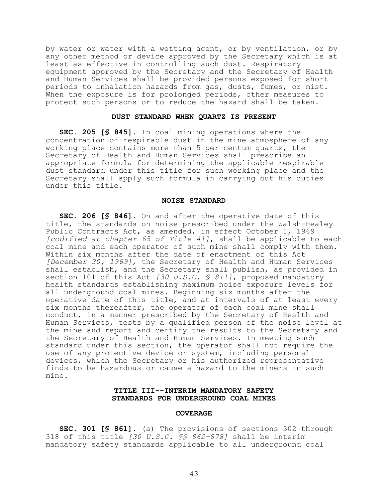by water or water with a wetting agent, or by ventilation, or by any other method or device approved by the Secretary which is at least as effective in controlling such dust. Respiratory equipment approved by the Secretary and the Secretary of Health and Human Services shall be provided persons exposed for short periods to inhalation hazards from gas, dusts, fumes, or mist. When the exposure is for prolonged periods, other measures to protect such persons or to reduce the hazard shall be taken.

### **DUST STANDARD WHEN QUARTZ IS PRESENT**

**SEC. 205 [§ 845]**. In coal mining operations where the concentration of respirable dust in the mine atmosphere of any working place contains more than 5 per centum quartz, the Secretary of Health and Human Services shall prescribe an appropriate formula for determining the applicable respirable dust standard under this title for such working place and the Secretary shall apply such formula in carrying out his duties under this title.

# **NOISE STANDARD**

**SEC. 206 [§ 846]**. On and after the operative date of this title, the standards on noise prescribed under the Walsh-Healey Public Contracts Act, as amended, in effect October 1, 1969 *[codified at chapter 65 of Title 41]*, shall be applicable to each coal mine and each operator of such mine shall comply with them. Within six months after the date of enactment of this Act *[December 30, 1969]*, the Secretary of Health and Human Services shall establish, and the Secretary shall publish, as provided in section 101 of this Act *[30 U.S.C. § 811]*, proposed mandatory health standards establishing maximum noise exposure levels for all underground coal mines. Beginning six months after the operative date of this title, and at intervals of at least every six months thereafter, the operator of each coal mine shall conduct, in a manner prescribed by the Secretary of Health and Human Services, tests by a qualified person of the noise level at the mine and report and certify the results to the Secretary and the Secretary of Health and Human Services. In meeting such standard under this section, the operator shall not require the use of any protective device or system, including personal devices, which the Secretary or his authorized representative finds to be hazardous or cause a hazard to the miners in such mine.

# **TITLE III--INTERIM MANDATORY SAFETY STANDARDS FOR UNDERGROUND COAL MINES**

### **COVERAGE**

**SEC. 301 [§ 861]**. (a) The provisions of sections 302 through 318 of this title *[30 U.S.C. §§ 862-878]* shall be interim mandatory safety standards applicable to all underground coal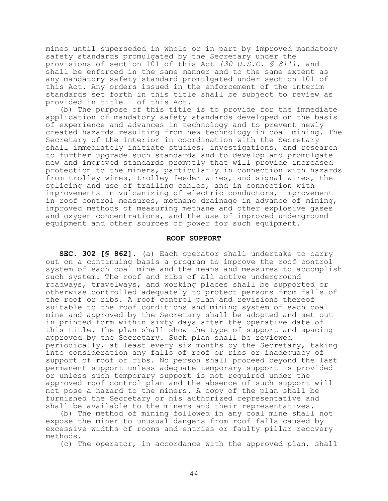mines until superseded in whole or in part by improved mandatory safety standards promulgated by the Secretary under the provisions of section 101 of this Act *[30 U.S.C. § 811]*, and shall be enforced in the same manner and to the same extent as any mandatory safety standard promulgated under section 101 of this Act. Any orders issued in the enforcement of the interim standards set forth in this title shall be subject to review as provided in title I of this Act.

(b) The purpose of this title is to provide for the immediate application of mandatory safety standards developed on the basis of experience and advances in technology and to prevent newly created hazards resulting from new technology in coal mining. The Secretary of the Interior in coordination with the Secretary shall immediately initiate studies, investigations, and research to further upgrade such standards and to develop and promulgate new and improved standards promptly that will provide increased protection to the miners, particularly in connection with hazards from trolley wires, trolley feeder wires, and signal wires, the splicing and use of trailing cables, and in connection with improvements in vulcanizing of electric conductors, improvement in roof control measures, methane drainage in advance of mining, improved methods of measuring methane and other explosive gases and oxygen concentrations, and the use of improved underground equipment and other sources of power for such equipment.

#### **ROOF SUPPORT**

**SEC. 302 [§ 862]**. (a) Each operator shall undertake to carry out on a continuing basis a program to improve the roof control system of each coal mine and the means and measures to accomplish such system. The roof and ribs of all active underground roadways, travelways, and working places shall be supported or otherwise controlled adequately to protect persons from falls of the roof or ribs. A roof control plan and revisions thereof suitable to the roof conditions and mining system of each coal mine and approved by the Secretary shall be adopted and set out in printed form within sixty days after the operative date of this title. The plan shall show the type of support and spacing approved by the Secretary. Such plan shall be reviewed periodically, at least every six months by the Secretary, taking into consideration any falls of roof or ribs or inadequacy of support of roof or ribs. No person shall proceed beyond the last permanent support unless adequate temporary support is provided or unless such temporary support is not required under the approved roof control plan and the absence of such support will not pose a hazard to the miners. A copy of the plan shall be furnished the Secretary or his authorized representative and shall be available to the miners and their representatives.

(b) The method of mining followed in any coal mine shall not expose the miner to unusual dangers from roof falls caused by excessive widths of rooms and entries or faulty pillar recovery methods.

(c) The operator, in accordance with the approved plan, shall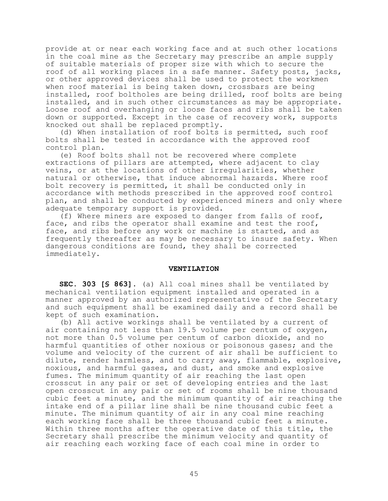provide at or near each working face and at such other locations in the coal mine as the Secretary may prescribe an ample supply of suitable materials of proper size with which to secure the roof of all working places in a safe manner. Safety posts, jacks, or other approved devices shall be used to protect the workmen when roof material is being taken down, crossbars are being installed, roof boltholes are being drilled, roof bolts are being installed, and in such other circumstances as may be appropriate. Loose roof and overhanging or loose faces and ribs shall be taken down or supported. Except in the case of recovery work, supports knocked out shall be replaced promptly.

(d) When installation of roof bolts is permitted, such roof bolts shall be tested in accordance with the approved roof control plan.

(e) Roof bolts shall not be recovered where complete extractions of pillars are attempted, where adjacent to clay veins, or at the locations of other irregularities, whether natural or otherwise, that induce abnormal hazards. Where roof bolt recovery is permitted, it shall be conducted only in accordance with methods prescribed in the approved roof control plan, and shall be conducted by experienced miners and only where adequate temporary support is provided.

(f) Where miners are exposed to danger from falls of roof, face, and ribs the operator shall examine and test the roof, face, and ribs before any work or machine is started, and as frequently thereafter as may be necessary to insure safety. When dangerous conditions are found, they shall be corrected immediately.

#### **VENTILATION**

**SEC. 303 [§ 863]**. (a) All coal mines shall be ventilated by mechanical ventilation equipment installed and operated in a manner approved by an authorized representative of the Secretary and such equipment shall be examined daily and a record shall be kept of such examination.

(b) All active workings shall be ventilated by a current of air containing not less than 19.5 volume per centum of oxygen, not more than 0.5 volume per centum of carbon dioxide, and no harmful quantities of other noxious or poisonous gases; and the volume and velocity of the current of air shall be sufficient to dilute, render harmless, and to carry away, flammable, explosive, noxious, and harmful gases, and dust, and smoke and explosive fumes. The minimum quantity of air reaching the last open crosscut in any pair or set of developing entries and the last open crosscut in any pair or set of rooms shall be nine thousand cubic feet a minute, and the minimum quantity of air reaching the intake end of a pillar line shall be nine thousand cubic feet a minute. The minimum quantity of air in any coal mine reaching each working face shall be three thousand cubic feet a minute. Within three months after the operative date of this title, the Secretary shall prescribe the minimum velocity and quantity of air reaching each working face of each coal mine in order to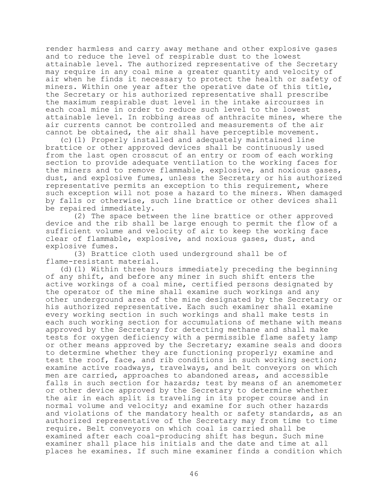render harmless and carry away methane and other explosive gases and to reduce the level of respirable dust to the lowest attainable level. The authorized representative of the Secretary may require in any coal mine a greater quantity and velocity of air when he finds it necessary to protect the health or safety of miners. Within one year after the operative date of this title, the Secretary or his authorized representative shall prescribe the maximum respirable dust level in the intake aircourses in each coal mine in order to reduce such level to the lowest attainable level. In robbing areas of anthracite mines, where the air currents cannot be controlled and measurements of the air cannot be obtained, the air shall have perceptible movement.

(c)(1) Properly installed and adequately maintained line brattice or other approved devices shall be continuously used from the last open crosscut of an entry or room of each working section to provide adequate ventilation to the working faces for the miners and to remove flammable, explosive, and noxious gases, dust, and explosive fumes, unless the Secretary or his authorized representative permits an exception to this requirement, where such exception will not pose a hazard to the miners. When damaged by falls or otherwise, such line brattice or other devices shall be repaired immediately.

(2) The space between the line brattice or other approved device and the rib shall be large enough to permit the flow of a sufficient volume and velocity of air to keep the working face clear of flammable, explosive, and noxious gases, dust, and explosive fumes.

(3) Brattice cloth used underground shall be of flame-resistant material.

(d)(1) Within three hours immediately preceding the beginning of any shift, and before any miner in such shift enters the active workings of a coal mine, certified persons designated by the operator of the mine shall examine such workings and any other underground area of the mine designated by the Secretary or his authorized representative. Each such examiner shall examine every working section in such workings and shall make tests in each such working section for accumulations of methane with means approved by the Secretary for detecting methane and shall make tests for oxygen deficiency with a permissible flame safety lamp or other means approved by the Secretary; examine seals and doors to determine whether they are functioning properly; examine and test the roof, face, and rib conditions in such working section; examine active roadways, travelways, and belt conveyors on which men are carried, approaches to abandoned areas, and accessible falls in such section for hazards; test by means of an anemometer or other device approved by the Secretary to determine whether the air in each split is traveling in its proper course and in normal volume and velocity; and examine for such other hazards and violations of the mandatory health or safety standards, as an authorized representative of the Secretary may from time to time require. Belt conveyors on which coal is carried shall be examined after each coal-producing shift has begun. Such mine examiner shall place his initials and the date and time at all places he examines. If such mine examiner finds a condition which

46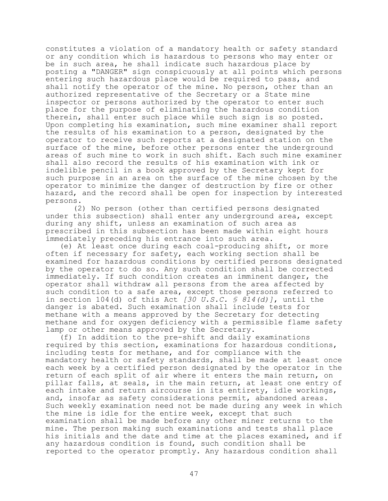constitutes a violation of a mandatory health or safety standard or any condition which is hazardous to persons who may enter or be in such area, he shall indicate such hazardous place by posting a "DANGER" sign conspicuously at all points which persons entering such hazardous place would be required to pass, and shall notify the operator of the mine. No person, other than an authorized representative of the Secretary or a State mine inspector or persons authorized by the operator to enter such place for the purpose of eliminating the hazardous condition therein, shall enter such place while such sign is so posted. Upon completing his examination, such mine examiner shall report the results of his examination to a person, designated by the operator to receive such reports at a designated station on the surface of the mine, before other persons enter the underground areas of such mine to work in such shift. Each such mine examiner shall also record the results of his examination with ink or indelible pencil in a book approved by the Secretary kept for such purpose in an area on the surface of the mine chosen by the operator to minimize the danger of destruction by fire or other hazard, and the record shall be open for inspection by interested persons.

(2) No person (other than certified persons designated under this subsection) shall enter any underground area, except during any shift, unless an examination of such area as prescribed in this subsection has been made within eight hours immediately preceding his entrance into such area.

(e) At least once during each coal-producing shift, or more often if necessary for safety, each working section shall be examined for hazardous conditions by certified persons designated by the operator to do so. Any such condition shall be corrected immediately. If such condition creates an imminent danger, the operator shall withdraw all persons from the area affected by such condition to a safe area, except those persons referred to in section 104(d) of this Act *[30 U.S.C. § 814(d)]*, until the danger is abated. Such examination shall include tests for methane with a means approved by the Secretary for detecting methane and for oxygen deficiency with a permissible flame safety lamp or other means approved by the Secretary.

(f) In addition to the pre-shift and daily examinations required by this section, examinations for hazardous conditions, including tests for methane, and for compliance with the mandatory health or safety standards, shall be made at least once each week by a certified person designated by the operator in the return of each split of air where it enters the main return, on pillar falls, at seals, in the main return, at least one entry of each intake and return aircourse in its entirety, idle workings, and, insofar as safety considerations permit, abandoned areas. Such weekly examination need not be made during any week in which the mine is idle for the entire week, except that such examination shall be made before any other miner returns to the mine. The person making such examinations and tests shall place his initials and the date and time at the places examined, and if any hazardous condition is found, such condition shall be reported to the operator promptly. Any hazardous condition shall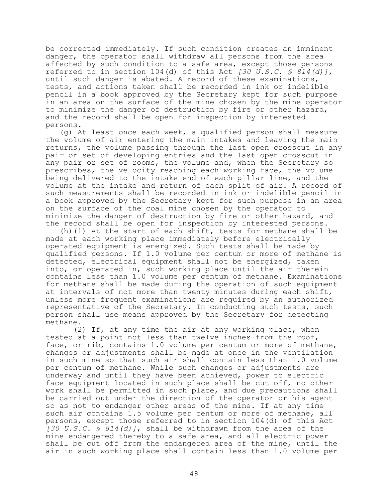be corrected immediately. If such condition creates an imminent danger, the operator shall withdraw all persons from the area affected by such condition to a safe area, except those persons referred to in section 104(d) of this Act *[30 U.S.C. § 814(d)]*, until such danger is abated. A record of these examinations, tests, and actions taken shall be recorded in ink or indelible pencil in a book approved by the Secretary kept for such purpose in an area on the surface of the mine chosen by the mine operator to minimize the danger of destruction by fire or other hazard, and the record shall be open for inspection by interested persons.

(g) At least once each week, a qualified person shall measure the volume of air entering the main intakes and leaving the main returns, the volume passing through the last open crosscut in any pair or set of developing entries and the last open crosscut in any pair or set of rooms, the volume and, when the Secretary so prescribes, the velocity reaching each working face, the volume being delivered to the intake end of each pillar line, and the volume at the intake and return of each split of air. A record of such measurements shall be recorded in ink or indelible pencil in a book approved by the Secretary kept for such purpose in an area on the surface of the coal mine chosen by the operator to minimize the danger of destruction by fire or other hazard, and the record shall be open for inspection by interested persons.

(h)(1) At the start of each shift, tests for methane shall be made at each working place immediately before electrically operated equipment is energized. Such tests shall be made by qualified persons. If 1.0 volume per centum or more of methane is detected, electrical equipment shall not be energized, taken into, or operated in, such working place until the air therein contains less than 1.0 volume per centum of methane. Examinations for methane shall be made during the operation of such equipment at intervals of not more than twenty minutes during each shift, unless more frequent examinations are required by an authorized representative of the Secretary. In conducting such tests, such person shall use means approved by the Secretary for detecting methane.

(2) If, at any time the air at any working place, when tested at a point not less than twelve inches from the roof, face, or rib, contains 1.0 volume per centum or more of methane, changes or adjustments shall be made at once in the ventilation in such mine so that such air shall contain less than 1.0 volume per centum of methane. While such changes or adjustments are underway and until they have been achieved, power to electric face equipment located in such place shall be cut off, no other work shall be permitted in such place, and due precautions shall be carried out under the direction of the operator or his agent so as not to endanger other areas of the mine. If at any time such air contains 1.5 volume per centum or more of methane, all persons, except those referred to in section 104(d) of this Act *[30 U.S.C. § 814(d)]*, shall be withdrawn from the area of the mine endangered thereby to a safe area, and all electric power shall be cut off from the endangered area of the mine, until the air in such working place shall contain less than 1.0 volume per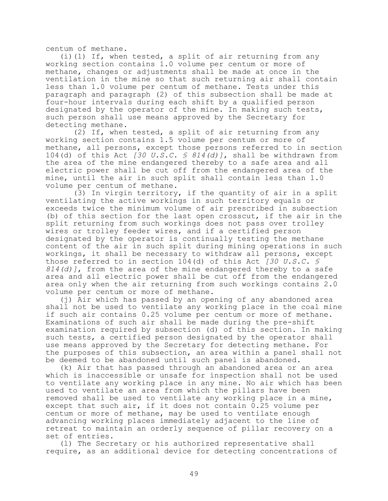centum of methane.

(i)(1) If, when tested, a split of air returning from any working section contains 1.0 volume per centum or more of methane, changes or adjustments shall be made at once in the ventilation in the mine so that such returning air shall contain less than 1.0 volume per centum of methane. Tests under this paragraph and paragraph (2) of this subsection shall be made at four-hour intervals during each shift by a qualified person designated by the operator of the mine. In making such tests, such person shall use means approved by the Secretary for detecting methane.

(2) If, when tested, a split of air returning from any working section contains 1.5 volume per centum or more of methane, all persons, except those persons referred to in section 104(d) of this Act *[30 U.S.C. § 814(d)]*, shall be withdrawn from the area of the mine endangered thereby to a safe area and all electric power shall be cut off from the endangered area of the mine, until the air in such split shall contain less than 1.0 volume per centum of methane.

(3) In virgin territory, if the quantity of air in a split ventilating the active workings in such territory equals or exceeds twice the minimum volume of air prescribed in subsection (b) of this section for the last open crosscut, if the air in the split returning from such workings does not pass over trolley wires or trolley feeder wires, and if a certified person designated by the operator is continually testing the methane content of the air in such split during mining operations in such workings, it shall be necessary to withdraw all persons, except those referred to in section 104(d) of this Act *[30 U.S.C. § 814(d)]*, from the area of the mine endangered thereby to a safe area and all electric power shall be cut off from the endangered area only when the air returning from such workings contains 2.0 volume per centum or more of methane.

(j) Air which has passed by an opening of any abandoned area shall not be used to ventilate any working place in the coal mine if such air contains 0.25 volume per centum or more of methane. Examinations of such air shall be made during the pre-shift examination required by subsection (d) of this section. In making such tests, a certified person designated by the operator shall use means approved by the Secretary for detecting methane. For the purposes of this subsection, an area within a panel shall not be deemed to be abandoned until such panel is abandoned.

(k) Air that has passed through an abandoned area or an area which is inaccessible or unsafe for inspection shall not be used to ventilate any working place in any mine. No air which has been used to ventilate an area from which the pillars have been removed shall be used to ventilate any working place in a mine, except that such air, if it does not contain 0.25 volume per centum or more of methane, may be used to ventilate enough advancing working places immediately adjacent to the line of retreat to maintain an orderly sequence of pillar recovery on a set of entries.

(l) The Secretary or his authorized representative shall require, as an additional device for detecting concentrations of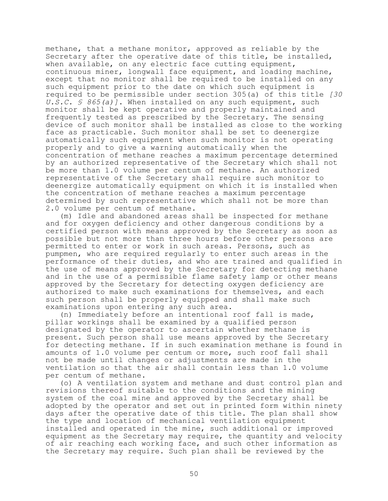methane, that a methane monitor, approved as reliable by the Secretary after the operative date of this title, be installed, when available, on any electric face cutting equipment, continuous miner, longwall face equipment, and loading machine, except that no monitor shall be required to be installed on any such equipment prior to the date on which such equipment is required to be permissible under section 305(a) of this title *[30 U.S.C. § 865(a)]*. When installed on any such equipment, such monitor shall be kept operative and properly maintained and frequently tested as prescribed by the Secretary. The sensing device of such monitor shall be installed as close to the working face as practicable. Such monitor shall be set to deenergize automatically such equipment when such monitor is not operating properly and to give a warning automatically when the concentration of methane reaches a maximum percentage determined by an authorized representative of the Secretary which shall not be more than 1.0 volume per centum of methane. An authorized representative of the Secretary shall require such monitor to deenergize automatically equipment on which it is installed when the concentration of methane reaches a maximum percentage determined by such representative which shall not be more than 2.0 volume per centum of methane.

(m) Idle and abandoned areas shall be inspected for methane and for oxygen deficiency and other dangerous conditions by a certified person with means approved by the Secretary as soon as possible but not more than three hours before other persons are permitted to enter or work in such areas. Persons, such as pumpmen, who are required regularly to enter such areas in the performance of their duties, and who are trained and qualified in the use of means approved by the Secretary for detecting methane and in the use of a permissible flame safety lamp or other means approved by the Secretary for detecting oxygen deficiency are authorized to make such examinations for themselves, and each such person shall be properly equipped and shall make such examinations upon entering any such area.

(n) Immediately before an intentional roof fall is made, pillar workings shall be examined by a qualified person designated by the operator to ascertain whether methane is present. Such person shall use means approved by the Secretary for detecting methane. If in such examination methane is found in amounts of 1.0 volume per centum or more, such roof fall shall not be made until changes or adjustments are made in the ventilation so that the air shall contain less than 1.0 volume per centum of methane.

(o) A ventilation system and methane and dust control plan and revisions thereof suitable to the conditions and the mining system of the coal mine and approved by the Secretary shall be adopted by the operator and set out in printed form within ninety days after the operative date of this title. The plan shall show the type and location of mechanical ventilation equipment installed and operated in the mine, such additional or improved equipment as the Secretary may require, the quantity and velocity of air reaching each working face, and such other information as the Secretary may require. Such plan shall be reviewed by the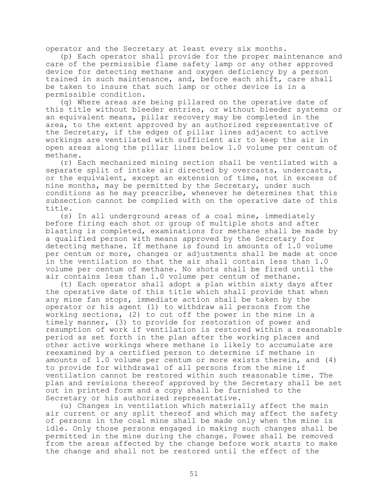operator and the Secretary at least every six months.

(p) Each operator shall provide for the proper maintenance and care of the permissible flame safety lamp or any other approved device for detecting methane and oxygen deficiency by a person trained in such maintenance, and, before each shift, care shall be taken to insure that such lamp or other device is in a permissible condition.

(q) Where areas are being pillared on the operative date of this title without bleeder entries, or without bleeder systems or an equivalent means, pillar recovery may be completed in the area, to the extent approved by an authorized representative of the Secretary, if the edges of pillar lines adjacent to active workings are ventilated with sufficient air to keep the air in open areas along the pillar lines below 1.0 volume per centum of methane.

(r) Each mechanized mining section shall be ventilated with a separate split of intake air directed by overcasts, undercasts, or the equivalent, except an extension of time, not in excess of nine months, may be permitted by the Secretary, under such conditions as he may prescribe, whenever he determines that this subsection cannot be complied with on the operative date of this title.

(s) In all underground areas of a coal mine, immediately before firing each shot or group of multiple shots and after blasting is completed, examinations for methane shall be made by a qualified person with means approved by the Secretary for detecting methane. If methane is found in amounts of 1.0 volume per centum or more, changes or adjustments shall be made at once in the ventilation so that the air shall contain less than 1.0 volume per centum of methane. No shots shall be fired until the air contains less than 1.0 volume per centum of methane.

(t) Each operator shall adopt a plan within sixty days after the operative date of this title which shall provide that when any mine fan stops, immediate action shall be taken by the operator or his agent (1) to withdraw all persons from the working sections, (2) to cut off the power in the mine in a timely manner, (3) to provide for restoration of power and resumption of work if ventilation is restored within a reasonable period as set forth in the plan after the working places and other active workings where methane is likely to accumulate are reexamined by a certified person to determine if methane in amounts of 1.0 volume per centum or more exists therein, and (4) to provide for withdrawal of all persons from the mine if ventilation cannot be restored within such reasonable time. The plan and revisions thereof approved by the Secretary shall be set out in printed form and a copy shall be furnished to the Secretary or his authorized representative.

(u) Changes in ventilation which materially affect the main air current or any split thereof and which may affect the safety of persons in the coal mine shall be made only when the mine is idle. Only those persons engaged in making such changes shall be permitted in the mine during the change. Power shall be removed from the areas affected by the change before work starts to make the change and shall not be restored until the effect of the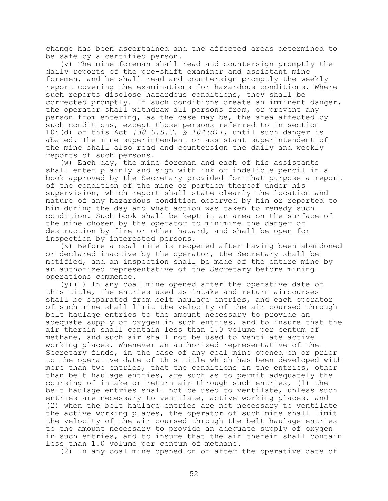change has been ascertained and the affected areas determined to be safe by a certified person.

(v) The mine foreman shall read and countersign promptly the daily reports of the pre-shift examiner and assistant mine foremen, and he shall read and countersign promptly the weekly report covering the examinations for hazardous conditions. Where such reports disclose hazardous conditions, they shall be corrected promptly. If such conditions create an imminent danger, the operator shall withdraw all persons from, or prevent any person from entering, as the case may be, the area affected by such conditions, except those persons referred to in section 104(d) of this Act *[30 U.S.C. § 104(d)]*, until such danger is abated. The mine superintendent or assistant superintendent of the mine shall also read and countersign the daily and weekly reports of such persons.

(w) Each day, the mine foreman and each of his assistants shall enter plainly and sign with ink or indelible pencil in a book approved by the Secretary provided for that purpose a report of the condition of the mine or portion thereof under his supervision, which report shall state clearly the location and nature of any hazardous condition observed by him or reported to him during the day and what action was taken to remedy such condition. Such book shall be kept in an area on the surface of the mine chosen by the operator to minimize the danger of destruction by fire or other hazard, and shall be open for inspection by interested persons.

(x) Before a coal mine is reopened after having been abandoned or declared inactive by the operator, the Secretary shall be notified, and an inspection shall be made of the entire mine by an authorized representative of the Secretary before mining operations commence.

(y)(1) In any coal mine opened after the operative date of this title, the entries used as intake and return aircourses shall be separated from belt haulage entries, and each operator of such mine shall limit the velocity of the air coursed through belt haulage entries to the amount necessary to provide an adequate supply of oxygen in such entries, and to insure that the air therein shall contain less than 1.0 volume per centum of methane, and such air shall not be used to ventilate active working places. Whenever an authorized representative of the Secretary finds, in the case of any coal mine opened on or prior to the operative date of this title which has been developed with more than two entries, that the conditions in the entries, other than belt haulage entries, are such as to permit adequately the coursing of intake or return air through such entries, (1) the belt haulage entries shall not be used to ventilate, unless such entries are necessary to ventilate, active working places, and (2) when the belt haulage entries are not necessary to ventilate the active working places, the operator of such mine shall limit the velocity of the air coursed through the belt haulage entries to the amount necessary to provide an adequate supply of oxygen in such entries, and to insure that the air therein shall contain less than 1.0 volume per centum of methane.

(2) In any coal mine opened on or after the operative date of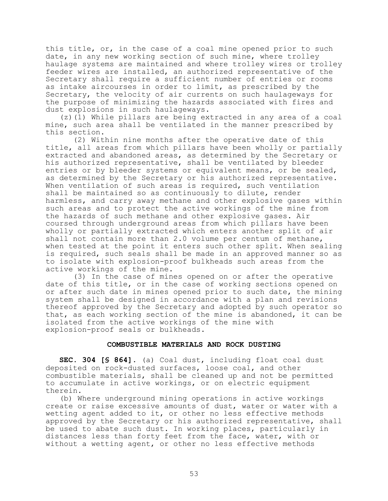this title, or, in the case of a coal mine opened prior to such date, in any new working section of such mine, where trolley haulage systems are maintained and where trolley wires or trolley feeder wires are installed, an authorized representative of the Secretary shall require a sufficient number of entries or rooms as intake aircourses in order to limit, as prescribed by the Secretary, the velocity of air currents on such haulageways for the purpose of minimizing the hazards associated with fires and dust explosions in such haulageways.

(z)(1) While pillars are being extracted in any area of a coal mine, such area shall be ventilated in the manner prescribed by this section.

(2) Within nine months after the operative date of this title, all areas from which pillars have been wholly or partially extracted and abandoned areas, as determined by the Secretary or his authorized representative, shall be ventilated by bleeder entries or by bleeder systems or equivalent means, or be sealed, as determined by the Secretary or his authorized representative. When ventilation of such areas is required, such ventilation shall be maintained so as continuously to dilute, render harmless, and carry away methane and other explosive gases within such areas and to protect the active workings of the mine from the hazards of such methane and other explosive gases. Air coursed through underground areas from which pillars have been wholly or partially extracted which enters another split of air shall not contain more than 2.0 volume per centum of methane, when tested at the point it enters such other split. When sealing is required, such seals shall be made in an approved manner so as to isolate with explosion-proof bulkheads such areas from the active workings of the mine.

(3) In the case of mines opened on or after the operative date of this title, or in the case of working sections opened on or after such date in mines opened prior to such date, the mining system shall be designed in accordance with a plan and revisions thereof approved by the Secretary and adopted by such operator so that, as each working section of the mine is abandoned, it can be isolated from the active workings of the mine with explosion-proof seals or bulkheads.

# **COMBUSTIBLE MATERIALS AND ROCK DUSTING**

**SEC. 304 [§ 864]**. (a) Coal dust, including float coal dust deposited on rock-dusted surfaces, loose coal, and other combustible materials, shall be cleaned up and not be permitted to accumulate in active workings, or on electric equipment therein.

(b) Where underground mining operations in active workings create or raise excessive amounts of dust, water or water with a wetting agent added to it, or other no less effective methods approved by the Secretary or his authorized representative, shall be used to abate such dust. In working places, particularly in distances less than forty feet from the face, water, with or without a wetting agent, or other no less effective methods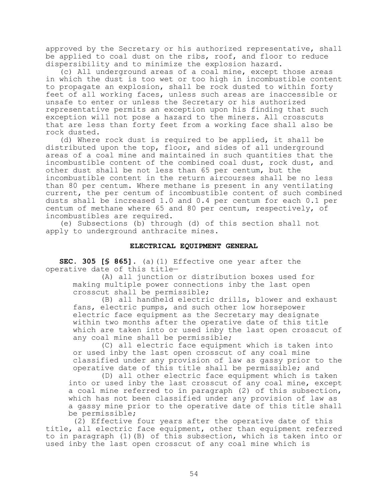approved by the Secretary or his authorized representative, shall be applied to coal dust on the ribs, roof, and floor to reduce dispersibility and to minimize the explosion hazard.

(c) All underground areas of a coal mine, except those areas in which the dust is too wet or too high in incombustible content to propagate an explosion, shall be rock dusted to within forty feet of all working faces, unless such areas are inaccessible or unsafe to enter or unless the Secretary or his authorized representative permits an exception upon his finding that such exception will not pose a hazard to the miners. All crosscuts that are less than forty feet from a working face shall also be rock dusted.

(d) Where rock dust is required to be applied, it shall be distributed upon the top, floor, and sides of all underground areas of a coal mine and maintained in such quantities that the incombustible content of the combined coal dust, rock dust, and other dust shall be not less than 65 per centum, but the incombustible content in the return aircourses shall be no less than 80 per centum. Where methane is present in any ventilating current, the per centum of incombustible content of such combined dusts shall be increased 1.0 and 0.4 per centum for each 0.1 per centum of methane where 65 and 80 per centum, respectively, of incombustibles are required.

(e) Subsections (b) through (d) of this section shall not apply to underground anthracite mines.

## **ELECTRICAL EQUIPMENT GENERAL**

**SEC. 305 [§ 865]**. (a)(1) Effective one year after the operative date of this title—

> (A) all junction or distribution boxes used for making multiple power connections inby the last open crosscut shall be permissible;

(B) all handheld electric drills, blower and exhaust fans, electric pumps, and such other low horsepower electric face equipment as the Secretary may designate within two months after the operative date of this title which are taken into or used inby the last open crosscut of any coal mine shall be permissible;

(C) all electric face equipment which is taken into or used inby the last open crosscut of any coal mine classified under any provision of law as gassy prior to the operative date of this title shall be permissible; and

(D) all other electric face equipment which is taken into or used inby the last crosscut of any coal mine, except a coal mine referred to in paragraph (2) of this subsection, which has not been classified under any provision of law as a gassy mine prior to the operative date of this title shall be permissible;

(2) Effective four years after the operative date of this title, all electric face equipment, other than equipment referred to in paragraph (1)(B) of this subsection, which is taken into or used inby the last open crosscut of any coal mine which is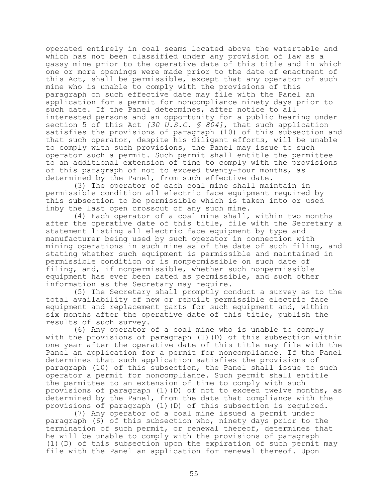operated entirely in coal seams located above the watertable and which has not been classified under any provision of law as a gassy mine prior to the operative date of this title and in which one or more openings were made prior to the date of enactment of this Act, shall be permissible, except that any operator of such mine who is unable to comply with the provisions of this paragraph on such effective date may file with the Panel an application for a permit for noncompliance ninety days prior to such date. If the Panel determines, after notice to all interested persons and an opportunity for a public hearing under section 5 of this Act *[30 U.S.C. § 804]*, that such application satisfies the provisions of paragraph (10) of this subsection and that such operator, despite his diligent efforts, will be unable to comply with such provisions, the Panel may issue to such operator such a permit. Such permit shall entitle the permittee to an additional extension of time to comply with the provisions of this paragraph of not to exceed twenty-four months, as determined by the Panel, from such effective date.

(3) The operator of each coal mine shall maintain in permissible condition all electric face equipment required by this subsection to be permissible which is taken into or used inby the last open crosscut of any such mine.

(4) Each operator of a coal mine shall, within two months after the operative date of this title, file with the Secretary a statement listing all electric face equipment by type and manufacturer being used by such operator in connection with mining operations in such mine as of the date of such filing, and stating whether such equipment is permissible and maintained in permissible condition or is nonpermissible on such date of filing, and, if nonpermissible, whether such nonpermissible equipment has ever been rated as permissible, and such other information as the Secretary may require.

(5) The Secretary shall promptly conduct a survey as to the total availability of new or rebuilt permissible electric face equipment and replacement parts for such equipment and, within six months after the operative date of this title, publish the results of such survey.

(6) Any operator of a coal mine who is unable to comply with the provisions of paragraph (1)(D) of this subsection within one year after the operative date of this title may file with the Panel an application for a permit for noncompliance. If the Panel determines that such application satisfies the provisions of paragraph (10) of this subsection, the Panel shall issue to such operator a permit for noncompliance. Such permit shall entitle the permittee to an extension of time to comply with such provisions of paragraph (1)(D) of not to exceed twelve months, as determined by the Panel, from the date that compliance with the provisions of paragraph (1)(D) of this subsection is required.

(7) Any operator of a coal mine issued a permit under paragraph (6) of this subsection who, ninety days prior to the termination of such permit, or renewal thereof, determines that he will be unable to comply with the provisions of paragraph (1)(D) of this subsection upon the expiration of such permit may file with the Panel an application for renewal thereof. Upon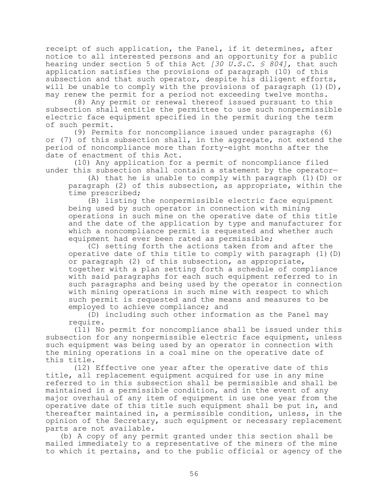receipt of such application, the Panel, if it determines, after notice to all interested persons and an opportunity for a public hearing under section 5 of this Act *[30 U.S.C. § 804]*, that such application satisfies the provisions of paragraph (10) of this subsection and that such operator, despite his diligent efforts, will be unable to comply with the provisions of paragraph (1)(D), may renew the permit for a period not exceeding twelve months.

(8) Any permit or renewal thereof issued pursuant to this subsection shall entitle the permittee to use such nonpermissible electric face equipment specified in the permit during the term of such permit.

(9) Permits for noncompliance issued under paragraphs (6) or (7) of this subsection shall, in the aggregate, not extend the period of noncompliance more than forty-eight months after the date of enactment of this Act.

(10) Any application for a permit of noncompliance filed under this subsection shall contain a statement by the operator—

(A) that he is unable to comply with paragraph (1)(D) or paragraph (2) of this subsection, as appropriate, within the time prescribed;

(B) listing the nonpermissible electric face equipment being used by such operator in connection with mining operations in such mine on the operative date of this title and the date of the application by type and manufacturer for which a noncompliance permit is requested and whether such equipment had ever been rated as permissible;

(C) setting forth the actions taken from and after the operative date of this title to comply with paragraph (1)(D) or paragraph (2) of this subsection, as appropriate, together with a plan setting forth a schedule of compliance with said paragraphs for each such equipment referred to in such paragraphs and being used by the operator in connection with mining operations in such mine with respect to which such permit is requested and the means and measures to be employed to achieve compliance; and

(D) including such other information as the Panel may require.

(11) No permit for noncompliance shall be issued under this subsection for any nonpermissible electric face equipment, unless such equipment was being used by an operator in connection with the mining operations in a coal mine on the operative date of this title.

(12) Effective one year after the operative date of this title, all replacement equipment acquired for use in any mine referred to in this subsection shall be permissible and shall be maintained in a permissible condition, and in the event of any major overhaul of any item of equipment in use one year from the operative date of this title such equipment shall be put in, and thereafter maintained in, a permissible condition, unless, in the opinion of the Secretary, such equipment or necessary replacement parts are not available.

(b) A copy of any permit granted under this section shall be mailed immediately to a representative of the miners of the mine to which it pertains, and to the public official or agency of the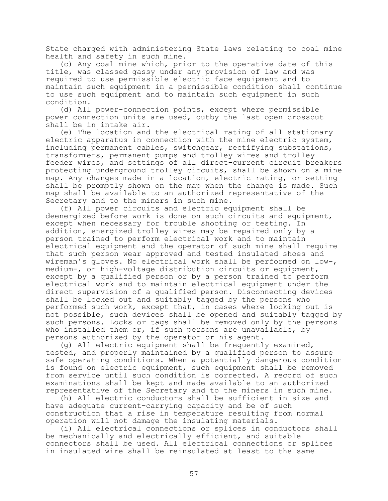State charged with administering State laws relating to coal mine health and safety in such mine.

(c) Any coal mine which, prior to the operative date of this title, was classed gassy under any provision of law and was required to use permissible electric face equipment and to maintain such equipment in a permissible condition shall continue to use such equipment and to maintain such equipment in such condition.

(d) All power-connection points, except where permissible power connection units are used, outby the last open crosscut shall be in intake air.

(e) The location and the electrical rating of all stationary electric apparatus in connection with the mine electric system, including permanent cables, switchgear, rectifying substations, transformers, permanent pumps and trolley wires and trolley feeder wires, and settings of all direct-current circuit breakers protecting underground trolley circuits, shall be shown on a mine map. Any changes made in a location, electric rating, or setting shall be promptly shown on the map when the change is made. Such map shall be available to an authorized representative of the Secretary and to the miners in such mine.

(f) All power circuits and electric equipment shall be deenergized before work is done on such circuits and equipment, except when necessary for trouble shooting or testing. In addition, energized trolley wires may be repaired only by a person trained to perform electrical work and to maintain electrical equipment and the operator of such mine shall require that such person wear approved and tested insulated shoes and wireman's gloves. No electrical work shall be performed on low-, medium-, or high-voltage distribution circuits or equipment, except by a qualified person or by a person trained to perform electrical work and to maintain electrical equipment under the direct supervision of a qualified person. Disconnecting devices shall be locked out and suitably tagged by the persons who performed such work, except that, in cases where locking out is not possible, such devices shall be opened and suitably tagged by such persons. Locks or tags shall be removed only by the persons who installed them or, if such persons are unavailable, by persons authorized by the operator or his agent.

(g) All electric equipment shall be frequently examined, tested, and properly maintained by a qualified person to assure safe operating conditions. When a potentially dangerous condition is found on electric equipment, such equipment shall be removed from service until such condition is corrected. A record of such examinations shall be kept and made available to an authorized representative of the Secretary and to the miners in such mine.

(h) All electric conductors shall be sufficient in size and have adequate current-carrying capacity and be of such construction that a rise in temperature resulting from normal operation will not damage the insulating materials.

(i) All electrical connections or splices in conductors shall be mechanically and electrically efficient, and suitable connectors shall be used. All electrical connections or splices in insulated wire shall be reinsulated at least to the same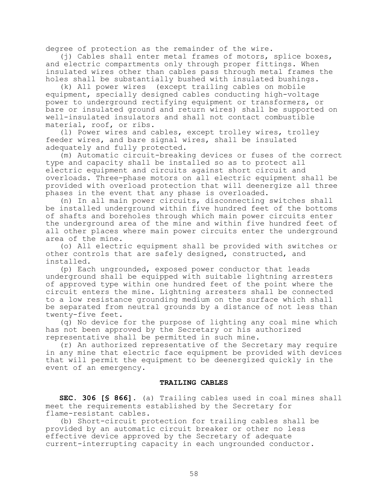degree of protection as the remainder of the wire.

(j) Cables shall enter metal frames of motors, splice boxes, and electric compartments only through proper fittings. When insulated wires other than cables pass through metal frames the holes shall be substantially bushed with insulated bushings.

(k) All power wires (except trailing cables on mobile equipment, specially designed cables conducting high-voltage power to underground rectifying equipment or transformers, or bare or insulated ground and return wires) shall be supported on well-insulated insulators and shall not contact combustible material, roof, or ribs.

(l) Power wires and cables, except trolley wires, trolley feeder wires, and bare signal wires, shall be insulated adequately and fully protected.

(m) Automatic circuit-breaking devices or fuses of the correct type and capacity shall be installed so as to protect all electric equipment and circuits against short circuit and overloads. Three-phase motors on all electric equipment shall be provided with overload protection that will deenergize all three phases in the event that any phase is overloaded.

(n) In all main power circuits, disconnecting switches shall be installed underground within five hundred feet of the bottoms of shafts and boreholes through which main power circuits enter the underground area of the mine and within five hundred feet of all other places where main power circuits enter the underground area of the mine.

(o) All electric equipment shall be provided with switches or other controls that are safely designed, constructed, and installed.

(p) Each ungrounded, exposed power conductor that leads underground shall be equipped with suitable lightning arresters of approved type within one hundred feet of the point where the circuit enters the mine. Lightning arresters shall be connected to a low resistance grounding medium on the surface which shall be separated from neutral grounds by a distance of not less than twenty-five feet.

(q) No device for the purpose of lighting any coal mine which has not been approved by the Secretary or his authorized representative shall be permitted in such mine.

(r) An authorized representative of the Secretary may require in any mine that electric face equipment be provided with devices that will permit the equipment to be deenergized quickly in the event of an emergency.

## **TRAILING CABLES**

**SEC. 306 [§ 866]**. (a) Trailing cables used in coal mines shall meet the requirements established by the Secretary for flame-resistant cables.

(b) Short-circuit protection for trailing cables shall be provided by an automatic circuit breaker or other no less effective device approved by the Secretary of adequate current-interrupting capacity in each ungrounded conductor.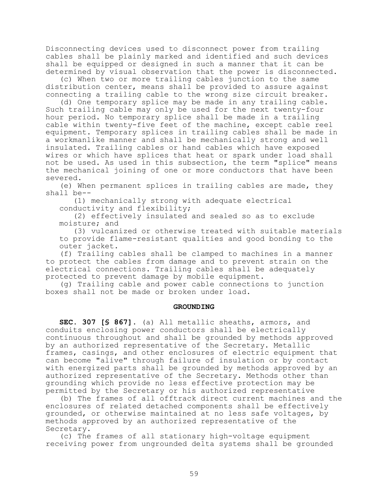Disconnecting devices used to disconnect power from trailing cables shall be plainly marked and identified and such devices shall be equipped or designed in such a manner that it can be determined by visual observation that the power is disconnected.

(c) When two or more trailing cables junction to the same distribution center, means shall be provided to assure against connecting a trailing cable to the wrong size circuit breaker.

(d) One temporary splice may be made in any trailing cable. Such trailing cable may only be used for the next twenty-four hour period. No temporary splice shall be made in a trailing cable within twenty-five feet of the machine, except cable reel equipment. Temporary splices in trailing cables shall be made in a workmanlike manner and shall be mechanically strong and well insulated. Trailing cables or hand cables which have exposed wires or which have splices that heat or spark under load shall not be used. As used in this subsection, the term "splice" means the mechanical joining of one or more conductors that have been severed.

(e) When permanent splices in trailing cables are made, they shall be--

(1) mechanically strong with adequate electrical

conductivity and flexibility;

(2) effectively insulated and sealed so as to exclude moisture; and

(3) vulcanized or otherwise treated with suitable materials to provide flame-resistant qualities and good bonding to the outer jacket.

(f) Trailing cables shall be clamped to machines in a manner to protect the cables from damage and to prevent strain on the electrical connections. Trailing cables shall be adequately protected to prevent damage by mobile equipment.

(g) Trailing cable and power cable connections to junction boxes shall not be made or broken under load.

## **GROUNDING**

**SEC. 307 [§ 867]**. (a) All metallic sheaths, armors, and conduits enclosing power conductors shall be electrically continuous throughout and shall be grounded by methods approved by an authorized representative of the Secretary. Metallic frames, casings, and other enclosures of electric equipment that can become "alive" through failure of insulation or by contact with energized parts shall be grounded by methods approved by an authorized representative of the Secretary. Methods other than grounding which provide no less effective protection may be permitted by the Secretary or his authorized representative

(b) The frames of all offtrack direct current machines and the enclosures of related detached components shall be effectively grounded, or otherwise maintained at no less safe voltages, by methods approved by an authorized representative of the Secretary.

(c) The frames of all stationary high-voltage equipment receiving power from ungrounded delta systems shall be grounded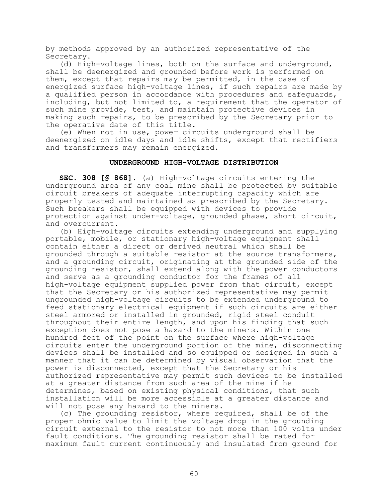by methods approved by an authorized representative of the Secretary.

(d) High-voltage lines, both on the surface and underground, shall be deenergized and grounded before work is performed on them, except that repairs may be permitted, in the case of energized surface high-voltage lines, if such repairs are made by a qualified person in accordance with procedures and safeguards, including, but not limited to, a requirement that the operator of such mine provide, test, and maintain protective devices in making such repairs, to be prescribed by the Secretary prior to the operative date of this title.

(e) When not in use, power circuits underground shall be deenergized on idle days and idle shifts, except that rectifiers and transformers may remain energized.

## **UNDERGROUND HIGH-VOLTAGE DISTRIBUTION**

**SEC. 308 [§ 868]**. (a) High-voltage circuits entering the underground area of any coal mine shall be protected by suitable circuit breakers of adequate interrupting capacity which are properly tested and maintained as prescribed by the Secretary. Such breakers shall be equipped with devices to provide protection against under-voltage, grounded phase, short circuit, and overcurrent.

(b) High-voltage circuits extending underground and supplying portable, mobile, or stationary high-voltage equipment shall contain either a direct or derived neutral which shall be grounded through a suitable resistor at the source transformers, and a grounding circuit, originating at the grounded side of the grounding resistor, shall extend along with the power conductors and serve as a grounding conductor for the frames of all high-voltage equipment supplied power from that circuit, except that the Secretary or his authorized representative may permit ungrounded high-voltage circuits to be extended underground to feed stationary electrical equipment if such circuits are either steel armored or installed in grounded, rigid steel conduit throughout their entire length, and upon his finding that such exception does not pose a hazard to the miners. Within one hundred feet of the point on the surface where high-voltage circuits enter the underground portion of the mine, disconnecting devices shall be installed and so equipped or designed in such a manner that it can be determined by visual observation that the power is disconnected, except that the Secretary or his authorized representative may permit such devices to be installed at a greater distance from such area of the mine if he determines, based on existing physical conditions, that such installation will be more accessible at a greater distance and will not pose any hazard to the miners.

(c) The grounding resistor, where required, shall be of the proper ohmic value to limit the voltage drop in the grounding circuit external to the resistor to not more than 100 volts under fault conditions. The grounding resistor shall be rated for maximum fault current continuously and insulated from ground for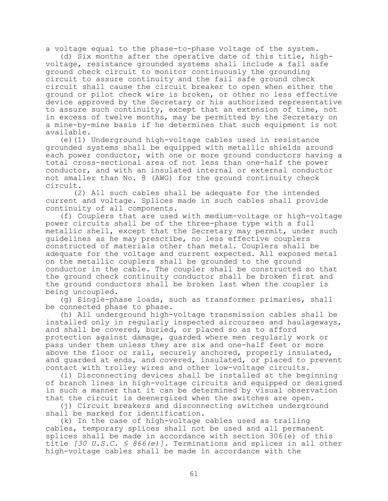a voltage equal to the phase-to-phase voltage of the system.

(d) Six months after the operative date of this title, highvoltage, resistance grounded systems shall include a fail safe ground check circuit to monitor continuously the grounding circuit to assure continuity and the fail safe ground check circuit shall cause the circuit breaker to open when either the ground or pilot check wire is broken, or other no less effective device approved by the Secretary or his authorized representative to assure such continuity, except that an extension of time, not in excess of twelve months, may be permitted by the Secretary on a mine-by-mine basis if he determines that such equipment is not available.

(e)(1) Underground high-voltage cables used in resistance grounded systems shall be equipped with metallic shields around each power conductor, with one or more ground conductors having a total cross-sectional area of not less than one-half the power conductor, and with an insulated internal or external conductor not smaller than No. 8 (AWG) for the ground continuity check circuit.

(2) All such cables shall be adequate for the intended current and voltage. Splices made in such cables shall provide continuity of all components.

(f) Couplers that are used with medium-voltage or high-voltage power circuits shall be of the three-phase type with a full metallic shell, except that the Secretary may permit, under such guidelines as he may prescribe, no less effective couplers constructed of materials other than metal. Couplers shall be adequate for the voltage and current expected. All exposed metal on the metallic couplers shall be grounded to the ground conductor in the cable. The coupler shall be constructed so that the ground check continuity conductor shall be broken first and the ground conductors shall be broken last when the coupler is being uncoupled.

(g) Single-phase loads, such as transformer primaries, shall be connected phase to phase.

(h) All underground high-voltage transmission cables shall be installed only in regularly inspected aircourses and haulageways, and shall be covered, buried, or placed so as to afford protection against damage, guarded where men regularly work or pass under them unless they are six and one-half feet or more above the floor or rail, securely anchored, properly insulated, and guarded at ends, and covered, insulated, or placed to prevent contact with trolley wires and other low-voltage circuits.

(i) Disconnecting devices shall be installed at the beginning of branch lines in high-voltage circuits and equipped or designed in such a manner that it can be determined by visual observation that the circuit is deenergized when the switches are open.

(j) Circuit breakers and disconnecting switches underground shall be marked for identification.

(k) In the case of high-voltage cables used as trailing cables, temporary splices shall not be used and all permanent splices shall be made in accordance with section 306(e) of this title *[30 U.S.C. § 866(e)]*. Terminations and splices in all other high-voltage cables shall be made in accordance with the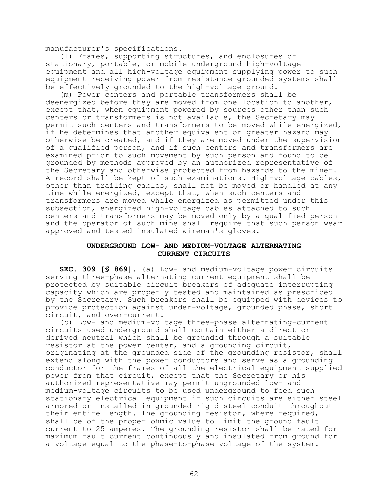manufacturer's specifications.

(1) Frames, supporting structures, and enclosures of stationary, portable, or mobile underground high-voltage equipment and all high-voltage equipment supplying power to such equipment receiving power from resistance grounded systems shall be effectively grounded to the high-voltage ground.

(m) Power centers and portable transformers shall be deenergized before they are moved from one location to another, except that, when equipment powered by sources other than such centers or transformers is not available, the Secretary may permit such centers and transformers to be moved while energized, if he determines that another equivalent or greater hazard may otherwise be created, and if they are moved under the supervision of a qualified person, and if such centers and transformers are examined prior to such movement by such person and found to be grounded by methods approved by an authorized representative of the Secretary and otherwise protected from hazards to the miner. A record shall be kept of such examinations. High-voltage cables, other than trailing cables, shall not be moved or handled at any time while energized, except that, when such centers and transformers are moved while energized as permitted under this subsection, energized high-voltage cables attached to such centers and transformers may be moved only by a qualified person and the operator of such mine shall require that such person wear approved and tested insulated wireman's gloves.

## **UNDERGROUND LOW- AND MEDIUM-VOLTAGE ALTERNATING CURRENT CIRCUITS**

**SEC. 309 [§ 869]**. (a) Low- and medium-voltage power circuits serving three-phase alternating current equipment shall be protected by suitable circuit breakers of adequate interrupting capacity which are properly tested and maintained as prescribed by the Secretary. Such breakers shall be equipped with devices to provide protection against under-voltage, grounded phase, short circuit, and over-current.

(b) Low- and medium-voltage three-phase alternating-current circuits used underground shall contain either a direct or derived neutral which shall be grounded through a suitable resistor at the power center, and a grounding circuit, originating at the grounded side of the grounding resistor, shall extend along with the power conductors and serve as a grounding conductor for the frames of all the electrical equipment supplied power from that circuit, except that the Secretary or his authorized representative may permit ungrounded low- and medium-voltage circuits to be used underground to feed such stationary electrical equipment if such circuits are either steel armored or installed in grounded rigid steel conduit throughout their entire length. The grounding resistor, where required, shall be of the proper ohmic value to limit the ground fault current to 25 amperes. The grounding resistor shall be rated for maximum fault current continuously and insulated from ground for a voltage equal to the phase-to-phase voltage of the system.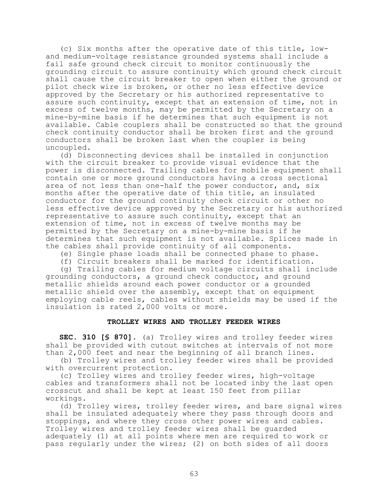(c) Six months after the operative date of this title, lowand medium-voltage resistance grounded systems shall include a fail safe ground check circuit to monitor continuously the grounding circuit to assure continuity which ground check circuit shall cause the circuit breaker to open when either the ground or pilot check wire is broken, or other no less effective device approved by the Secretary or his authorized representative to assure such continuity, except that an extension of time, not in excess of twelve months, may be permitted by the Secretary on a mine-by-mine basis if he determines that such equipment is not available. Cable couplers shall be constructed so that the ground check continuity conductor shall be broken first and the ground conductors shall be broken last when the coupler is being uncoupled.

(d) Disconnecting devices shall be installed in conjunction with the circuit breaker to provide visual evidence that the power is disconnected. Trailing cables for mobile equipment shall contain one or more ground conductors having a cross sectional area of not less than one-half the power conductor, and, six months after the operative date of this title, an insulated conductor for the ground continuity check circuit or other no less effective device approved by the Secretary or his authorized representative to assure such continuity, except that an extension of time, not in excess of twelve months may be permitted by the Secretary on a mine-by-mine basis if he determines that such equipment is not available. Splices made in the cables shall provide continuity of all components.

(e) Single phase loads shall be connected phase to phase.

(f) Circuit breakers shall be marked for identification.

(g) Trailing cables for medium voltage circuits shall include grounding conductors, a ground check conductor, and ground metallic shields around each power conductor or a grounded metallic shield over the assembly, except that on equipment employing cable reels, cables without shields may be used if the insulation is rated 2,000 volts or more.

# **TROLLEY WIRES AND TROLLEY FEEDER WIRES**

**SEC. 310 [§ 870]**. (a) Trolley wires and trolley feeder wires shall be provided with cutout switches at intervals of not more than 2,000 feet and near the beginning of all branch lines.

(b) Trolley wires and trolley feeder wires shall be provided with overcurrent protection.

(c) Trolley wires and trolley feeder wires, high-voltage cables and transformers shall not be located inby the last open crosscut and shall be kept at least 150 feet from pillar workings.

(d) Trolley wires, trolley feeder wires, and bare signal wires shall be insulated adequately where they pass through doors and stoppings, and where they cross other power wires and cables. Trolley wires and trolley feeder wires shall be guarded adequately (1) at all points where men are required to work or pass regularly under the wires; (2) on both sides of all doors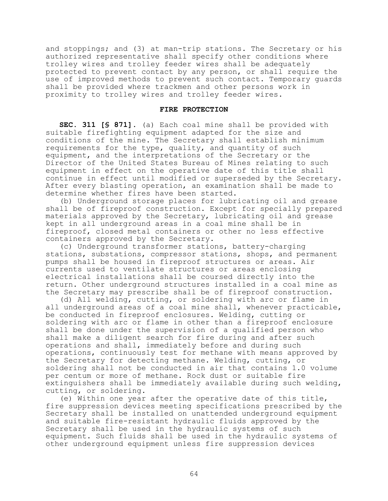and stoppings; and (3) at man-trip stations. The Secretary or his authorized representative shall specify other conditions where trolley wires and trolley feeder wires shall be adequately protected to prevent contact by any person, or shall require the use of improved methods to prevent such contact. Temporary guards shall be provided where trackmen and other persons work in proximity to trolley wires and trolley feeder wires.

# **FIRE PROTECTION**

**SEC. 311 [§ 871]**. (a) Each coal mine shall be provided with suitable firefighting equipment adapted for the size and conditions of the mine. The Secretary shall establish minimum requirements for the type, quality, and quantity of such equipment, and the interpretations of the Secretary or the Director of the United States Bureau of Mines relating to such equipment in effect on the operative date of this title shall continue in effect until modified or superseded by the Secretary. After every blasting operation, an examination shall be made to determine whether fires have been started.

(b) Underground storage places for lubricating oil and grease shall be of fireproof construction. Except for specially prepared materials approved by the Secretary, lubricating oil and grease kept in all underground areas in a coal mine shall be in fireproof, closed metal containers or other no less effective containers approved by the Secretary.

(c) Underground transformer stations, battery-charging stations, substations, compressor stations, shops, and permanent pumps shall be housed in fireproof structures or areas. Air currents used to ventilate structures or areas enclosing electrical installations shall be coursed directly into the return. Other underground structures installed in a coal mine as the Secretary may prescribe shall be of fireproof construction.

(d) All welding, cutting, or soldering with arc or flame in all underground areas of a coal mine shall, whenever practicable, be conducted in fireproof enclosures. Welding, cutting or soldering with arc or flame in other than a fireproof enclosure shall be done under the supervision of a qualified person who shall make a diligent search for fire during and after such operations and shall, immediately before and during such operations, continuously test for methane with means approved by the Secretary for detecting methane. Welding, cutting, or soldering shall not be conducted in air that contains 1.0 volume per centum or more of methane. Rock dust or suitable fire extinguishers shall be immediately available during such welding, cutting, or soldering.

(e) Within one year after the operative date of this title, fire suppression devices meeting specifications prescribed by the Secretary shall be installed on unattended underground equipment and suitable fire-resistant hydraulic fluids approved by the Secretary shall be used in the hydraulic systems of such equipment. Such fluids shall be used in the hydraulic systems of other underground equipment unless fire suppression devices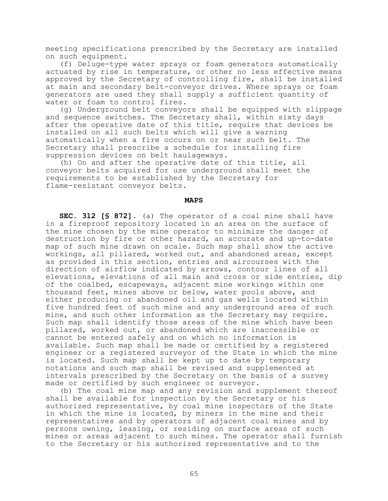meeting specifications prescribed by the Secretary are installed on such equipment.

(f) Deluge-type water sprays or foam generators automatically actuated by rise in temperature, or other no less effective means approved by the Secretary of controlling fire, shall be installed at main and secondary belt-conveyor drives. Where sprays or foam generators are used they shall supply a sufficient quantity of water or foam to control fires.

(g) Underground belt conveyors shall be equipped with slippage and sequence switches. The Secretary shall, within sixty days after the operative date of this title, require that devices be installed on all such belts which will give a warning automatically when a fire occurs on or near such belt. The Secretary shall prescribe a schedule for installing fire suppression devices on belt haulageways.

(h) On and after the operative date of this title, all conveyor belts acquired for use underground shall meet the requirements to be established by the Secretary for flame-resistant conveyor belts.

#### **MAPS**

**SEC. 312 [§ 872]**. (a) The operator of a coal mine shall have in a fireproof repository located in an area on the surface of the mine chosen by the mine operator to minimize the danger of destruction by fire or other hazard, an accurate and up-to-date map of such mine drawn on scale. Such map shall show the active workings, all pillared, worked out, and abandoned areas, except as provided in this section, entries and aircourses with the direction of airflow indicated by arrows, contour lines of all elevations, elevations of all main and cross or side entries, dip of the coalbed, escapeways, adjacent mine workings within one thousand feet, mines above or below, water pools above, and either producing or abandoned oil and gas wells located within five hundred feet of such mine and any underground area of such mine, and such other information as the Secretary may require. Such map shall identify those areas of the mine which have been pillared, worked out, or abandoned which are inaccessible or cannot be entered safely and on which no information is available. Such map shall be made or certified by a registered engineer or a registered surveyor of the State in which the mine is located. Such map shall be kept up to date by temporary notations and such map shall be revised and supplemented at intervals prescribed by the Secretary on the basis of a survey made or certified by such engineer or surveyor.

(b) The coal mine map and any revision and supplement thereof shall be available for inspection by the Secretary or his authorized representative, by coal mine inspectors of the State in which the mine is located, by miners in the mine and their representatives and by operators of adjacent coal mines and by persons owning, leasing, or residing on surface areas of such mines or areas adjacent to such mines. The operator shall furnish to the Secretary or his authorized representative and to the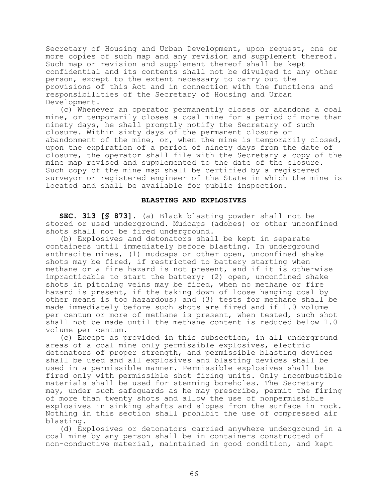Secretary of Housing and Urban Development, upon request, one or more copies of such map and any revision and supplement thereof. Such map or revision and supplement thereof shall be kept confidential and its contents shall not be divulged to any other person, except to the extent necessary to carry out the provisions of this Act and in connection with the functions and responsibilities of the Secretary of Housing and Urban Development.

(c) Whenever an operator permanently closes or abandons a coal mine, or temporarily closes a coal mine for a period of more than ninety days, he shall promptly notify the Secretary of such closure. Within sixty days of the permanent closure or abandonment of the mine, or, when the mine is temporarily closed, upon the expiration of a period of ninety days from the date of closure, the operator shall file with the Secretary a copy of the mine map revised and supplemented to the date of the closure. Such copy of the mine map shall be certified by a registered surveyor or registered engineer of the State in which the mine is located and shall be available for public inspection.

## **BLASTING AND EXPLOSIVES**

**SEC. 313 [§ 873]**. (a) Black blasting powder shall not be stored or used underground. Mudcaps (adobes) or other unconfined shots shall not be fired underground.

(b) Explosives and detonators shall be kept in separate containers until immediately before blasting. In underground anthracite mines, (1) mudcaps or other open, unconfined shake shots may be fired, if restricted to battery starting when methane or a fire hazard is not present, and if it is otherwise impracticable to start the battery; (2) open, unconfined shake shots in pitching veins may be fired, when no methane or fire hazard is present, if the taking down of loose hanging coal by other means is too hazardous; and (3) tests for methane shall be made immediately before such shots are fired and if 1.0 volume per centum or more of methane is present, when tested, such shot shall not be made until the methane content is reduced below 1.0 volume per centum.

(c) Except as provided in this subsection, in all underground areas of a coal mine only permissible explosives, electric detonators of proper strength, and permissible blasting devices shall be used and all explosives and blasting devices shall be used in a permissible manner. Permissible explosives shall be fired only with permissible shot firing units. Only incombustible materials shall be used for stemming boreholes. The Secretary may, under such safeguards as he may prescribe, permit the firing of more than twenty shots and allow the use of nonpermissible explosives in sinking shafts and slopes from the surface in rock. Nothing in this section shall prohibit the use of compressed air blasting.

(d) Explosives or detonators carried anywhere underground in a coal mine by any person shall be in containers constructed of non-conductive material, maintained in good condition, and kept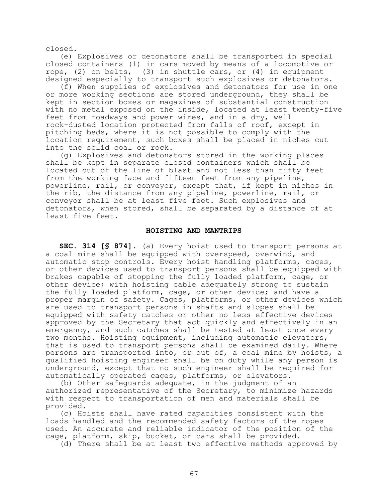closed.

(e) Explosives or detonators shall be transported in special closed containers (1) in cars moved by means of a locomotive or rope, (2) on belts, (3) in shuttle cars, or (4) in equipment designed especially to transport such explosives or detonators.

(f) When supplies of explosives and detonators for use in one or more working sections are stored underground, they shall be kept in section boxes or magazines of substantial construction with no metal exposed on the inside, located at least twenty-five feet from roadways and power wires, and in a dry, well rock-dusted location protected from falls of roof, except in pitching beds, where it is not possible to comply with the location requirement, such boxes shall be placed in niches cut into the solid coal or rock.

(g) Explosives and detonators stored in the working places shall be kept in separate closed containers which shall be located out of the line of blast and not less than fifty feet from the working face and fifteen feet from any pipeline, powerline, rail, or conveyor, except that, if kept in niches in the rib, the distance from any pipeline, powerline, rail, or conveyor shall be at least five feet. Such explosives and detonators, when stored, shall be separated by a distance of at least five feet.

#### **HOISTING AND MANTRIPS**

**SEC. 314 [§ 874]**. (a) Every hoist used to transport persons at a coal mine shall be equipped with overspeed, overwind, and automatic stop controls. Every hoist handling platforms, cages, or other devices used to transport persons shall be equipped with brakes capable of stopping the fully loaded platform, cage, or other device; with hoisting cable adequately strong to sustain the fully loaded platform, cage, or other device; and have a proper margin of safety. Cages, platforms, or other devices which are used to transport persons in shafts and slopes shall be equipped with safety catches or other no less effective devices approved by the Secretary that act quickly and effectively in an emergency, and such catches shall be tested at least once every two months. Hoisting equipment, including automatic elevators, that is used to transport persons shall be examined daily. Where persons are transported into, or out of, a coal mine by hoists, a qualified hoisting engineer shall be on duty while any person is underground, except that no such engineer shall be required for automatically operated cages, platforms, or elevators.

(b) Other safeguards adequate, in the judgment of an authorized representative of the Secretary, to minimize hazards with respect to transportation of men and materials shall be provided.

(c) Hoists shall have rated capacities consistent with the loads handled and the recommended safety factors of the ropes used. An accurate and reliable indicator of the position of the cage, platform, skip, bucket, or cars shall be provided.

(d) There shall be at least two effective methods approved by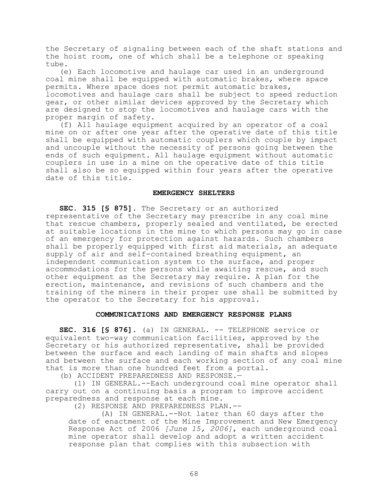the Secretary of signaling between each of the shaft stations and the hoist room, one of which shall be a telephone or speaking tube.

(e) Each locomotive and haulage car used in an underground coal mine shall be equipped with automatic brakes, where space permits. Where space does not permit automatic brakes, locomotives and haulage cars shall be subject to speed reduction gear, or other similar devices approved by the Secretary which are designed to stop the locomotives and haulage cars with the proper margin of safety.

(f) All haulage equipment acquired by an operator of a coal mine on or after one year after the operative date of this title shall be equipped with automatic couplers which couple by impact and uncouple without the necessity of persons going between the ends of such equipment. All haulage equipment without automatic couplers in use in a mine on the operative date of this title shall also be so equipped within four years after the operative date of this title.

#### **EMERGENCY SHELTERS**

**SEC. 315 [§ 875]**. The Secretary or an authorized representative of the Secretary may prescribe in any coal mine that rescue chambers, properly sealed and ventilated, be erected at suitable locations in the mine to which persons may go in case of an emergency for protection against hazards. Such chambers shall be properly equipped with first aid materials, an adequate supply of air and self-contained breathing equipment, an independent communication system to the surface, and proper accommodations for the persons while awaiting rescue, and such other equipment as the Secretary may require. A plan for the erection, maintenance, and revisions of such chambers and the training of the miners in their proper use shall be submitted by the operator to the Secretary for his approval.

## **COMMUNICATIONS AND EMERGENCY RESPONSE PLANS**

**SEC. 316 [§ 876]**. (a) IN GENERAL. -- TELEPHONE service or equivalent two-way communication facilities, approved by the Secretary or his authorized representative, shall be provided between the surface and each landing of main shafts and slopes and between the surface and each working section of any coal mine that is more than one hundred feet from a portal.

(b) ACCIDENT PREPAREDNESS AND RESPONSE.—

(1) IN GENERAL.--Each underground coal mine operator shall carry out on a continuing basis a program to improve accident preparedness and response at each mine.

(2) RESPONSE AND PREPAREDNESS PLAN.--

(A) IN GENERAL.--Not later than 60 days after the date of enactment of the Mine Improvement and New Emergency Response Act of 2006 *[June 15, 2006]*, each underground coal mine operator shall develop and adopt a written accident response plan that complies with this subsection with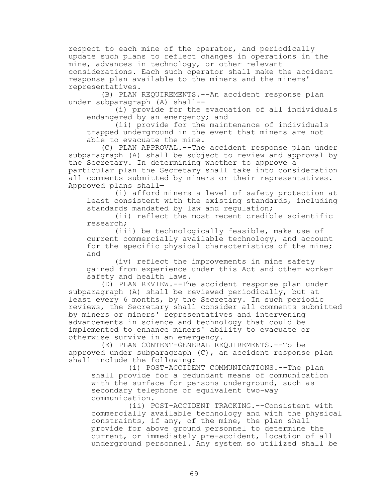respect to each mine of the operator, and periodically update such plans to reflect changes in operations in the mine, advances in technology, or other relevant considerations. Each such operator shall make the accident response plan available to the miners and the miners' representatives.

(B) PLAN REQUIREMENTS.--An accident response plan under subparagraph (A) shall--

(i) provide for the evacuation of all individuals endangered by an emergency; and

(ii) provide for the maintenance of individuals trapped underground in the event that miners are not able to evacuate the mine.

(C) PLAN APPROVAL.--The accident response plan under subparagraph (A) shall be subject to review and approval by the Secretary. In determining whether to approve a particular plan the Secretary shall take into consideration all comments submitted by miners or their representatives. Approved plans shall—

(i) afford miners a level of safety protection at least consistent with the existing standards, including standards mandated by law and regulation;

(ii) reflect the most recent credible scientific research;

(iii) be technologically feasible, make use of current commercially available technology, and account for the specific physical characteristics of the mine; and

(iv) reflect the improvements in mine safety gained from experience under this Act and other worker safety and health laws.

(D) PLAN REVIEW.--The accident response plan under subparagraph (A) shall be reviewed periodically, but at least every 6 months, by the Secretary. In such periodic reviews, the Secretary shall consider all comments submitted by miners or miners' representatives and intervening advancements in science and technology that could be implemented to enhance miners' ability to evacuate or otherwise survive in an emergency.

(E) PLAN CONTENT-GENERAL REQUIREMENTS.--To be approved under subparagraph  $(C)$ , an accident response plan shall include the following:

(i) POST-ACCIDENT COMMUNICATIONS.--The plan shall provide for a redundant means of communication with the surface for persons underground, such as secondary telephone or equivalent two-way communication.

(ii) POST-ACCIDENT TRACKING.--Consistent with commercially available technology and with the physical constraints, if any, of the mine, the plan shall provide for above ground personnel to determine the current, or immediately pre-accident, location of all underground personnel. Any system so utilized shall be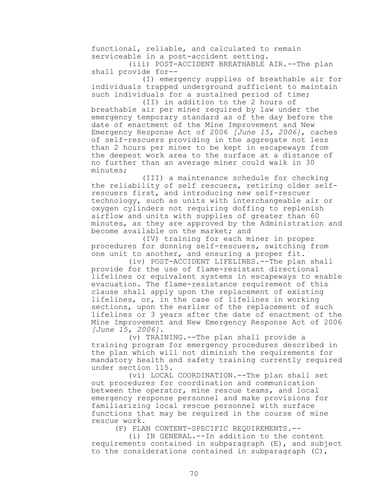functional, reliable, and calculated to remain serviceable in a post-accident setting.

(iii) POST-ACCIDENT BREATHABLE AIR.--The plan shall provide for--

(I) emergency supplies of breathable air for individuals trapped underground sufficient to maintain such individuals for a sustained period of time;

(II) in addition to the 2 hours of breathable air per miner required by law under the emergency temporary standard as of the day before the date of enactment of the Mine Improvement and New Emergency Response Act of 2006 *[June 15, 2006]*, caches of self-rescuers providing in the aggregate not less than 2 hours per miner to be kept in escapeways from the deepest work area to the surface at a distance of no further than an average miner could walk in 30 minutes;

(III) a maintenance schedule for checking the reliability of self rescuers, retiring older selfrescuers first, and introducing new self-rescuer technology, such as units with interchangeable air or oxygen cylinders not requiring doffing to replenish airflow and units with supplies of greater than 60 minutes, as they are approved by the Administration and become available on the market; and

(IV) training for each miner in proper procedures for donning self-rescuers, switching from one unit to another, and ensuring a proper fit.

(iv) POST-ACCIDENT LIFELINES.--The plan shall provide for the use of flame-resistant directional lifelines or equivalent systems in escapeways to enable evacuation. The flame-resistance requirement of this clause shall apply upon the replacement of existing lifelines, or, in the case of lifelines in working sections, upon the earlier of the replacement of such lifelines or 3 years after the date of enactment of the Mine Improvement and New Emergency Response Act of 2006 *[June 15, 2006]*.

(v) TRAINING.--The plan shall provide a training program for emergency procedures described in the plan which will not diminish the requirements for mandatory health and safety training currently required under section 115.

(vi) LOCAL COORDINATION.--The plan shall set out procedures for coordination and communication between the operator, mine rescue teams, and local emergency response personnel and make provisions for familiarizing local rescue personnel with surface functions that may be required in the course of mine rescue work.

(F) PLAN CONTENT-SPECIFIC REQUIREMENTS.--

(i) IN GENERAL.--In addition to the content requirements contained in subparagraph  $(E)$ , and subject to the considerations contained in subparagraph (C),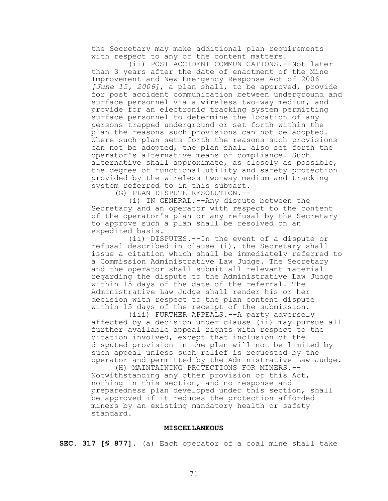the Secretary may make additional plan requirements with respect to any of the content matters.

(ii) POST ACCIDENT COMMUNICATIONS.--Not later than 3 years after the date of enactment of the Mine Improvement and New Emergency Response Act of 2006 *[June 15, 2006]*, a plan shall, to be approved, provide for post accident communication between underground and surface personnel via a wireless two-way medium, and provide for an electronic tracking system permitting surface personnel to determine the location of any persons trapped underground or set forth within the plan the reasons such provisions can not be adopted. Where such plan sets forth the reasons such provisions can not be adopted, the plan shall also set forth the operator's alternative means of compliance. Such alternative shall approximate, as closely as possible, the degree of functional utility and safety protection provided by the wireless two-way medium and tracking system referred to in this subpart.

(G) PLAN DISPUTE RESOLUTION.--

(i) IN GENERAL.--Any dispute between the Secretary and an operator with respect to the content of the operator's plan or any refusal by the Secretary to approve such a plan shall be resolved on an expedited basis.

(ii) DISPUTES.--In the event of a dispute or refusal described in clause (i), the Secretary shall issue a citation which shall be immediately referred to a Commission Administrative Law Judge. The Secretary and the operator shall submit all relevant material regarding the dispute to the Administrative Law Judge within 15 days of the date of the referral. The Administrative Law Judge shall render his or her decision with respect to the plan content dispute within 15 days of the receipt of the submission.

(iii) FURTHER APPEALS.--A party adversely affected by a decision under clause (ii) may pursue all further available appeal rights with respect to the citation involved, except that inclusion of the disputed provision in the plan will not be limited by such appeal unless such relief is requested by the operator and permitted by the Administrative Law Judge.

(H) MAINTAINING PROTECTIONS FOR MINERS.-- Notwithstanding any other provision of this Act, nothing in this section, and no response and preparedness plan developed under this section, shall be approved if it reduces the protection afforded miners by an existing mandatory health or safety standard.

### **MISCELLANEOUS**

**SEC. 317 [§ 877]**. (a) Each operator of a coal mine shall take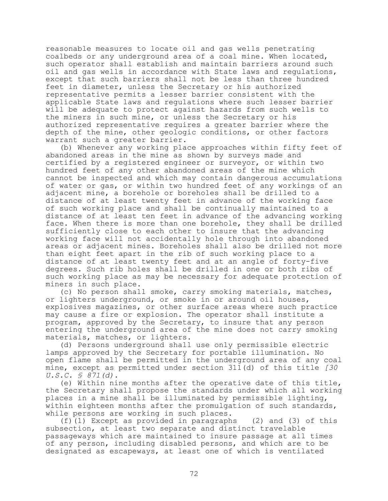reasonable measures to locate oil and gas wells penetrating coalbeds or any underground area of a coal mine. When located, such operator shall establish and maintain barriers around such oil and gas wells in accordance with State laws and regulations, except that such barriers shall not be less than three hundred feet in diameter, unless the Secretary or his authorized representative permits a lesser barrier consistent with the applicable State laws and regulations where such lesser barrier will be adequate to protect against hazards from such wells to the miners in such mine, or unless the Secretary or his authorized representative requires a greater barrier where the depth of the mine, other geologic conditions, or other factors warrant such a greater barrier.

(b) Whenever any working place approaches within fifty feet of abandoned areas in the mine as shown by surveys made and certified by a registered engineer or surveyor, or within two hundred feet of any other abandoned areas of the mine which cannot be inspected and which may contain dangerous accumulations of water or gas, or within two hundred feet of any workings of an adjacent mine, a borehole or boreholes shall be drilled to a distance of at least twenty feet in advance of the working face of such working place and shall be continually maintained to a distance of at least ten feet in advance of the advancing working face. When there is more than one borehole, they shall be drilled sufficiently close to each other to insure that the advancing working face will not accidentally hole through into abandoned areas or adjacent mines. Boreholes shall also be drilled not more than eight feet apart in the rib of such working place to a distance of at least twenty feet and at an angle of forty-five degrees. Such rib holes shall be drilled in one or both ribs of such working place as may be necessary for adequate protection of miners in such place.

(c) No person shall smoke, carry smoking materials, matches, or lighters underground, or smoke in or around oil houses, explosives magazines, or other surface areas where such practice may cause a fire or explosion. The operator shall institute a program, approved by the Secretary, to insure that any person entering the underground area of the mine does not carry smoking materials, matches, or lighters.

(d) Persons underground shall use only permissible electric lamps approved by the Secretary for portable illumination. No open flame shall be permitted in the underground area of any coal mine, except as permitted under section 311(d) of this title *[30 U.S.C. § 871(d)*.

(e) Within nine months after the operative date of this title, the Secretary shall propose the standards under which all working places in a mine shall be illuminated by permissible lighting, within eighteen months after the promulgation of such standards, while persons are working in such places.

(f)(1) Except as provided in paragraphs (2) and (3) of this subsection, at least two separate and distinct travelable passageways which are maintained to insure passage at all times of any person, including disabled persons, and which are to be designated as escapeways, at least one of which is ventilated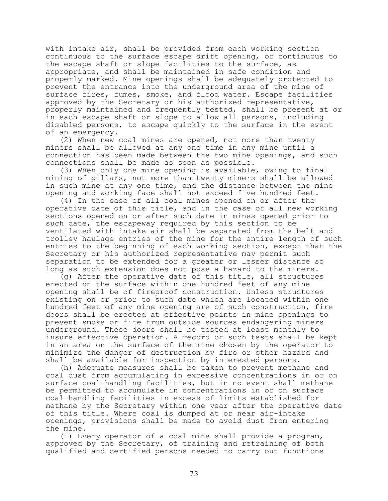with intake air, shall be provided from each working section continuous to the surface escape drift opening, or continuous to the escape shaft or slope facilities to the surface, as appropriate, and shall be maintained in safe condition and properly marked. Mine openings shall be adequately protected to prevent the entrance into the underground area of the mine of surface fires, fumes, smoke, and flood water. Escape facilities approved by the Secretary or his authorized representative, properly maintained and frequently tested, shall be present at or in each escape shaft or slope to allow all persons, including disabled persons, to escape quickly to the surface in the event of an emergency.

(2) When new coal mines are opened, not more than twenty miners shall be allowed at any one time in any mine until a connection has been made between the two mine openings, and such connections shall be made as soon as possible.

(3) When only one mine opening is available, owing to final mining of pillars, not more than twenty miners shall be allowed in such mine at any one time, and the distance between the mine opening and working face shall not exceed five hundred feet.

(4) In the case of all coal mines opened on or after the operative date of this title, and in the case of all new working sections opened on or after such date in mines opened prior to such date, the escapeway required by this section to be ventilated with intake air shall be separated from the belt and trolley haulage entries of the mine for the entire length of such entries to the beginning of each working section, except that the Secretary or his authorized representative may permit such separation to be extended for a greater or lesser distance so long as such extension does not pose a hazard to the miners.

(g) After the operative date of this title, all structures erected on the surface within one hundred feet of any mine opening shall be of fireproof construction. Unless structures existing on or prior to such date which are located within one hundred feet of any mine opening are of such construction, fire doors shall be erected at effective points in mine openings to prevent smoke or fire from outside sources endangering miners underground. These doors shall be tested at least monthly to insure effective operation. A record of such tests shall be kept in an area on the surface of the mine chosen by the operator to minimize the danger of destruction by fire or other hazard and shall be available for inspection by interested persons.

(h) Adequate measures shall be taken to prevent methane and coal dust from accumulating in excessive concentrations in or on surface coal-handling facilities, but in no event shall methane be permitted to accumulate in concentrations in or on surface coal-handling facilities in excess of limits established for methane by the Secretary within one year after the operative date of this title. Where coal is dumped at or near air-intake openings, provisions shall be made to avoid dust from entering the mine.

(i) Every operator of a coal mine shall provide a program, approved by the Secretary, of training and retraining of both qualified and certified persons needed to carry out functions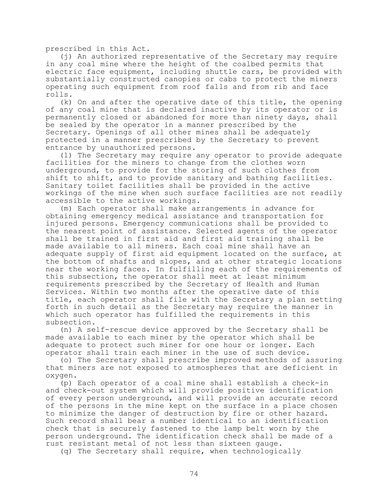prescribed in this Act.

(j) An authorized representative of the Secretary may require in any coal mine where the height of the coalbed permits that electric face equipment, including shuttle cars, be provided with substantially constructed canopies or cabs to protect the miners operating such equipment from roof falls and from rib and face rolls.

(k) On and after the operative date of this title, the opening of any coal mine that is declared inactive by its operator or is permanently closed or abandoned for more than ninety days, shall be sealed by the operator in a manner prescribed by the Secretary. Openings of all other mines shall be adequately protected in a manner prescribed by the Secretary to prevent entrance by unauthorized persons.

(1) The Secretary may require any operator to provide adequate facilities for the miners to change from the clothes worn underground, to provide for the storing of such clothes from shift to shift, and to provide sanitary and bathing facilities. Sanitary toilet facilities shall be provided in the active workings of the mine when such surface facilities are not readily accessible to the active workings.

(m) Each operator shall make arrangements in advance for obtaining emergency medical assistance and transportation for injured persons. Emergency communications shall be provided to the nearest point of assistance. Selected agents of the operator shall be trained in first aid and first aid training shall be made available to all miners. Each coal mine shall have an adequate supply of first aid equipment located on the surface, at the bottom of shafts and slopes, and at other strategic locations near the working faces. In fulfilling each of the requirements of this subsection, the operator shall meet at least minimum requirements prescribed by the Secretary of Health and Human Services. Within two months after the operative date of this title, each operator shall file with the Secretary a plan setting forth in such detail as the Secretary may require the manner in which such operator has fulfilled the requirements in this subsection.

(n) A self-rescue device approved by the Secretary shall be made available to each miner by the operator which shall be adequate to protect such miner for one hour or longer. Each operator shall train each miner in the use of such device.

(o) The Secretary shall prescribe improved methods of assuring that miners are not exposed to atmospheres that are deficient in oxygen.

(p) Each operator of a coal mine shall establish a check-in and check-out system which will provide positive identification of every person underground, and will provide an accurate record of the persons in the mine kept on the surface in a place chosen to minimize the danger of destruction by fire or other hazard. Such record shall bear a number identical to an identification check that is securely fastened to the lamp belt worn by the person underground. The identification check shall be made of a rust resistant metal of not less than sixteen gauge.

(q) The Secretary shall require, when technologically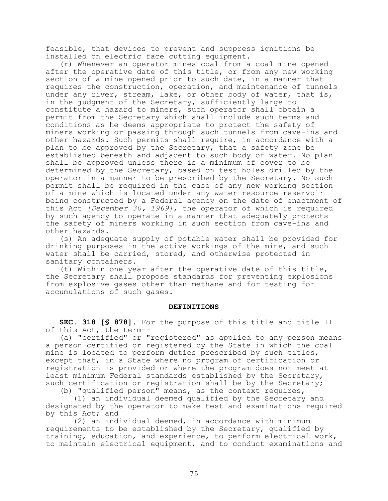feasible, that devices to prevent and suppress ignitions be installed on electric face cutting equipment.

(r) Whenever an operator mines coal from a coal mine opened after the operative date of this title, or from any new working section of a mine opened prior to such date, in a manner that requires the construction, operation, and maintenance of tunnels under any river, stream, lake, or other body of water, that is, in the judgment of the Secretary, sufficiently large to constitute a hazard to miners, such operator shall obtain a permit from the Secretary which shall include such terms and conditions as he deems appropriate to protect the safety of miners working or passing through such tunnels from cave-ins and other hazards. Such permits shall require, in accordance with a plan to be approved by the Secretary, that a safety zone be established beneath and adjacent to such body of water. No plan shall be approved unless there is a minimum of cover to be determined by the Secretary, based on test holes drilled by the operator in a manner to be prescribed by the Secretary. No such permit shall be required in the case of any new working section of a mine which is located under any water resource reservoir being constructed by a Federal agency on the date of enactment of this Act *[December 30, 1969]*, the operator of which is required by such agency to operate in a manner that adequately protects the safety of miners working in such section from cave-ins and other hazards.

(s) An adequate supply of potable water shall be provided for drinking purposes in the active workings of the mine, and such water shall be carried, stored, and otherwise protected in sanitary containers.

(t) Within one year after the operative date of this title, the Secretary shall propose standards for preventing explosions from explosive gases other than methane and for testing for accumulations of such gases.

#### **DEFINITIONS**

**SEC. 318 [§ 878]**. For the purpose of this title and title II of this Act, the term--

(a) "certified" or "registered" as applied to any person means a person certified or registered by the State in which the coal mine is located to perform duties prescribed by such titles, except that, in a State where no program of certification or registration is provided or where the program does not meet at least minimum Federal standards established by the Secretary, such certification or registration shall be by the Secretary;

(b) "qualified person" means, as the context requires,

(1) an individual deemed qualified by the Secretary and designated by the operator to make test and examinations required by this Act; and

(2) an individual deemed, in accordance with minimum requirements to be established by the Secretary, qualified by training, education, and experience, to perform electrical work, to maintain electrical equipment, and to conduct examinations and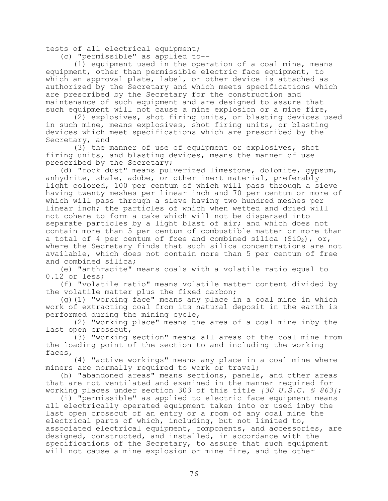tests of all electrical equipment;

(c) "permissible" as applied to--

(1) equipment used in the operation of a coal mine, means equipment, other than permissible electric face equipment, to which an approval plate, label, or other device is attached as authorized by the Secretary and which meets specifications which are prescribed by the Secretary for the construction and maintenance of such equipment and are designed to assure that such equipment will not cause a mine explosion or a mine fire,

(2) explosives, shot firing units, or blasting devices used in such mine, means explosives, shot firing units, or blasting devices which meet specifications which are prescribed by the Secretary, and

(3) the manner of use of equipment or explosives, shot firing units, and blasting devices, means the manner of use prescribed by the Secretary;

(d) "rock dust" means pulverized limestone, dolomite, gypsum, anhydrite, shale, adobe, or other inert material, preferably light colored, 100 per centum of which will pass through a sieve having twenty meshes per linear inch and 70 per centum or more of which will pass through a sieve having two hundred meshes per linear inch; the particles of which when wetted and dried will not cohere to form a cake which will not be dispersed into separate particles by a light blast of air; and which does not contain more than 5 per centum of combustible matter or more than a total of 4 per centum of free and combined silica  $(SiO<sub>2</sub>)$ , or, where the Secretary finds that such silica concentrations are not available, which does not contain more than 5 per centum of free and combined silica;

(e) "anthracite" means coals with a volatile ratio equal to 0.12 or less;

(f) "volatile ratio" means volatile matter content divided by the volatile matter plus the fixed carbon;

(g)(1) "working face" means any place in a coal mine in which work of extracting coal from its natural deposit in the earth is performed during the mining cycle,

(2) "working place" means the area of a coal mine inby the last open crosscut,

(3) "working section" means all areas of the coal mine from the loading point of the section to and including the working faces,

(4) "active workings" means any place in a coal mine where miners are normally required to work or travel;

(h) "abandoned areas" means sections, panels, and other areas that are not ventilated and examined in the manner required for working places under section 303 of this title *[30 U.S.C. § 863]*;

(i) "permissible" as applied to electric face equipment means all electrically operated equipment taken into or used inby the last open crosscut of an entry or a room of any coal mine the electrical parts of which, including, but not limited to, associated electrical equipment, components, and accessories, are designed, constructed, and installed, in accordance with the specifications of the Secretary, to assure that such equipment will not cause a mine explosion or mine fire, and the other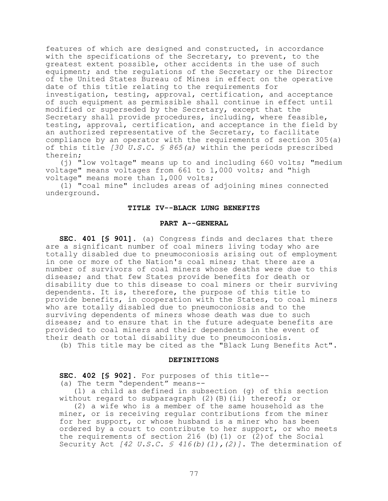features of which are designed and constructed, in accordance with the specifications of the Secretary, to prevent, to the greatest extent possible, other accidents in the use of such equipment; and the regulations of the Secretary or the Director of the United States Bureau of Mines in effect on the operative date of this title relating to the requirements for investigation, testing, approval, certification, and acceptance of such equipment as permissible shall continue in effect until modified or superseded by the Secretary, except that the Secretary shall provide procedures, including, where feasible, testing, approval, certification, and acceptance in the field by an authorized representative of the Secretary, to facilitate compliance by an operator with the requirements of section 305(a) of this title *[30 U.S.C. § 865(a)* within the periods prescribed therein;

(j) "low voltage" means up to and including 660 volts; "medium voltage" means voltages from 661 to 1,000 volts; and "high voltage" means more than 1,000 volts;

(1) "coal mine" includes areas of adjoining mines connected underground.

## **TITLE IV--BLACK LUNG BENEFITS**

### **PART A--GENERAL**

**SEC. 401 [§ 901]**. (a) Congress finds and declares that there are a significant number of coal miners living today who are totally disabled due to pneumoconiosis arising out of employment in one or more of the Nation's coal mines; that there are a number of survivors of coal miners whose deaths were due to this disease; and that few States provide benefits for death or disability due to this disease to coal miners or their surviving dependents. It is, therefore, the purpose of this title to provide benefits, in cooperation with the States, to coal miners who are totally disabled due to pneumoconiosis and to the surviving dependents of miners whose death was due to such disease; and to ensure that in the future adequate benefits are provided to coal miners and their dependents in the event of their death or total disability due to pneumoconiosis.

(b) This title may be cited as the "Black Lung Benefits Act".

#### **DEFINITIONS**

**SEC. 402 [§ 902].** For purposes of this title-- (a) The term "dependent" means--

(1) a child as defined in subsection (g) of this section without regard to subparagraph  $(2)$  (B) (ii) thereof; or

(2) a wife who is a member of the same household as the miner, or is receiving regular contributions from the miner for her support, or whose husband is a miner who has been ordered by a court to contribute to her support, or who meets the requirements of section 216 (b)(1) or (2) of the Social Security Act *[42 U.S.C. § 416(b)(1),(2)]*. The determination of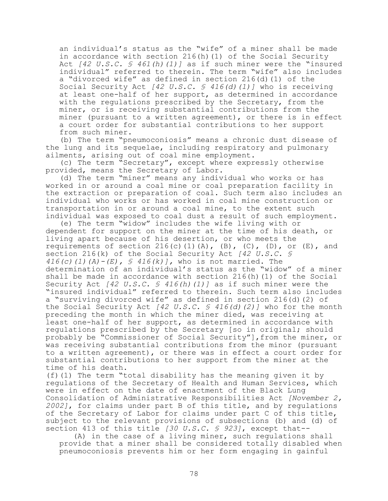an individual's status as the "wife" of a miner shall be made in accordance with section 216(h)(1) of the Social Security Act *[42 U.S.C. § 461(h)(1)]* as if such miner were the "insured individual" referred to therein. The term "wife" also includes a "divorced wife" as defined in section 216(d)(1) of the Social Security Act *[42 U.S.C. § 416(d)(1)]* who is receiving at least one-half of her support, as determined in accordance with the regulations prescribed by the Secretary, from the miner, or is receiving substantial contributions from the miner (pursuant to a written agreement), or there is in effect a court order for substantial contributions to her support from such miner.

(b) The term "pneumoconiosis" means a chronic dust disease of the lung and its sequelae, including respiratory and pulmonary ailments, arising out of coal mine employment.

(c) The term "Secretary", except where expressly otherwise provided, means the Secretary of Labor.

(d) The term "miner" means any individual who works or has worked in or around a coal mine or coal preparation facility in the extraction or preparation of coal. Such term also includes an individual who works or has worked in coal mine construction or transportation in or around a coal mine, to the extent such individual was exposed to coal dust a result of such employment.

(e) The term "widow" includes the wife living with or dependent for support on the miner at the time of his death, or living apart because of his desertion, or who meets the requirements of section  $216(c)(1)(A)$ ,  $(B)$ ,  $(C)$ ,  $(D)$ , or  $(E)$ , and section 216(k) of the Social Security Act *[42 U.S.C. § 416(c)(1)(A)-(E), § 416(k)],* who is not married. The determination of an individual's status as the "widow" of a miner shall be made in accordance with section 216(h)(1) of the Social Security Act *[42 U.S.C. § 416(h)(1)]* as if such miner were the "insured individual" referred to therein. Such term also includes a "surviving divorced wife" as defined in section 216(d)(2) of the Social Security Act *[42 U.S.C. § 416(d)(2)]* who for the month preceding the month in which the miner died, was receiving at least one-half of her support, as determined in accordance with regulations prescribed by the Secretary [so in original; should probably be "Commissioner of Social Security"],from the miner, or was receiving substantial contributions from the minor (pursuant to a written agreement), or there was in effect a court order for substantial contributions to her support from the miner at the time of his death.

(f)(1) The term "total disability has the meaning given it by regulations of the Secretary of Health and Human Services, which were in effect on the date of enactment of the Black Lung Consolidation of Administrative Responsibilities Act *[November 2, 2002]*, for claims under part B of this title, and by regulations of the Secretary of Labor for claims under part C of this title, subject to the relevant provisions of subsections (b) and (d) of section 413 of this title *[30 U.S.C. § 923]*, except that--

(A) in the case of a living miner, such regulations shall provide that a miner shall be considered totally disabled when pneumoconiosis prevents him or her form engaging in gainful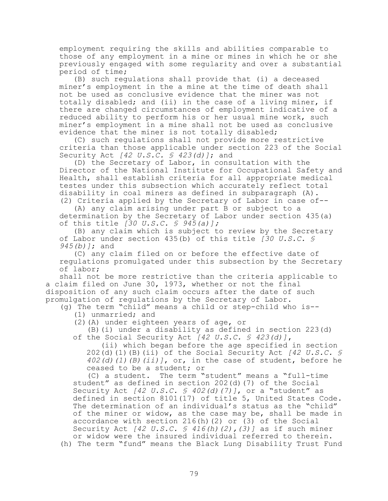employment requiring the skills and abilities comparable to those of any employment in a mine or mines in which he or she previously engaged with some regularity and over a substantial period of time;

(B) such regulations shall provide that (i) a deceased miner's employment in the a mine at the time of death shall not be used as conclusive evidence that the miner was not totally disabled; and (ii) in the case of a living miner, if there are changed circumstances of employment indicative of a reduced ability to perform his or her usual mine work, such miner's employment in a mine shall not be used as conclusive evidence that the miner is not totally disabled;

(C) such regulations shall not provide more restrictive criteria than those applicable under section 223 of the Social Security Act *[42 U.S.C. § 423(d)]*; and

(D) the Secretary of Labor, in consultation with the Director of the National Institute for Occupational Safety and Health, shall establish criteria for all appropriate medical testes under this subsection which accurately reflect total disability in coal miners as defined in subparagraph (A). (2) Criteria applied by the Secretary of Labor in case of--

(A) any claim arising under part B or subject to a determination by the Secretary of Labor under section 435(a) of this title *[30 U.S.C. § 945(a)];*

(B) any claim which is subject to review by the Secretary of Labor under section 435(b) of this title *[30 U.S.C. § 945(b)]*; and

(C) any claim filed on or before the effective date of regulations promulgated under this subsection by the Secretary of labor;

shall not be more restrictive than the criteria applicable to a claim filed on June 30, 1973, whether or not the final disposition of any such claim occurs after the date of such promulgation of regulations by the Secretary of Labor.

(g) The term "child" means a child or step-child who is--

(1) unmarried; and

(2)(A) under eighteen years of age, or

(B)(i) under a disability as defined in section 223(d) of the Social Security Act *[42 U.S.C. § 423(d)]***,**

(ii) which began before the age specified in section 202(d)(1)(B)(ii) of the Social Security Act *[42 U.S.C. § 402(d)(1)(B)(ii)]*, or, in the case of student, before he ceased to be a student; or

(C) a student. The term "student" means a "full-time student" as defined in section 202(d)(7) of the Social Security Act *[42 U.S.C. § 402(d)(7)]*, or a "student" as defined in section 8101(17) of title 5, United States Code. The determination of an individual's status as the "child" of the miner or widow, as the case may be, shall be made in accordance with section 216(h)(2) or  $(3)$  of the Social Security Act *[42 U.S.C. § 416(h)(2),(3)]* as if such miner or widow were the insured individual referred to therein. (h) The term "fund" means the Black Lung Disability Trust Fund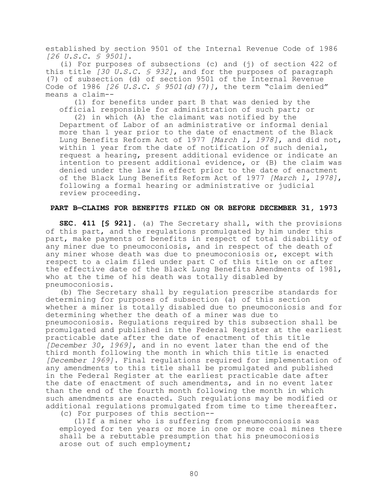established by section 9501 of the Internal Revenue Code of 1986 *[26 U.S.C. § 9501]*.

(i) For purposes of subsections (c) and (j) of section 422 of this title *[30 U.S.C. § 932]*, and for the purposes of paragraph (7) of subsection (d) of section 9501 of the Internal Revenue Code of 1986 *[26 U.S.C. § 9501(d)(7)]*, the term "claim denied" means a claim--

(1) for benefits under part B that was denied by the official responsible for administration of such part; or

(2) in which (A) the claimant was notified by the Department of Labor of an administrative or informal denial more than 1 year prior to the date of enactment of the Black Lung Benefits Reform Act of 1977 *[March 1, 1978]*, and did not, within 1 year from the date of notification of such denial, request a hearing, present additional evidence or indicate an intention to present additional evidence, or (B) the claim was denied under the law in effect prior to the date of enactment of the Black Lung Benefits Reform Act of 1977 *[March 1, 1978]*, following a formal hearing or administrative or judicial review proceeding.

## **PART B—CLAIMS FOR BENEFITS FILED ON OR BEFORE DECEMBER 31, 1973**

**SEC. 411 [§ 921]**. (a) The Secretary shall, with the provisions of this part, and the regulations promulgated by him under this part, make payments of benefits in respect of total disability of any miner due to pneumoconiosis, and in respect of the death of any miner whose death was due to pneumoconiosis or, except with respect to a claim filed under part C of this title on or after the effective date of the Black Lung Benefits Amendments of 1981, who at the time of his death was totally disabled by pneumoconiosis.

(b) The Secretary shall by regulation prescribe standards for determining for purposes of subsection (a) of this section whether a miner is totally disabled due to pneumoconiosis and for determining whether the death of a miner was due to pneumoconiosis. Regulations required by this subsection shall be promulgated and published in the Federal Register at the earliest practicable date after the date of enactment of this title *[December 30, 1969]*, and in no event later than the end of the third month following the month in which this title is enacted *[December 1969]*. Final regulations required for implementation of any amendments to this title shall be promulgated and published in the Federal Register at the earliest practicable date after the date of enactment of such amendments, and in no event later than the end of the fourth month following the month in which such amendments are enacted. Such regulations may be modified or additional regulations promulgated from time to time thereafter. (c) For purposes of this section--

(1)If a miner who is suffering from pneumoconiosis was employed for ten years or more in one or more coal mines there shall be a rebuttable presumption that his pneumoconiosis arose out of such employment;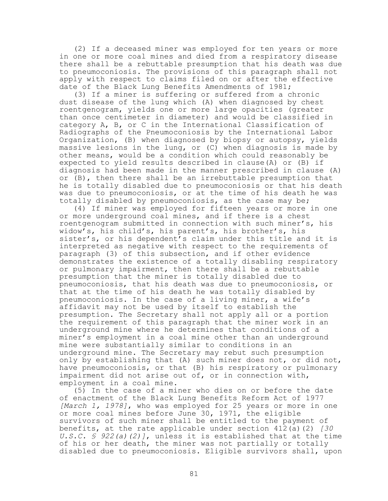(2) If a deceased miner was employed for ten years or more in one or more coal mines and died from a respiratory disease there shall be a rebuttable presumption that his death was due to pneumoconiosis. The provisions of this paragraph shall not apply with respect to claims filed on or after the effective date of the Black Lung Benefits Amendments of 1981;

(3) If a miner is suffering or suffered from a chronic dust disease of the lung which (A) when diagnosed by chest roentgenogram, yields one or more large opacities (greater than once centimeter in diameter) and would be classified in category A, B, or C in the International Classification of Radiographs of the Pneumoconiosis by the International Labor Organization, (B) when diagnosed by biopsy or autopsy, yields massive lesions in the lung, or (C) when diagnosis is made by other means, would be a condition which could reasonably be expected to yield results described in clause(A) or (B) if diagnosis had been made in the manner prescribed in clause (A) or (B), then there shall be an irrebuttable presumption that he is totally disabled due to pneumoconiosis or that his death was due to pneumoconiosis, or at the time of his death he was totally disabled by pneumoconiosis, as the case may be;

(4) If miner was employed for fifteen years or more in one or more underground coal mines, and if there is a chest roentgenogram submitted in connection with such miner's, his widow's, his child's, his parent's, his brother's, his sister's, or his dependent's claim under this title and it is interpreted as negative with respect to the requirements of paragraph (3) of this subsection, and if other evidence demonstrates the existence of a totally disabling respiratory or pulmonary impairment, then there shall be a rebuttable presumption that the miner is totally disabled due to pneumoconiosis, that his death was due to pneumoconiosis, or that at the time of his death he was totally disabled by pneumoconiosis. In the case of a living miner, a wife's affidavit may not be used by itself to establish the presumption. The Secretary shall not apply all or a portion the requirement of this paragraph that the miner work in an underground mine where he determines that conditions of a miner's employment in a coal mine other than an underground mine were substantially similar to conditions in an underground mine. The Secretary may rebut such presumption only by establishing that (A) such miner does not, or did not, have pneumoconiosis, or that (B) his respiratory or pulmonary impairment did not arise out of, or in connection with, employment in a coal mine.

(5) In the case of a miner who dies on or before the date of enactment of the Black Lung Benefits Reform Act of 1977 *[March 1, 1978]*, who was employed for 25 years or more in one or more coal mines before June 30, 1971, the eligible survivors of such miner shall be entitled to the payment of benefits, at the rate applicable under section 412(a)(2) *[30 U.S.C. § 922(a)(2)]*, unless it is established that at the time of his or her death, the miner was not partially or totally disabled due to pneumoconiosis. Eligible survivors shall, upon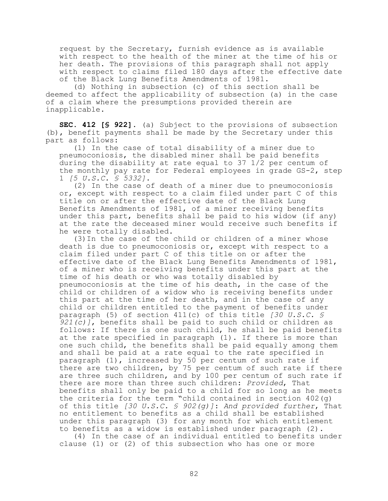request by the Secretary, furnish evidence as is available with respect to the health of the miner at the time of his or her death. The provisions of this paragraph shall not apply with respect to claims filed 180 days after the effective date of the Black Lung Benefits Amendments of 1981.

(d) Nothing in subsection (c) of this section shall be deemed to affect the applicability of subsection (a) in the case of a claim where the presumptions provided therein are inapplicable.

**SEC. 412 [§ 922]**. (a) Subject to the provisions of subsection (b), benefit payments shall be made by the Secretary under this part as follows:

(1) In the case of total disability of a miner due to pneumoconiosis, the disabled miner shall be paid benefits during the disability at rate equal to 37 1/2 per centum of the monthly pay rate for Federal employees in grade GS-2, step 1 *[5 U.S.C. § 5332]*.

(2) In the case of death of a miner due to pneumoconiosis or, except with respect to a claim filed under part C of this title on or after the effective date of the Black Lung Benefits Amendments of 1981, of a miner receiving benefits under this part, benefits shall be paid to his widow (if any) at the rate the deceased miner would receive such benefits if he were totally disabled.

(3)In the case of the child or children of a miner whose death is due to pneumoconiosis or, except with respect to a claim filed under part C of this title on or after the effective date of the Black Lung Benefits Amendments of 1981, of a miner who is receiving benefits under this part at the time of his death or who was totally disabled by pneumoconiosis at the time of his death, in the case of the child or children of a widow who is receiving benefits under this part at the time of her death, and in the case of any child or children entitled to the payment of benefits under paragraph (5) of section 411(c) of this title *[30 U.S.C. § 921(c)]*, benefits shall be paid to such child or children as follows: If there is one such child, he shall be paid benefits at the rate specified in paragraph (1). If there is more than one such child, the benefits shall be paid equally among them and shall be paid at a rate equal to the rate specified in paragraph  $(1)$ , increased by 50 per centum of such rate if there are two children, by 75 per centum of such rate if there are three such children, and by 100 per centum of such rate if there are more than three such children: *Provided*, That benefits shall only be paid to a child for so long as he meets the criteria for the term "child contained in section 402(g) of this title *[30 U.S.C. § 902(g)]*: *And provided further*, That no entitlement to benefits as a child shall be established under this paragraph (3) for any month for which entitlement to benefits as a widow is established under paragraph (2).

(4) In the case of an individual entitled to benefits under clause (1) or (2) of this subsection who has one or more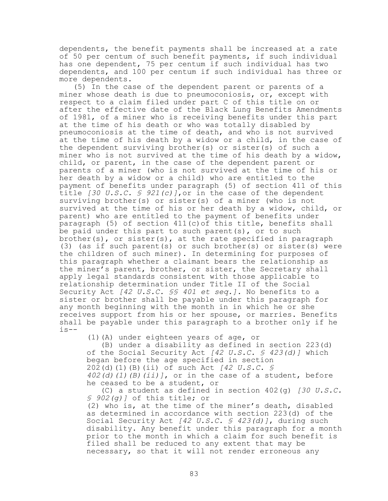dependents, the benefit payments shall be increased at a rate of 50 per centum of such benefit payments, if such individual has one dependent, 75 per centum if such individual has two dependents, and 100 per centum if such individual has three or more dependents.

(5) In the case of the dependent parent or parents of a miner whose death is due to pneumoconiosis, or, except with respect to a claim filed under part C of this title on or after the effective date of the Black Lung Benefits Amendments of 1981, of a miner who is receiving benefits under this part at the time of his death or who was totally disabled by pneumoconiosis at the time of death, and who is not survived at the time of his death by a widow or a child, in the case of the dependent surviving brother(s) or sister(s) of such a miner who is not survived at the time of his death by a widow, child, or parent, in the case of the dependent parent or parents of a miner (who is not survived at the time of his or her death by a widow or a child) who are entitled to the payment of benefits under paragraph (5) of section 411 of this title *[30 U.S.C. § 921(c)]*,or in the case of the dependent surviving brother(s) or sister(s) of a miner (who is not survived at the time of his or her death by a widow, child, or parent) who are entitled to the payment of benefits under paragraph (5) of section 411(c)of this title, benefits shall be paid under this part to such parent(s), or to such brother(s), or sister(s), at the rate specified in paragraph (3) (as if such parent(s) or such brother(s) or sister(s) were the children of such miner). In determining for purposes of this paragraph whether a claimant bears the relationship as the miner's parent, brother, or sister, the Secretary shall apply legal standards consistent with those applicable to relationship determination under Title II of the Social Security Act *[42 U.S.C. §§ 401 et seq.]*. No benefits to a sister or brother shall be payable under this paragraph for any month beginning with the month in in which he or she receives support from his or her spouse, or marries. Benefits shall be payable under this paragraph to a brother only if he  $is--$ 

(1)(A) under eighteen years of age, or

(B) under a disability as defined in section 223(d) of the Social Security Act *[42 U.S.C. § 423(d)]* which began before the age specified in section 202(d)(1)(B)(ii) of such Act *[42 U.S.C. § 402(d)(1)(B)(ii)]*, or in the case of a student, before he ceased to be a student, or

(C) a student as defined in section 402(g) *[30 U.S.C. § 902(g)]* of this title; or (2) who is, at the time of the miner's death, disabled as determined in accordance with section 223(d) of the Social Security Act *[42 U.S.C. § 423(d)]*, during such disability. Any benefit under this paragraph for a month prior to the month in which a claim for such benefit is filed shall be reduced to any extent that may be necessary, so that it will not render erroneous any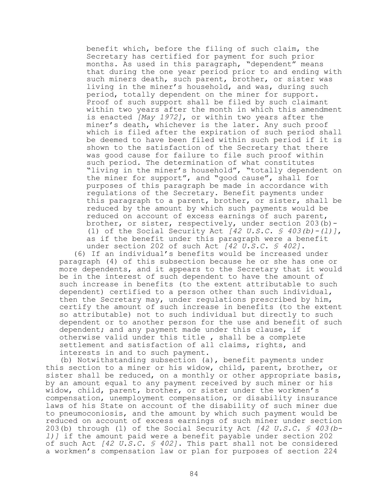benefit which, before the filing of such claim, the Secretary has certified for payment for such prior months. As used in this paragraph, "dependent" means that during the one year period prior to and ending with such miners death, such parent, brother, or sister was living in the miner's household, and was, during such period, totally dependent on the miner for support. Proof of such support shall be filed by such claimant within two years after the month in which this amendment is enacted *[May 1972]*, or within two years after the miner's death, whichever is the later. Any such proof which is filed after the expiration of such period shall be deemed to have been filed within such period if it is shown to the satisfaction of the Secretary that there was good cause for failure to file such proof within such period. The determination of what constitutes "living in the miner's household", "totally dependent on the miner for support", and "good cause", shall for purposes of this paragraph be made in accordance with regulations of the Secretary. Benefit payments under this paragraph to a parent, brother, or sister, shall be reduced by the amount by which such payments would be reduced on account of excess earnings of such parent, brother, or sister, respectively, under section 203(b)- (1) of the Social Security Act *[42 U.S.C. § 403(b)-(l)]*, as if the benefit under this paragraph were a benefit under section 202 of such Act *[42 U.S.C. § 402]*.

(6) If an individual's benefits would be increased under paragraph (4) of this subsection because he or she has one or more dependents, and it appears to the Secretary that it would be in the interest of such dependent to have the amount of such increase in benefits (to the extent attributable to such dependent) certified to a person other than such individual, then the Secretary may, under regulations prescribed by him, certify the amount of such increase in benefits (to the extent so attributable) not to such individual but directly to such dependent or to another person for the use and benefit of such dependent; and any payment made under this clause, if otherwise valid under this title , shall be a complete settlement and satisfaction of all claims, rights, and interests in and to such payment.

(b) Notwithstanding subsection (a), benefit payments under this section to a miner or his widow, child, parent, brother, or sister shall be reduced, on a monthly or other appropriate basis, by an amount equal to any payment received by such miner or his widow, child, parent, brother, or sister under the workmen's compensation, unemployment compensation, or disability insurance laws of his State on account of the disability of such miner due to pneumoconiosis, and the amount by which such payment would be reduced on account of excess earnings of such miner under section 203(b) through (l) of the Social Security Act *[42 U.S.C. § 403(bl)]* if the amount paid were a benefit payable under section 202 of such Act *[42 U.S.C. § 402]*. This part shall not be considered a workmen's compensation law or plan for purposes of section 224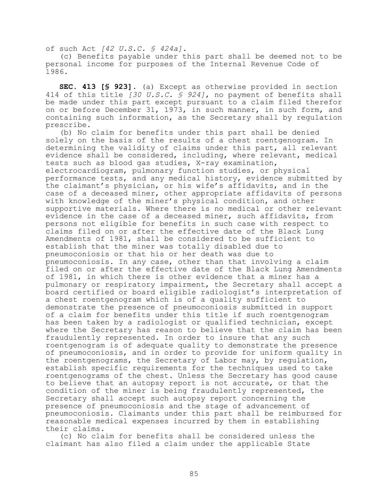of such Act *[42 U.S.C. § 424a]*.

(c) Benefits payable under this part shall be deemed not to be personal income for purposes of the Internal Revenue Code of 1986.

**SEC. 413 [§ 923].** (a) Except as otherwise provided in section 414 of this title *[30 U.S.C. § 924]*, no payment of benefits shall be made under this part except pursuant to a claim filed therefor on or before December 31, 1973, in such manner, in such form, and containing such information, as the Secretary shall by regulation prescribe.

(b) No claim for benefits under this part shall be denied solely on the basis of the results of a chest roentgenogram. In determining the validity of claims under this part, all relevant evidence shall be considered, including, where relevant, medical tests such as blood gas studies, X-ray examination, electrocardiogram, pulmonary function studies, or physical performance tests, and any medical history, evidence submitted by the claimant's physician, or his wife's affidavits, and in the case of a deceased miner, other appropriate affidavits of persons with knowledge of the miner's physical condition, and other supportive materials. Where there is no medical or other relevant evidence in the case of a deceased miner, such affidavits, from persons not eligible for benefits in such case with respect to claims filed on or after the effective date of the Black Lung Amendments of 1981, shall be considered to be sufficient to establish that the miner was totally disabled due to pneumoconiosis or that his or her death was due to pneumoconiosis. In any case, other than that involving a claim filed on or after the effective date of the Black Lung Amendments of 1981, in which there is other evidence that a miner has a pulmonary or respiratory impairment, the Secretary shall accept a board certified or board eligible radiologist's interpretation of a chest roentgenogram which is of a quality sufficient to demonstrate the presence of pneumoconiosis submitted in support of a claim for benefits under this title if such roentgenogram has been taken by a radiologist or qualified technician, except where the Secretary has reason to believe that the claim has been fraudulently represented. In order to insure that any such roentgenogram is of adequate quality to demonstrate the presence of pneumoconiosis, and in order to provide for uniform quality in the roentgenograms, the Secretary of Labor may, by requiation, establish specific requirements for the techniques used to take roentgenograms of the chest. Unless the Secretary has good cause to believe that an autopsy report is not accurate, or that the condition of the miner is being fraudulently represented, the Secretary shall accept such autopsy report concerning the presence of pneumoconiosis and the stage of advancement of pneumoconiosis. Claimants under this part shall be reimbursed for reasonable medical expenses incurred by them in establishing their claims.

(c) No claim for benefits shall be considered unless the claimant has also filed a claim under the applicable State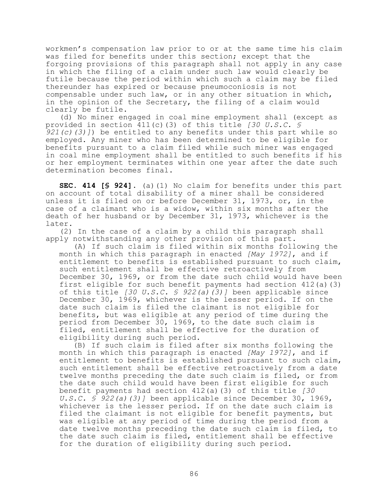workmen's compensation law prior to or at the same time his claim was filed for benefits under this section; except that the forgoing provisions of this paragraph shall not apply in any case in which the filing of a claim under such law would clearly be futile because the period within which such a claim may be filed thereunder has expired or because pneumoconiosis is not compensable under such law, or in any other situation in which, in the opinion of the Secretary, the filing of a claim would clearly be futile.

(d) No miner engaged in coal mine employment shall (except as provided in section 411(c)(3) of this title *[30 U.S.C. § 921(c)(3)]*) be entitled to any benefits under this part while so employed. Any miner who has been determined to be eligible for benefits pursuant to a claim filed while such miner was engaged in coal mine employment shall be entitled to such benefits if his or her employment terminates within one year after the date such determination becomes final.

**SEC. 414 [§ 924].** (a)(1) No claim for benefits under this part on account of total disability of a miner shall be considered unless it is filed on or before December 31, 1973, or, in the case of a claimant who is a widow, within six months after the death of her husband or by December 31, 1973, whichever is the later.

(2) In the case of a claim by a child this paragraph shall apply notwithstanding any other provision of this part.

(A) If such claim is filed within six months following the month in which this paragraph in enacted *[May 1972]*, and if entitlement to benefits is established pursuant to such claim, such entitlement shall be effective retroactively from December 30, 1969, or from the date such child would have been first eligible for such benefit payments had section 412(a)(3) of this title *[30 U.S.C. § 922(a)(3)]* been applicable since December 30, 1969, whichever is the lesser period. If on the date such claim is filed the claimant is not eligible for benefits, but was eligible at any period of time during the period from December 30, 1969, to the date such claim is filed, entitlement shall be effective for the duration of eligibility during such period.

(B) If such claim is filed after six months following the month in which this paragraph is enacted *[May 1972]*, and if entitlement to benefits is established pursuant to such claim, such entitlement shall be effective retroactively from a date twelve months preceding the date such claim is filed, or from the date such child would have been first eligible for such benefit payments had section 412(a)(3) of this title *[30 U.S.C. § 922(a)(3)]* been applicable since December 30, 1969, whichever is the lesser period. If on the date such claim is filed the claimant is not eligible for benefit payments, but was eligible at any period of time during the period from a date twelve months preceding the date such claim is filed, to the date such claim is filed, entitlement shall be effective for the duration of eligibility during such period.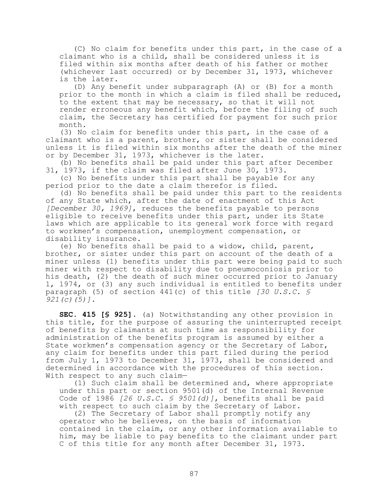(C) No claim for benefits under this part, in the case of a claimant who is a child, shall be considered unless it is filed within six months after death of his father or mother (whichever last occurred) or by December 31, 1973, whichever is the later.

(D) Any benefit under subparagraph (A) or (B) for a month prior to the month in which a claim is filed shall be reduced, to the extent that may be necessary, so that it will not render erroneous any benefit which, before the filing of such claim, the Secretary has certified for payment for such prior month.

(3) No claim for benefits under this part, in the case of a claimant who is a parent, brother, or sister shall be considered unless it is filed within six months after the death of the miner or by December 31, 1973, whichever is the later.

(b) No benefits shall be paid under this part after December 31, 1973, if the claim was filed after June 30, 1973.

(c) No benefits under this part shall be payable for any period prior to the date a claim therefor is filed.

(d) No benefits shall be paid under this part to the residents of any State which, after the date of enactment of this Act *[December 30, 1969]*, reduces the benefits payable to persons eligible to receive benefits under this part, under its State laws which are applicable to its general work force with regard to workmen's compensation, unemployment compensation, or disability insurance.

(e) No benefits shall be paid to a widow, child, parent, brother, or sister under this part on account of the death of a miner unless (1) benefits under this part were being paid to such miner with respect to disability due to pneumoconiosis prior to his death, (2) the death of such miner occurred prior to January 1, 1974, or (3) any such individual is entitled to benefits under paragraph (5) of section 441(c) of this title *[30 U.S.C. § 921(c)(5)]*.

**SEC. 415 [§ 925].** (a) Notwithstanding any other provision in this title, for the purpose of assuring the uninterrupted receipt of benefits by claimants at such time as responsibility for administration of the benefits program is assumed by either a State workmen's compensation agency or the Secretary of Labor, any claim for benefits under this part filed during the period from July 1, 1973 to December 31, 1973, shall be considered and determined in accordance with the procedures of this section. With respect to any such claim—

(1) Such claim shall be determined and, where appropriate under this part or section 9501(d) of the Internal Revenue Code of 1986 *[26 U.S.C. § 9501(d)]*, benefits shall be paid with respect to such claim by the Secretary of Labor.

(2) The Secretary of Labor shall promptly notify any operator who he believes, on the basis of information contained in the claim, or any other information available to him, may be liable to pay benefits to the claimant under part C of this title for any month after December 31, 1973.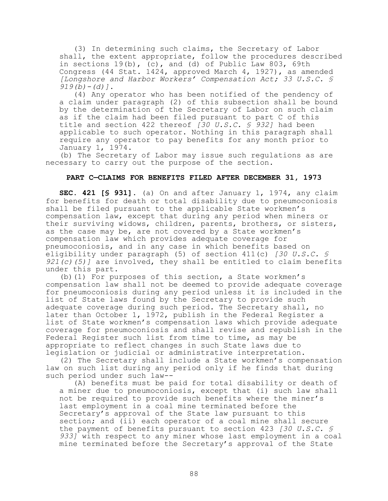(3) In determining such claims, the Secretary of Labor shall, the extent appropriate, follow the procedures described in sections 19(b), (c), and (d) of Public Law 803, 69th Congress (44 Stat. 1424, approved March 4, 1927), as amended *[Longshore and Harbor Workers' Compensation Act; 33 U.S.C. § 919(b)-(d)]*.

(4) Any operator who has been notified of the pendency of a claim under paragraph (2) of this subsection shall be bound by the determination of the Secretary of Labor on such claim as if the claim had been filed pursuant to part C of this title and section 422 thereof *[30 U.S.C. § 932]* had been applicable to such operator. Nothing in this paragraph shall require any operator to pay benefits for any month prior to January 1, 1974.

(b) The Secretary of Labor may issue such regulations as are necessary to carry out the purpose of the section.

## **PART C—CLAIMS FOR BENEFITS FILED AFTER DECEMBER 31, 1973**

**SEC. 421 [§ 931].** (a) On and after January 1, 1974, any claim for benefits for death or total disability due to pneumoconiosis shall be filed pursuant to the applicable State workmen's compensation law, except that during any period when miners or their surviving widows, children, parents, brothers, or sisters, as the case may be, are not covered by a State workmen's compensation law which provides adequate coverage for pneumoconiosis, and in any case in which benefits based on eligibility under paragraph (5) of section 411(c) *[30 U.S.C. § 921(c)(5)]* are involved, they shall be entitled to claim benefits under this part.

(b)(1) For purposes of this section, a State workmen's compensation law shall not be deemed to provide adequate coverage for pneumoconiosis during any period unless it is included in the list of State laws found by the Secretary to provide such adequate coverage during such period. The Secretary shall, no later than October 1, 1972, publish in the Federal Register a list of State workmen's compensation laws which provide adequate coverage for pneumoconiosis and shall revise and republish in the Federal Register such list from time to time, as may be appropriate to reflect changes in such State laws due to legislation or judicial or administrative interpretation.

(2) The Secretary shall include a State workmen's compensation law on such list during any period only if he finds that during such period under such law--

(A) benefits must be paid for total disability or death of a miner due to pneumoconiosis, except that (i) such law shall not be required to provide such benefits where the miner's last employment in a coal mine terminated before the Secretary's approval of the State law pursuant to this section; and (ii) each operator of a coal mine shall secure the payment of benefits pursuant to section 423 *[30 U.S.C. § 933]* with respect to any miner whose last employment in a coal mine terminated before the Secretary's approval of the State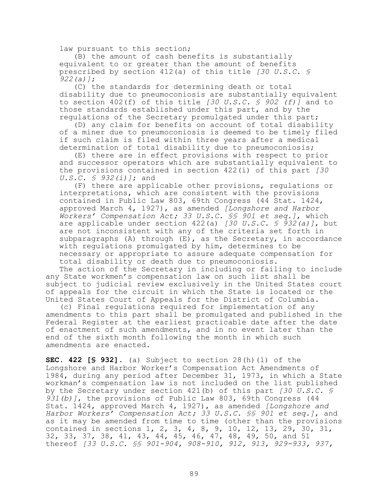law pursuant to this section;

(B) the amount of cash benefits is substantially equivalent to or greater than the amount of benefits prescribed by section 412(a) of this title *[30 U.S.C. § 922(a)]*;

(C) the standards for determining death or total disability due to pneumoconiosis are substantially equivalent to section 402(f) of this title *[30 U.S.C. § 902 (f)]* and to those standards established under this part, and by the regulations of the Secretary promulgated under this part;

(D) any claim for benefits on account of total disability of a miner due to pneumoconiosis is deemed to be timely filed if such claim is filed within three years after a medical determination of total disability due to pneumoconiosis;

(E) there are in effect provisions with respect to prior and successor operators which are substantially equivalent to the provisions contained in section 422(i) of this part *[30 U.S.C. § 932(i)]*; and

(F) there are applicable other provisions, regulations or interpretations, which are consistent with the provisions contained in Public Law 803, 69th Congress (44 Stat. 1424, approved March 4, 1927), as amended *[Longshore and Harbor Workers' Compensation Act; 33 U.S.C. §§ 901 et seq.]*, which are applicable under section 422(a) *[30 U.S.C. § 932(a)]*, but are not inconsistent with any of the criteria set forth in subparagraphs  $(A)$  through  $(E)$ , as the Secretary, in accordance with regulations promulgated by him, determines to be necessary or appropriate to assure adequate compensation for total disability or death due to pneumoconiosis.

The action of the Secretary in including or failing to include any State workmen's compensation law on such list shall be subject to judicial review exclusively in the United States court of appeals for the circuit in which the State is located or the United States Court of Appeals for the District of Columbia.

(c) Final regulations required for implementation of any amendments to this part shall be promulgated and published in the Federal Register at the earliest practicable date after the date of enactment of such amendments, and in no event later than the end of the sixth month following the month in which such amendments are enacted.

**SEC. 422 [§ 932].** (a) Subject to section 28(h)(1) of the Longshore and Harbor Worker's Compensation Act Amendments of 1984, during any period after December 31, 1973, in which a State workman's compensation law is not included on the list published by the Secretary under section 421(b) of this part *[30 U.S.C. § 931(b)]*, the provisions of Public Law 803, 69th Congress (44 Stat. 1424, approved March 4, 1927), as amended *[Longshore and Harbor Workers' Compensation Act; 33 U.S.C. §§ 901 et seq.]*, and as it may be amended from time to time (other than the provisions contained in sections 1, 2, 3, 4, 8, 9, 10, 12, 13, 29, 30, 31, 32, 33, 37, 38, 41, 43, 44, 45, 46, 47, 48, 49, 50, and 51 thereof *[33 U.S.C. §§ 901-904, 908-910, 912, 913, 929-933, 937,*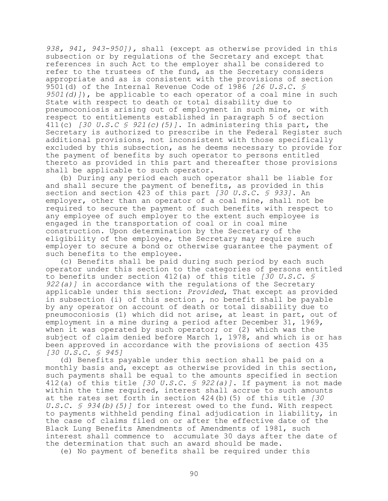*938, 941, 943-950]),* shall (except as otherwise provided in this subsection or by regulations of the Secretary and except that references in such Act to the employer shall be considered to refer to the trustees of the fund, as the Secretary considers appropriate and as is consistent with the provisions of section 9501(d) of the Internal Revenue Code of 1986 *[26 U.S.C. § 9501(d)]*), be applicable to each operator of a coal mine in such State with respect to death or total disability due to pneumoconiosis arising out of employment in such mine, or with respect to entitlements established in paragraph 5 of section 411(c) *[30 U.S.C § 921(c)(5)]*. In administering this part, the Secretary is authorized to prescribe in the Federal Register such additional provisions, not inconsistent with those specifically excluded by this subsection, as he deems necessary to provide for the payment of benefits by such operator to persons entitled thereto as provided in this part and thereafter those provisions shall be applicable to such operator.

(b) During any period each such operator shall be liable for and shall secure the payment of benefits, as provided in this section and section 423 of this part *[30 U.S.C. § 933]*. An employer, other than an operator of a coal mine, shall not be required to secure the payment of such benefits with respect to any employee of such employer to the extent such employee is engaged in the transportation of coal or in coal mine construction. Upon determination by the Secretary of the eligibility of the employee, the Secretary may require such employer to secure a bond or otherwise guarantee the payment of such benefits to the employee.

(c) Benefits shall be paid during such period by each such operator under this section to the categories of persons entitled to benefits under section 412(a) of this title *[30 U.S.C. § 922(a)]* in accordance with the regulations of the Secretary applicable under this section: *Provided*, That except as provided in subsection (i) of this section , no benefit shall be payable by any operator on account of death or total disability due to pneumoconiosis (1) which did not arise, at least in part, out of employment in a mine during a period after December 31, 1969, when it was operated by such operator; or (2) which was the subject of claim denied before March 1, 1978, and which is or has been approved in accordance with the provisions of section 435 *[30 U.S.C. § 945]*

(d) Benefits payable under this section shall be paid on a monthly basis and, except as otherwise provided in this section, such payments shall be equal to the amounts specified in section 412(a) of this title *[30 U.S.C. § 922(a)]*. If payment is not made within the time required, interest shall accrue to such amounts at the rates set forth in section 424(b)(5) of this title *[30 U.S.C. § 934(b)(5)]* for interest owed to the fund. With respect to payments withheld pending final adjudication in liability, in the case of claims filed on or after the effective date of the Black Lung Benefits Amendments of Amendments of 1981, such interest shall commence to accumulate 30 days after the date of the determination that such an award should be made.

(e) No payment of benefits shall be required under this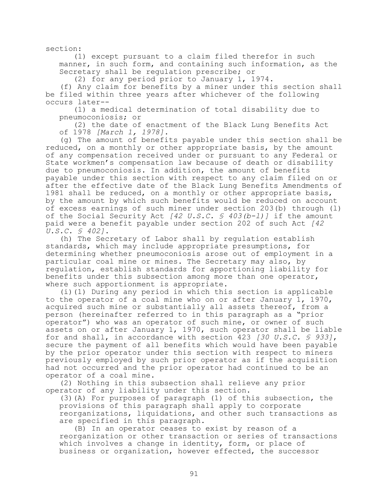section:

(1) except pursuant to a claim filed therefor in such manner, in such form, and containing such information, as the Secretary shall be regulation prescribe; or

(2) for any period prior to January 1, 1974.

(f) Any claim for benefits by a miner under this section shall be filed within three years after whichever of the following occurs later--

(1) a medical determination of total disability due to pneumoconiosis; or

(2) the date of enactment of the Black Lung Benefits Act of 1978 *[March 1, 1978]*.

(g) The amount of benefits payable under this section shall be reduced, on a monthly or other appropriate basis, by the amount of any compensation received under or pursuant to any Federal or State workmen's compensation law because of death or disability due to pneumoconiosis. In addition, the amount of benefits payable under this section with respect to any claim filed on or after the effective date of the Black Lung Benefits Amendments of 1981 shall be reduced, on a monthly or other appropriate basis, by the amount by which such benefits would be reduced on account of excess earnings of such miner under section 203(b) through (l) of the Social Security Act *[42 U.S.C. § 403(b-l)]* if the amount paid were a benefit payable under section 202 of such Act *[42 U.S.C. § 402]*.

(h) The Secretary of Labor shall by regulation establish standards, which may include appropriate presumptions, for determining whether pneumoconiosis arose out of employment in a particular coal mine or mines. The Secretary may also, by regulation, establish standards for apportioning liability for benefits under this subsection among more than one operator, where such apportionment is appropriate.

(i)(1) During any period in which this section is applicable to the operator of a coal mine who on or after January 1, 1970, acquired such mine or substantially all assets thereof, from a person (hereinafter referred to in this paragraph as a "prior operator") who was an operator of such mine, or owner of such assets on or after January 1, 1970, such operator shall be liable for and shall, in accordance with section 423 *[30 U.S.C. § 933]*, secure the payment of all benefits which would have been payable by the prior operator under this section with respect to miners previously employed by such prior operator as if the acquisition had not occurred and the prior operator had continued to be an operator of a coal mine.

(2) Nothing in this subsection shall relieve any prior operator of any liability under this section.

(3)(A) For purposes of paragraph (1) of this subsection, the provisions of this paragraph shall apply to corporate reorganizations, liquidations, and other such transactions as are specified in this paragraph.

(B) In an operator ceases to exist by reason of a reorganization or other transaction or series of transactions which involves a change in identity, form, or place of business or organization, however effected, the successor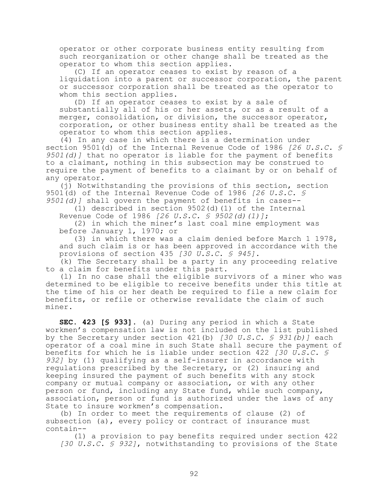operator or other corporate business entity resulting from such reorganization or other change shall be treated as the operator to whom this section applies.

(C) If an operator ceases to exist by reason of a liquidation into a parent or successor corporation, the parent or successor corporation shall be treated as the operator to whom this section applies.

(D) If an operator ceases to exist by a sale of substantially all of his or her assets, or as a result of a merger, consolidation, or division, the successor operator, corporation, or other business entity shall be treated as the operator to whom this section applies.

(4) In any case in which there is a determination under section 9501(d) of the Internal Revenue Code of 1986 *[26 U.S.C. § 9501(d)]* that no operator is liable for the payment of benefits to a claimant, nothing in this subsection may be construed to require the payment of benefits to a claimant by or on behalf of any operator.

(j) Notwithstanding the provisions of this section, section 9501(d) of the Internal Revenue Code of 1986 *[26 U.S.C. § 9501(d)]* shall govern the payment of benefits in cases--

(1) described in section 9502(d)(1) of the Internal Revenue Code of 1986 *[26 U.S.C. § 9502(d)(1)]*;

(2) in which the miner's last coal mine employment was before January 1, 1970; or

(3) in which there was a claim denied before March 1 1978, and such claim is or has been approved in accordance with the provisions of section 435 *[30 U.S.C. § 945]*.

(k) The Secretary shall be a party in any proceeding relative to a claim for benefits under this part.

(l) In no case shall the eligible survivors of a miner who was determined to be eligible to receive benefits under this title at the time of his or her death be required to file a new claim for benefits, or refile or otherwise revalidate the claim of such miner.

**SEC. 423 [§ 933].** (a) During any period in which a State workmen's compensation law is not included on the list published by the Secretary under section 421(b) *[30 U.S.C. § 931(b)]* each operator of a coal mine in such State shall secure the payment of benefits for which he is liable under section 422 *[30 U.S.C. § 932]* by (1) qualifying as a self-insurer in accordance with regulations prescribed by the Secretary, or (2) insuring and keeping insured the payment of such benefits with any stock company or mutual company or association, or with any other person or fund, including any State fund, while such company, association, person or fund is authorized under the laws of any State to insure workmen's compensation.

(b) In order to meet the requirements of clause (2) of subsection (a), every policy or contract of insurance must contain--

(1) a provision to pay benefits required under section 422 *[30 U.S.C. § 932]*, notwithstanding to provisions of the State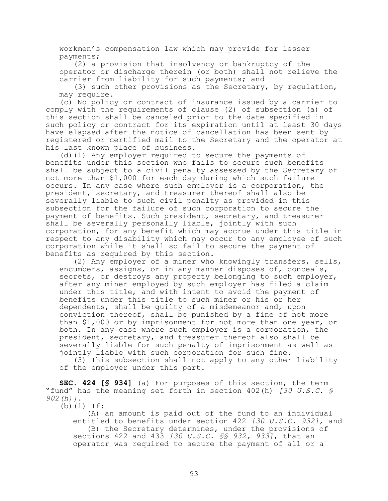workmen's compensation law which may provide for lesser payments;

(2) a provision that insolvency or bankruptcy of the operator or discharge therein (or both) shall not relieve the carrier from liability for such payments; and

(3) such other provisions as the Secretary, by regulation, may require.

(c) No policy or contract of insurance issued by a carrier to comply with the requirements of clause (2) of subsection (a) of this section shall be canceled prior to the date specified in such policy or contract for its expiration until at least 30 days have elapsed after the notice of cancellation has been sent by registered or certified mail to the Secretary and the operator at his last known place of business.

(d)(1) Any employer required to secure the payments of benefits under this section who fails to secure such benefits shall be subject to a civil penalty assessed by the Secretary of not more than \$1,000 for each day during which such failure occurs. In any case where such employer is a corporation, the president, secretary, and treasurer thereof shall also be severally liable to such civil penalty as provided in this subsection for the failure of such corporation to secure the payment of benefits. Such president, secretary, and treasurer shall be severally personally liable, jointly with such corporation, for any benefit which may accrue under this title in respect to any disability which may occur to any employee of such corporation while it shall so fail to secure the payment of benefits as required by this section.

(2) Any employer of a miner who knowingly transfers, sells, encumbers, assigns, or in any manner disposes of, conceals, secrets, or destroys any property belonging to such employer, after any miner employed by such employer has filed a claim under this title, and with intent to avoid the payment of benefits under this title to such miner or his or her dependents, shall be guilty of a misdemeanor and, upon conviction thereof, shall be punished by a fine of not more than \$1,000 or by imprisonment for not more than one year, or both. In any case where such employer is a corporation, the president, secretary, and treasurer thereof also shall be severally liable for such penalty of imprisonment as well as jointly liable with such corporation for such fine.

(3) This subsection shall not apply to any other liability of the employer under this part.

**SEC. 424 [§ 934]** (a) For purposes of this section, the term "fund" has the meaning set forth in section 402(h) *[30 U.S.C. § 902(h)]*.

(b)(1) If:

(A) an amount is paid out of the fund to an individual entitled to benefits under section 422 *[30 U.S.C. 932]*, and (B) the Secretary determines, under the provisions of sections 422 and 433 *[30 U.S.C. §§ 932, 933]*, that an operator was required to secure the payment of all or a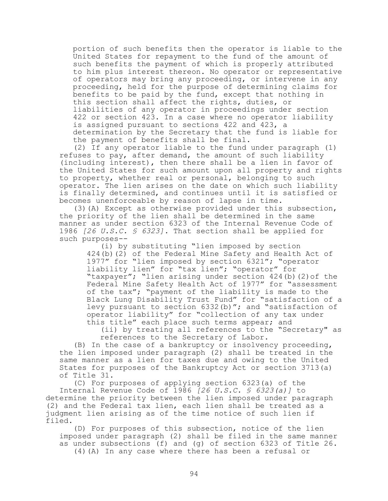portion of such benefits then the operator is liable to the United States for repayment to the fund of the amount of such benefits the payment of which is properly attributed to him plus interest thereon. No operator or representative of operators may bring any proceeding, or intervene in any proceeding, held for the purpose of determining claims for benefits to be paid by the fund, except that nothing in this section shall affect the rights, duties, or liabilities of any operator in proceedings under section 422 or section 423. In a case where no operator liability is assigned pursuant to sections 422 and 423, a determination by the Secretary that the fund is liable for the payment of benefits shall be final.

(2) If any operator liable to the fund under paragraph (1) refuses to pay, after demand, the amount of such liability (including interest), then there shall be a lien in favor of the United States for such amount upon all property and rights to property, whether real or personal, belonging to such operator. The lien arises on the date on which such liability is finally determined, and continues until it is satisfied or becomes unenforceable by reason of lapse in time.

(3)(A) Except as otherwise provided under this subsection, the priority of the lien shall be determined in the same manner as under section 6323 of the Internal Revenue Code of 1986 *[26 U.S.C. § 6323].* That section shall be applied for such purposes--

(i) by substituting "lien imposed by section 424(b)(2) of the Federal Mine Safety and Health Act of 1977" for "lien imposed by section 6321"; "operator liability lien" for "tax lien"; "operator" for "taxpayer"; "lien arising under section 424(b)(2)of the Federal Mine Safety Health Act of 1977" for "assessment of the tax"; "payment of the liability is made to the Black Lung Disability Trust Fund" for "satisfaction of a levy pursuant to section 6332(b)"; and "satisfaction of operator liability" for "collection of any tax under this title" each place such terms appear; and

(ii) by treating all references to the "Secretary" as references to the Secretary of Labor.

(B) In the case of a bankruptcy or insolvency proceeding, the lien imposed under paragraph (2) shall be treated in the same manner as a lien for taxes due and owing to the United States for purposes of the Bankruptcy Act or section 3713(a) of Title 31.

(C) For purposes of applying section 6323(a) of the Internal Revenue Code of 1986 *[26 U.S.C. § 6323(a)]* to determine the priority between the lien imposed under paragraph (2) and the Federal tax lien, each lien shall be treated as a judgment lien arising as of the time notice of such lien if filed.

(D) For purposes of this subsection, notice of the lien imposed under paragraph (2) shall be filed in the same manner as under subsections (f) and (g) of section 6323 of Title 26.

(4)(A) In any case where there has been a refusal or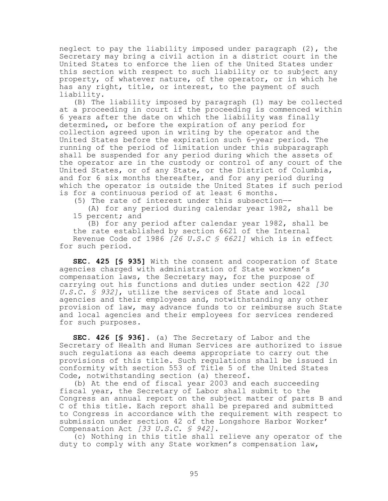neglect to pay the liability imposed under paragraph (2), the Secretary may bring a civil action in a district court in the United States to enforce the lien of the United States under this section with respect to such liability or to subject any property, of whatever nature, of the operator, or in which he has any right, title, or interest, to the payment of such liability.

(B) The liability imposed by paragraph (1) may be collected at a proceeding in court if the proceeding is commenced within 6 years after the date on which the liability was finally determined, or before the expiration of any period for collection agreed upon in writing by the operator and the United States before the expiration such 6-year period. The running of the period of limitation under this subparagraph shall be suspended for any period during which the assets of the operator are in the custody or control of any court of the United States, or of any State, or the District of Columbia, and for 6 six months thereafter, and for any period during which the operator is outside the United States if such period is for a continuous period of at least 6 months.

(5) The rate of interest under this subsection—-

(A) for any period during calendar year 1982, shall be 15 percent; and

(B) for any period after calendar year 1982, shall be the rate established by section 6621 of the Internal Revenue Code of 1986 *[26 U.S.C § 6621]* which is in effect for such period.

**SEC. 425 [§ 935]** With the consent and cooperation of State agencies charged with administration of State workmen's compensation laws, the Secretary may, for the purpose of carrying out his functions and duties under section 422 *[30 U.S.C. § 932]*, utilize the services of State and local agencies and their employees and, notwithstanding any other provision of law, may advance funds to or reimburse such State and local agencies and their employees for services rendered for such purposes.

**SEC. 426 [§ 936].** (a) The Secretary of Labor and the Secretary of Health and Human Services are authorized to issue such regulations as each deems appropriate to carry out the provisions of this title. Such regulations shall be issued in conformity with section 553 of Title 5 of the United States Code, notwithstanding section (a) thereof.

(b) At the end of fiscal year 2003 and each succeeding fiscal year, the Secretary of Labor shall submit to the Congress an annual report on the subject matter of parts B and C of this title. Each report shall be prepared and submitted to Congress in accordance with the requirement with respect to submission under section 42 of the Longshore Harbor Worker' Compensation Act *[33 U.S.C. § 942]*.

(c) Nothing in this title shall relieve any operator of the duty to comply with any State workmen's compensation law,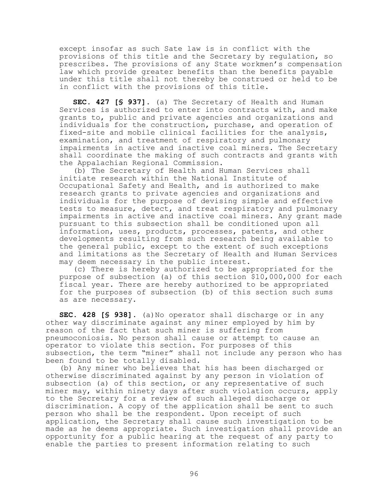except insofar as such Sate law is in conflict with the provisions of this title and the Secretary by regulation, so prescribes. The provisions of any State workmen's compensation law which provide greater benefits than the benefits payable under this title shall not thereby be construed or held to be in conflict with the provisions of this title.

**SEC. 427 [§ 937].** (a) The Secretary of Health and Human Services is authorized to enter into contracts with, and make grants to, public and private agencies and organizations and individuals for the construction, purchase, and operation of fixed-site and mobile clinical facilities for the analysis, examination, and treatment of respiratory and pulmonary impairments in active and inactive coal miners. The Secretary shall coordinate the making of such contracts and grants with the Appalachian Regional Commission.

(b) The Secretary of Health and Human Services shall initiate research within the National Institute of Occupational Safety and Health, and is authorized to make research grants to private agencies and organizations and individuals for the purpose of devising simple and effective tests to measure, detect, and treat respiratory and pulmonary impairments in active and inactive coal miners. Any grant made pursuant to this subsection shall be conditioned upon all information, uses, products, processes, patents, and other developments resulting from such research being available to the general public, except to the extent of such exceptions and limitations as the Secretary of Health and Human Services may deem necessary in the public interest.

(c) There is hereby authorized to be appropriated for the purpose of subsection (a) of this section \$10,000,000 for each fiscal year. There are hereby authorized to be appropriated for the purposes of subsection (b) of this section such sums as are necessary.

**SEC. 428 [§ 938].** (a)No operator shall discharge or in any other way discriminate against any miner employed by him by reason of the fact that such miner is suffering from pneumoconiosis. No person shall cause or attempt to cause an operator to violate this section. For purposes of this subsection, the term "miner" shall not include any person who has been found to be totally disabled.

(b) Any miner who believes that his has been discharged or otherwise discriminated against by any person in violation of subsection (a) of this section, or any representative of such miner may, within ninety days after such violation occurs, apply to the Secretary for a review of such alleged discharge or discrimination. A copy of the application shall be sent to such person who shall be the respondent. Upon receipt of such application, the Secretary shall cause such investigation to be made as he deems appropriate. Such investigation shall provide an opportunity for a public hearing at the request of any party to enable the parties to present information relating to such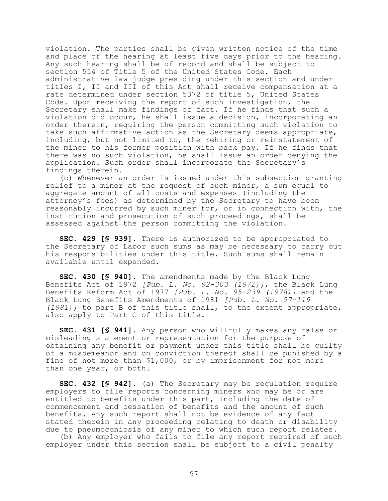violation. The parties shall be given written notice of the time and place of the hearing at least five days prior to the hearing. Any such hearing shall be of record and shall be subject to section 554 of Title 5 of the United States Code. Each administrative law judge presiding under this section and under titles I, II and III of this Act shall receive compensation at a rate determined under section 5372 of title 5, United States Code. Upon receiving the report of such investigation, the Secretary shall make findings of fact. If he finds that such a violation did occur, he shall issue a decision, incorporating an order therein, requiring the person committing such violation to take such affirmative action as the Secretary deems appropriate, including, but not limited to, the rehiring or reinstatement of the miner to his former position with back pay. If he finds that there was no such violation, he shall issue an order denying the application. Such order shall incorporate the Secretary's findings therein.

(c) Whenever an order is issued under this subsection granting relief to a miner at the request of such miner, a sum equal to aggregate amount of all costs and expenses (including the attorney's fees) as determined by the Secretary to have been reasonably incurred by such miner for, or in connection with, the institution and prosecution of such proceedings, shall be assessed against the person committing the violation.

**SEC. 429 [§ 939].** There is authorized to be appropriated to the Secretary of Labor such sums as may be necessary to carry out his responsibilities under this title. Such sums shall remain available until expended.

**SEC. 430 [§ 940].** The amendments made by the Black Lung Benefits Act of 1972 *[Pub. L. No. 92-303 (1972)]*, the Black Lung Benefits Reform Act of 1977 *[Pub. L. No. 95-239 (1978)]* and the Black Lung Benefits Amendments of 1981 *[Pub. L. No. 97-119 (1981)]* to part B of this title shall, to the extent appropriate, also apply to Part C of this title.

**SEC. 431 [§ 941].** Any person who willfully makes any false or misleading statement or representation for the purpose of obtaining any benefit or payment under this title shall be guilty of a misdemeanor and on conviction thereof shall be punished by a fine of not more than \$1,000, or by imprisonment for not more than one year, or both.

**SEC. 432 [§ 942].** (a) The Secretary may be regulation require employers to file reports concerning miners who may be or are entitled to benefits under this part, including the date of commencement and cessation of benefits and the amount of such benefits. Any such report shall not be evidence of any fact stated therein in any proceeding relating to death or disability due to pneumoconiosis of any miner to which such report relates.

(b) Any employer who fails to file any report required of such employer under this section shall be subject to a civil penalty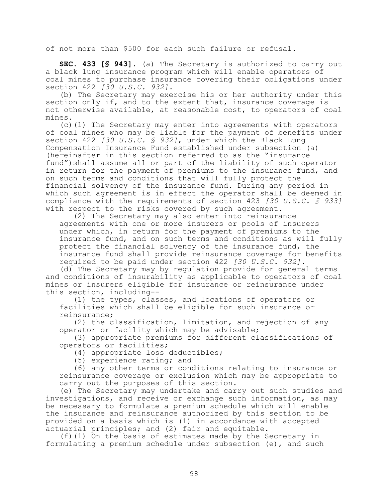of not more than \$500 for each such failure or refusal.

**SEC. 433 [§ 943].** (a) The Secretary is authorized to carry out a black lung insurance program which will enable operators of coal mines to purchase insurance covering their obligations under section 422 *[30 U.S.C. 932]*.

(b) The Secretary may exercise his or her authority under this section only if, and to the extent that, insurance coverage is not otherwise available, at reasonable cost, to operators of coal mines.

(c)(1) The Secretary may enter into agreements with operators of coal mines who may be liable for the payment of benefits under section 422 *[30 U.S.C. § 932]*, under which the Black Lung Compensation Insurance Fund established under subsection (a) (hereinafter in this section referred to as the "insurance fund")shall assume all or part of the liability of such operator in return for the payment of premiums to the insurance fund, and on such terms and conditions that will fully protect the financial solvency of the insurance fund. During any period in which such agreement is in effect the operator shall be deemed in compliance with the requirements of section 423 *[30 U.S.C. § 933]* with respect to the risks covered by such agreement.

(2) The Secretary may also enter into reinsurance agreements with one or more insurers or pools of insurers under which, in return for the payment of premiums to the insurance fund, and on such terms and conditions as will fully protect the financial solvency of the insurance fund, the insurance fund shall provide reinsurance coverage for benefits required to be paid under section 422 *[30 U.S.C. 932]*.

(d) The Secretary may by regulation provide for general terms and conditions of insurability as applicable to operators of coal mines or insurers eligible for insurance or reinsurance under this section, including--

(1) the types, classes, and locations of operators or facilities which shall be eligible for such insurance or reinsurance;

(2) the classification, limitation, and rejection of any operator or facility which may be advisable;

(3) appropriate premiums for different classifications of operators or facilities;

- (4) appropriate loss deductibles;
- (5) experience rating; and

(6) any other terms or conditions relating to insurance or reinsurance coverage or exclusion which may be appropriate to carry out the purposes of this section.

(e) The Secretary may undertake and carry out such studies and investigations, and receive or exchange such information, as may be necessary to formulate a premium schedule which will enable the insurance and reinsurance authorized by this section to be provided on a basis which is (1) in accordance with accepted actuarial principles; and (2) fair and equitable.

(f)(1) On the basis of estimates made by the Secretary in formulating a premium schedule under subsection (e), and such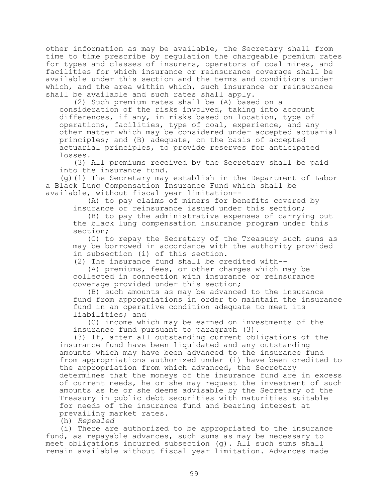other information as may be available, the Secretary shall from time to time prescribe by regulation the chargeable premium rates for types and classes of insurers, operators of coal mines, and facilities for which insurance or reinsurance coverage shall be available under this section and the terms and conditions under which, and the area within which, such insurance or reinsurance shall be available and such rates shall apply.

(2) Such premium rates shall be (A) based on a consideration of the risks involved, taking into account differences, if any, in risks based on location, type of operations, facilities, type of coal, experience, and any other matter which may be considered under accepted actuarial principles; and (B) adequate, on the basis of accepted actuarial principles, to provide reserves for anticipated losses.

(3) All premiums received by the Secretary shall be paid into the insurance fund.

 $(q)$  (1) The Secretary may establish in the Department of Labor a Black Lung Compensation Insurance Fund which shall be available, without fiscal year limitation--

(A) to pay claims of miners for benefits covered by insurance or reinsurance issued under this section;

(B) to pay the administrative expenses of carrying out the black lung compensation insurance program under this section;

(C) to repay the Secretary of the Treasury such sums as may be borrowed in accordance with the authority provided in subsection (i) of this section.

(2) The insurance fund shall be credited with--

(A) premiums, fees, or other charges which may be collected in connection with insurance or reinsurance coverage provided under this section;

(B) such amounts as may be advanced to the insurance fund from appropriations in order to maintain the insurance fund in an operative condition adequate to meet its liabilities; and

(C) income which may be earned on investments of the insurance fund pursuant to paragraph (3).

(3) If, after all outstanding current obligations of the insurance fund have been liquidated and any outstanding amounts which may have been advanced to the insurance fund from appropriations authorized under (i) have been credited to the appropriation from which advanced, the Secretary determines that the moneys of the insurance fund are in excess of current needs, he or she may request the investment of such amounts as he or she deems advisable by the Secretary of the Treasury in public debt securities with maturities suitable for needs of the insurance fund and bearing interest at prevailing market rates.

(h) *Repealed*

(i) There are authorized to be appropriated to the insurance fund, as repayable advances, such sums as may be necessary to meet obligations incurred subsection (g). All such sums shall remain available without fiscal year limitation. Advances made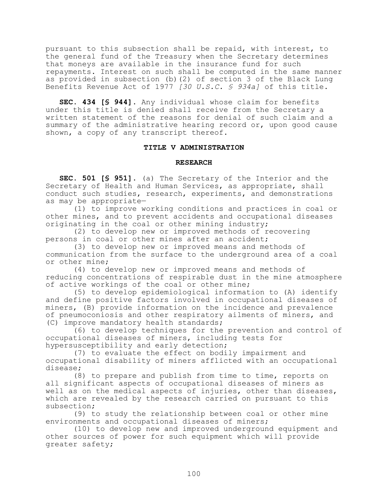pursuant to this subsection shall be repaid, with interest, to the general fund of the Treasury when the Secretary determines that moneys are available in the insurance fund for such repayments. Interest on such shall be computed in the same manner as provided in subsection (b)(2) of section 3 of the Black Lung Benefits Revenue Act of 1977 *[30 U.S.C. § 934a]* of this title.

**SEC. 434 [§ 944].** Any individual whose claim for benefits under this title is denied shall receive from the Secretary a written statement of the reasons for denial of such claim and a summary of the administrative hearing record or, upon good cause shown, a copy of any transcript thereof.

## **TITLE V ADMINISTRATION**

## **RESEARCH**

**SEC. 501 [§ 951]**. (a) The Secretary of the Interior and the Secretary of Health and Human Services, as appropriate, shall conduct such studies, research, experiments, and demonstrations as may be appropriate—

(1) to improve working conditions and practices in coal or other mines, and to prevent accidents and occupational diseases originating in the coal or other mining industry;

(2) to develop new or improved methods of recovering persons in coal or other mines after an accident;

(3) to develop new or improved means and methods of communication from the surface to the underground area of a coal or other mine;

(4) to develop new or improved means and methods of reducing concentrations of respirable dust in the mine atmosphere of active workings of the coal or other mine;

(5) to develop epidemiological information to (A) identify and define positive factors involved in occupational diseases of miners, (B) provide information on the incidence and prevalence of pneumoconiosis and other respiratory ailments of miners, and (C) improve mandatory health standards;

(6) to develop techniques for the prevention and control of occupational diseases of miners, including tests for hypersusceptibility and early detection;

(7) to evaluate the effect on bodily impairment and occupational disability of miners afflicted with an occupational disease;

(8) to prepare and publish from time to time, reports on all significant aspects of occupational diseases of miners as well as on the medical aspects of injuries, other than diseases, which are revealed by the research carried on pursuant to this subsection;

(9) to study the relationship between coal or other mine environments and occupational diseases of miners;

(10) to develop new and improved underground equipment and other sources of power for such equipment which will provide greater safety;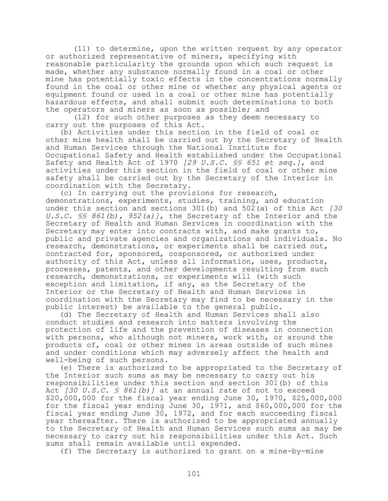(11) to determine, upon the written request by any operator or authorized representative of miners, specifying with reasonable particularity the grounds upon which such request is made, whether any substance normally found in a coal or other mine has potentially toxic effects in the concentrations normally found in the coal or other mine or whether any physical agents or equipment found or used in a coal or other mine has potentially hazardous effects, and shall submit such determinations to both the operators and miners as soon as possible; and

(12) for such other purposes as they deem necessary to carry out the purposes of this Act.

(b) Activities under this section in the field of coal or other mine health shall be carried out by the Secretary of Health and Human Services through the National Institute for Occupational Safety and Health established under the Occupational Safety and Health Act of 1970 *[29 U.S.C. §§ 651 et seq.]*, and activities under this section in the field of coal or other mine safety shall be carried out by the Secretary of the Interior in coordination with the Secretary.

(c) In carrying out the provisions for research, demonstrations, experiments, studies, training, and education under this section and sections 301(b) and 502(a) of this Act *[30 U.S.C. §§ 861(b), 952(a)]*, the Secretary of the Interior and the Secretary of Health and Human Services in coordination with the Secretary may enter into contracts with, and make grants to, public and private agencies and organizations and individuals. No research, demonstrations, or experiments shall be carried out, contracted for, sponsored, cosponsored, or authorized under authority of this Act, unless all information, uses, products, processes, patents, and other developments resulting from such research, demonstrations, or experiments will (with such exception and limitation, if any, as the Secretary of the Interior or the Secretary of Health and Human Services in coordination with the Secretary may find to be necessary in the public interest) be available to the general public.

(d) The Secretary of Health and Human Services shall also conduct studies and research into matters involving the protection of life and the prevention of diseases in connection with persons, who although not miners, work with, or around the products of, coal or other mines in areas outside of such mines and under conditions which may adversely affect the health and well-being of such persons.

(e) There is authorized to be appropriated to the Secretary of the Interior such sums as may be necessary to carry out his responsibilities under this section and section 301(b) of this Act *[30 U.S.C. § 861(b)]* at an annual rate of not to exceed \$20,000,000 for the fiscal year ending June 30, 1970, \$25,000,000 for the fiscal year ending June 30, 1971, and \$60,000,000 for the fiscal year ending June 30, 1972, and for each succeeding fiscal year thereafter. There is authorized to be appropriated annually to the Secretary of Health and Human Services such sums as may be necessary to carry out his responsibilities under this Act. Such sums shall remain available until expended.

(f) The Secretary is authorized to grant on a mine-by-mine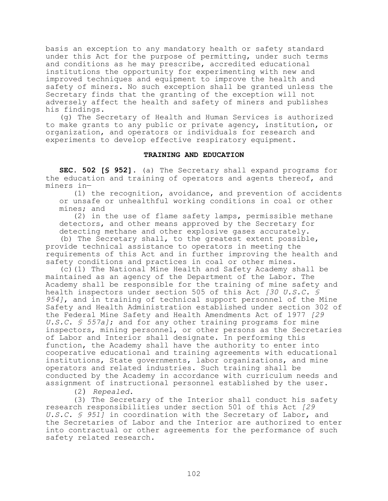basis an exception to any mandatory health or safety standard under this Act for the purpose of permitting, under such terms and conditions as he may prescribe, accredited educational institutions the opportunity for experimenting with new and improved techniques and equipment to improve the health and safety of miners. No such exception shall be granted unless the Secretary finds that the granting of the exception will not adversely affect the health and safety of miners and publishes his findings.

(g) The Secretary of Health and Human Services is authorized to make grants to any public or private agency, institution, or organization, and operators or individuals for research and experiments to develop effective respiratory equipment.

# **TRAINING AND EDUCATION**

**SEC. 502 [§ 952]**. (a) The Secretary shall expand programs for the education and training of operators and agents thereof, and miners in—

(1) the recognition, avoidance, and prevention of accidents or unsafe or unhealthful working conditions in coal or other mines; and

(2) in the use of flame safety lamps, permissible methane detectors, and other means approved by the Secretary for detecting methane and other explosive gases accurately.

(b) The Secretary shall, to the greatest extent possible, provide technical assistance to operators in meeting the requirements of this Act and in further improving the health and safety conditions and practices in coal or other mines.

(c)(1) The National Mine Health and Safety Academy shall be maintained as an agency of the Department of the Labor. The Academy shall be responsible for the training of mine safety and health inspectors under section 505 of this Act *[30 U.S.C. § 954]*, and in training of technical support personnel of the Mine Safety and Health Administration established under section 302 of the Federal Mine Safety and Health Amendments Act of 1977 *[29 U.S.C. § 557a]*; and for any other training programs for mine inspectors, mining personnel, or other persons as the Secretaries of Labor and Interior shall designate. In performing this function, the Academy shall have the authority to enter into cooperative educational and training agreements with educational institutions, State governments, labor organizations, and mine operators and related industries. Such training shall be conducted by the Academy in accordance with curriculum needs and assignment of instructional personnel established by the user.

(2) *Repealed*.

(3) The Secretary of the Interior shall conduct his safety research responsibilities under section 501 of this Act *[29 U.S.C. § 951]* in coordination with the Secretary of Labor, and the Secretaries of Labor and the Interior are authorized to enter into contractual or other agreements for the performance of such safety related research.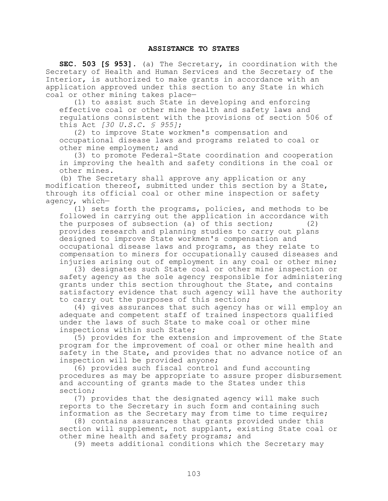**SEC. 503 [§ 953]**. (a) The Secretary, in coordination with the Secretary of Health and Human Services and the Secretary of the Interior, is authorized to make grants in accordance with an application approved under this section to any State in which coal or other mining takes place—

(1) to assist such State in developing and enforcing effective coal or other mine health and safety laws and regulations consistent with the provisions of section 506 of this Act *[30 U.S.C. § 955]*;

(2) to improve State workmen's compensation and occupational disease laws and programs related to coal or other mine employment; and

(3) to promote Federal-State coordination and cooperation in improving the health and safety conditions in the coal or other mines.

(b) The Secretary shall approve any application or any modification thereof, submitted under this section by a State, through its official coal or other mine inspection or safety agency, which—

(1) sets forth the programs, policies, and methods to be followed in carrying out the application in accordance with the purposes of subsection (a) of this section; (2) provides research and planning studies to carry out plans designed to improve State workmen's compensation and occupational disease laws and programs, as they relate to compensation to miners for occupationally caused diseases and injuries arising out of employment in any coal or other mine;

(3) designates such State coal or other mine inspection or safety agency as the sole agency responsible for administering grants under this section throughout the State, and contains satisfactory evidence that such agency will have the authority to carry out the purposes of this section;

(4) gives assurances that such agency has or will employ an adequate and competent staff of trained inspectors qualified under the laws of such State to make coal or other mine inspections within such State;

(5) provides for the extension and improvement of the State program for the improvement of coal or other mine health and safety in the State, and provides that no advance notice of an inspection will be provided anyone;

(6) provides such fiscal control and fund accounting procedures as may be appropriate to assure proper disbursement and accounting of grants made to the States under this section;

(7) provides that the designated agency will make such reports to the Secretary in such form and containing such information as the Secretary may from time to time require;

(8) contains assurances that grants provided under this section will supplement, not supplant, existing State coal or other mine health and safety programs; and

(9) meets additional conditions which the Secretary may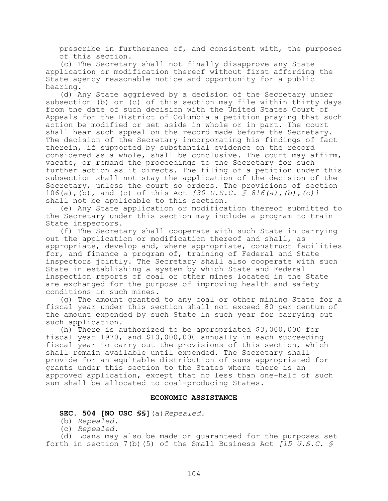prescribe in furtherance of, and consistent with, the purposes of this section.

(c) The Secretary shall not finally disapprove any State application or modification thereof without first affording the State agency reasonable notice and opportunity for a public hearing.

(d) Any State aggrieved by a decision of the Secretary under subsection (b) or (c) of this section may file within thirty days from the date of such decision with the United States Court of Appeals for the District of Columbia a petition praying that such action be modified or set aside in whole or in part. The court shall hear such appeal on the record made before the Secretary. The decision of the Secretary incorporating his findings of fact therein, if supported by substantial evidence on the record considered as a whole, shall be conclusive. The court may affirm, vacate, or remand the proceedings to the Secretary for such further action as it directs. The filing of a petition under this subsection shall not stay the application of the decision of the Secretary, unless the court so orders. The provisions of section 106(a),(b), and (c) of this Act *[30 U.S.C. § 816(a),(b),(c)]* shall not be applicable to this section.

(e) Any State application or modification thereof submitted to the Secretary under this section may include a program to train State inspectors.

(f) The Secretary shall cooperate with such State in carrying out the application or modification thereof and shall, as appropriate, develop and, where appropriate, construct facilities for, and finance a program of, training of Federal and State inspectors jointly. The Secretary shall also cooperate with such State in establishing a system by which State and Federal inspection reports of coal or other mines located in the State are exchanged for the purpose of improving health and safety conditions in such mines.

(g) The amount granted to any coal or other mining State for a fiscal year under this section shall not exceed 80 per centum of the amount expended by such State in such year for carrying out such application.

(h) There is authorized to be appropriated \$3,000,000 for fiscal year 1970, and \$10,000,000 annually in each succeeding fiscal year to carry out the provisions of this section, which shall remain available until expended. The Secretary shall provide for an equitable distribution of sums appropriated for grants under this section to the States where there is an approved application, except that no less than one-half of such sum shall be allocated to coal-producing States.

## **ECONOMIC ASSISTANCE**

**SEC. 504 [NO USC §§]**(a)*Repealed*.

- (b) *Repealed*.
- (c) *Repealed*.

(d) Loans may also be made or guaranteed for the purposes set forth in section 7(b)(5) of the Small Business Act *[15 U.S.C. §*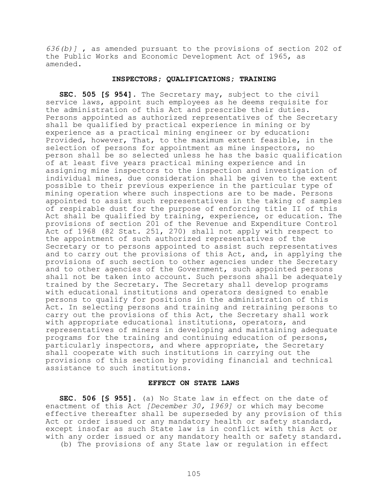*636(b)]* , as amended pursuant to the provisions of section 202 of the Public Works and Economic Development Act of 1965, as amended.

## **INSPECTORS; QUALIFICATIONS; TRAINING**

**SEC. 505 [§ 954]**. The Secretary may, subject to the civil service laws, appoint such employees as he deems requisite for the administration of this Act and prescribe their duties. Persons appointed as authorized representatives of the Secretary shall be qualified by practical experience in mining or by experience as a practical mining engineer or by education: Provided, however, That, to the maximum extent feasible, in the selection of persons for appointment as mine inspectors, no person shall be so selected unless he has the basic qualification of at least five years practical mining experience and in assigning mine inspectors to the inspection and investigation of individual mines, due consideration shall be given to the extent possible to their previous experience in the particular type of mining operation where such inspections are to be made. Persons appointed to assist such representatives in the taking of samples of respirable dust for the purpose of enforcing title II of this Act shall be qualified by training, experience, or education. The provisions of section 201 of the Revenue and Expenditure Control Act of 1968 (82 Stat. 251, 270) shall not apply with respect to the appointment of such authorized representatives of the Secretary or to persons appointed to assist such representatives and to carry out the provisions of this Act, and, in applying the provisions of such section to other agencies under the Secretary and to other agencies of the Government, such appointed persons shall not be taken into account. Such persons shall be adequately trained by the Secretary. The Secretary shall develop programs with educational institutions and operators designed to enable persons to qualify for positions in the administration of this Act. In selecting persons and training and retraining persons to carry out the provisions of this Act, the Secretary shall work with appropriate educational institutions, operators, and representatives of miners in developing and maintaining adequate programs for the training and continuing education of persons, particularly inspectors, and where appropriate, the Secretary shall cooperate with such institutions in carrying out the provisions of this section by providing financial and technical assistance to such institutions.

## **EFFECT ON STATE LAWS**

**SEC. 506 [§ 955]**. (a) No State law in effect on the date of enactment of this Act *[December 30, 1969]* or which may become effective thereafter shall be superseded by any provision of this Act or order issued or any mandatory health or safety standard, except insofar as such State law is in conflict with this Act or with any order issued or any mandatory health or safety standard.

(b) The provisions of any State law or regulation in effect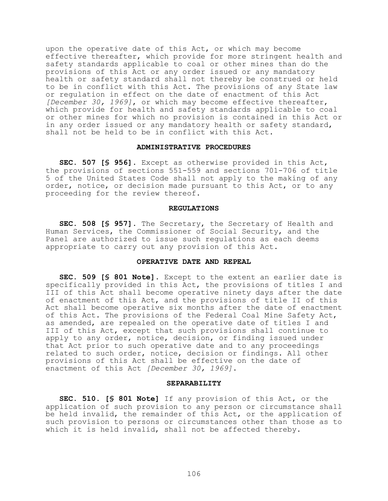upon the operative date of this Act, or which may become effective thereafter, which provide for more stringent health and safety standards applicable to coal or other mines than do the provisions of this Act or any order issued or any mandatory health or safety standard shall not thereby be construed or held to be in conflict with this Act. The provisions of any State law or regulation in effect on the date of enactment of this Act *[December 30, 1969]*, or which may become effective thereafter, which provide for health and safety standards applicable to coal or other mines for which no provision is contained in this Act or in any order issued or any mandatory health or safety standard, shall not be held to be in conflict with this Act.

#### **ADMINISTRATIVE PROCEDURES**

**SEC. 507 [§ 956]**. Except as otherwise provided in this Act, the provisions of sections 551-559 and sections 701-706 of title 5 of the United States Code shall not apply to the making of any order, notice, or decision made pursuant to this Act, or to any proceeding for the review thereof.

#### **REGULATIONS**

**SEC. 508 [§ 957]**. The Secretary, the Secretary of Health and Human Services, the Commissioner of Social Security, and the Panel are authorized to issue such regulations as each deems appropriate to carry out any provision of this Act.

# **OPERATIVE DATE AND REPEAL**

**SEC. 509 [§ 801 Note]**. Except to the extent an earlier date is specifically provided in this Act, the provisions of titles I and III of this Act shall become operative ninety days after the date of enactment of this Act, and the provisions of title II of this Act shall become operative six months after the date of enactment of this Act. The provisions of the Federal Coal Mine Safety Act, as amended, are repealed on the operative date of titles I and III of this Act, except that such provisions shall continue to apply to any order, notice, decision, or finding issued under that Act prior to such operative date and to any proceedings related to such order, notice, decision or findings. All other provisions of this Act shall be effective on the date of enactment of this Act *[December 30, 1969]*.

#### **SEPARABILITY**

**SEC. 510. [§ 801 Note]** If any provision of this Act, or the application of such provision to any person or circumstance shall be held invalid, the remainder of this Act, or the application of such provision to persons or circumstances other than those as to which it is held invalid, shall not be affected thereby.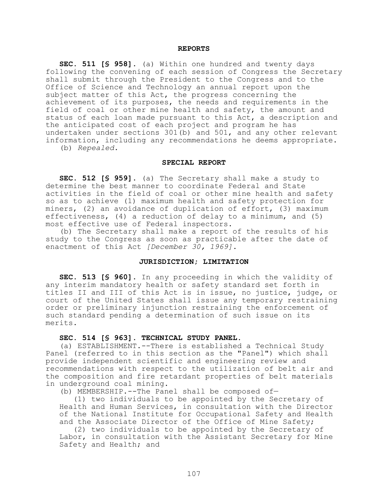#### **REPORTS**

**SEC. 511 [§ 958]**. (a) Within one hundred and twenty days following the convening of each session of Congress the Secretary shall submit through the President to the Congress and to the Office of Science and Technology an annual report upon the subject matter of this Act, the progress concerning the achievement of its purposes, the needs and requirements in the field of coal or other mine health and safety, the amount and status of each loan made pursuant to this Act, a description and the anticipated cost of each project and program he has undertaken under sections 301(b) and 501, and any other relevant information, including any recommendations he deems appropriate.

(b) *Repealed*.

#### **SPECIAL REPORT**

**SEC. 512 [§ 959]**. (a) The Secretary shall make a study to determine the best manner to coordinate Federal and State activities in the field of coal or other mine health and safety so as to achieve (1) maximum health and safety protection for miners, (2) an avoidance of duplication of effort, (3) maximum effectiveness, (4) a reduction of delay to a minimum, and (5) most effective use of Federal inspectors.

(b) The Secretary shall make a report of the results of his study to the Congress as soon as practicable after the date of enactment of this Act *[December 30, 1969]*.

### **JURISDICTION; LIMITATION**

**SEC. 513 [§ 960]**. In any proceeding in which the validity of any interim mandatory health or safety standard set forth in titles II and III of this Act is in issue, no justice, judge, or court of the United States shall issue any temporary restraining order or preliminary injunction restraining the enforcement of such standard pending a determination of such issue on its merits.

# **SEC. 514 [§ 963]. TECHNICAL STUDY PANEL**.

(a) ESTABLISHMENT.--There is established a Technical Study Panel (referred to in this section as the "Panel") which shall provide independent scientific and engineering review and recommendations with respect to the utilization of belt air and the composition and fire retardant properties of belt materials in underground coal mining.

(b) MEMBERSHIP.--The Panel shall be composed of—

(1) two individuals to be appointed by the Secretary of Health and Human Services, in consultation with the Director of the National Institute for Occupational Safety and Health and the Associate Director of the Office of Mine Safety;

(2) two individuals to be appointed by the Secretary of Labor, in consultation with the Assistant Secretary for Mine Safety and Health; and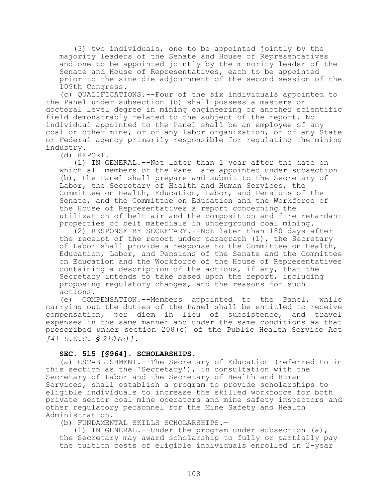(3) two individuals, one to be appointed jointly by the majority leaders of the Senate and House of Representatives and one to be appointed jointly by the minority leader of the Senate and House of Representatives, each to be appointed prior to the sine die adjournment of the second session of the 109th Congress.

(c) QUALIFICATIONS.--Four of the six individuals appointed to the Panel under subsection (b) shall possess a masters or doctoral level degree in mining engineering or another scientific field demonstrably related to the subject of the report. No individual appointed to the Panel shall be an employee of any coal or other mine, or of any labor organization, or of any State or Federal agency primarily responsible for regulating the mining industry.

(d) REPORT.—

(1) IN GENERAL.--Not later than 1 year after the date on which all members of the Panel are appointed under subsection (b), the Panel shall prepare and submit to the Secretary of Labor, the Secretary of Health and Human Services, the Committee on Health, Education, Labor, and Pensions of the Senate, and the Committee on Education and the Workforce of the House of Representatives a report concerning the utilization of belt air and the composition and fire retardant properties of belt materials in underground coal mining.

(2) RESPONSE BY SECRETARY.--Not later than 180 days after the receipt of the report under paragraph (1), the Secretary of Labor shall provide a response to the Committee on Health, Education, Labor, and Pensions of the Senate and the Committee on Education and the Workforce of the House of Representatives containing a description of the actions, if any, that the Secretary intends to take based upon the report, including proposing regulatory changes, and the reasons for such actions.

(e) COMPENSATION.--Members appointed to the Panel, while carrying out the duties of the Panel shall be entitled to receive compensation, per diem in lieu of subsistence, and travel expenses in the same manner and under the same conditions as that prescribed under section 208(c) of the Public Health Service Act *[41 U.S.C. § 210(c)]*.

# **SEC. 515 [§964]. SCHOLARSHIPS**.

(a) ESTABLISHMENT.--The Secretary of Education (referred to in this section as the 'Secretary'), in consultation with the Secretary of Labor and the Secretary of Health and Human Services, shall establish a program to provide scholarships to eligible individuals to increase the skilled workforce for both private sector coal mine operators and mine safety inspectors and other regulatory personnel for the Mine Safety and Health Administration.

(b) FUNDAMENTAL SKILLS SCHOLARSHIPS.—

(1) IN GENERAL.--Under the program under subsection (a), the Secretary may award scholarship to fully or partially pay the tuition costs of eligible individuals enrolled in 2-year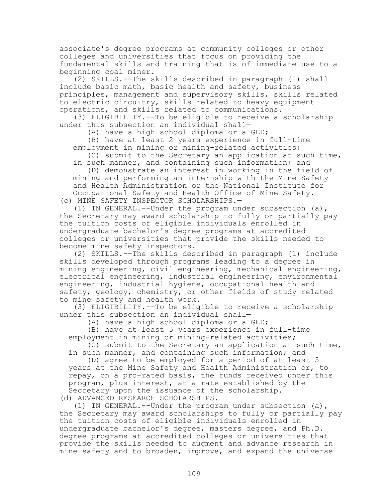associate's degree programs at community colleges or other colleges and universities that focus on providing the fundamental skills and training that is of immediate use to a beginning coal miner.

(2) SKILLS.--The skills described in paragraph (1) shall include basic math, basic health and safety, business principles, management and supervisory skills, skills related to electric circuitry, skills related to heavy equipment operations, and skills related to communications.

(3) ELIGIBILITY.--To be eligible to receive a scholarship under this subsection an individual shall—

(A) have a high school diploma or a GED;

(B) have at least 2 years experience in full-time employment in mining or mining-related activities;

(C) submit to the Secretary an application at such time, in such manner, and containing such information; and

(D) demonstrate an interest in working in the field of mining and performing an internship with the Mine Safety and Health Administration or the National Institute for Occupational Safety and Health Office of Mine Safety. (c) MINE SAFETY INSPECTOR SCHOLARSHIPS.—

(1) IN GENERAL.--Under the program under subsection (a), the Secretary may award scholarship to fully or partially pay the tuition costs of eligible individuals enrolled in undergraduate bachelor's degree programs at accredited colleges or universities that provide the skills needed to become mine safety inspectors.

(2) SKILLS.--The skills described in paragraph (1) include skills developed through programs leading to a degree in mining engineering, civil engineering, mechanical engineering, electrical engineering, industrial engineering, environmental engineering, industrial hygiene, occupational health and safety, geology, chemistry, or other fields of study related to mine safety and health work.

(3) ELIGIBILITY.--To be eligible to receive a scholarship under this subsection an individual shall—

(A) have a high school diploma or a GED;

(B) have at least 5 years experience in full-time employment in mining or mining-related activities;

(C) submit to the Secretary an application at such time, in such manner, and containing such information; and

(D) agree to be employed for a period of at least 5 years at the Mine Safety and Health Administration or, to repay, on a pro-rated basis, the funds received under this program, plus interest, at a rate established by the Secretary upon the issuance of the scholarship.

(d) ADVANCED RESEARCH SCHOLARSHIPS.—

(1) IN GENERAL.--Under the program under subsection (a), the Secretary may award scholarships to fully or partially pay the tuition costs of eligible individuals enrolled in undergraduate bachelor's degree, masters degree, and Ph.D. degree programs at accredited colleges or universities that provide the skills needed to augment and advance research in mine safety and to broaden, improve, and expand the universe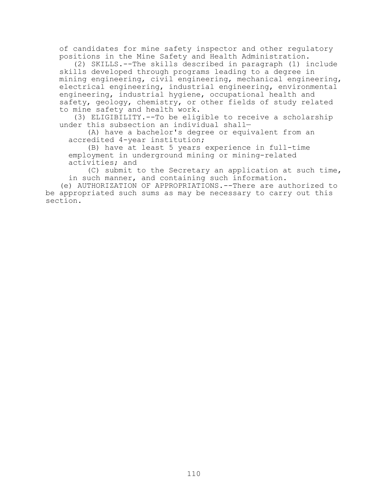of candidates for mine safety inspector and other regulatory positions in the Mine Safety and Health Administration.

(2) SKILLS.--The skills described in paragraph (1) include skills developed through programs leading to a degree in mining engineering, civil engineering, mechanical engineering, electrical engineering, industrial engineering, environmental engineering, industrial hygiene, occupational health and safety, geology, chemistry, or other fields of study related to mine safety and health work.

(3) ELIGIBILITY.--To be eligible to receive a scholarship under this subsection an individual shall—

(A) have a bachelor's degree or equivalent from an accredited 4-year institution;

(B) have at least 5 years experience in full-time employment in underground mining or mining-related activities; and

(C) submit to the Secretary an application at such time, in such manner, and containing such information.

(e) AUTHORIZATION OF APPROPRIATIONS.--There are authorized to be appropriated such sums as may be necessary to carry out this section.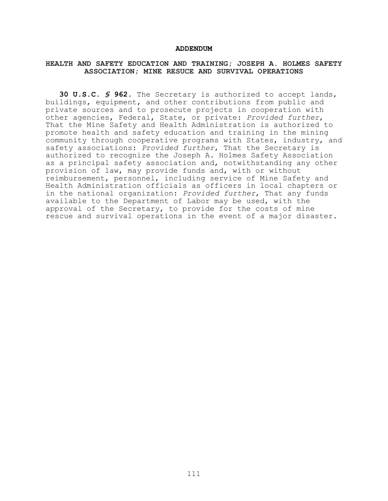# **HEALTH AND SAFETY EDUCATION AND TRAINING; JOSEPH A. HOLMES SAFETY ASSOCIATION; MINE RESUCE AND SURVIVAL OPERATIONS**

**30 U.S.C.** *§* **962.** The Secretary is authorized to accept lands, buildings, equipment, and other contributions from public and private sources and to prosecute projects in cooperation with other agencies, Federal, State, or private: *Provided further*, That the Mine Safety and Health Administration is authorized to promote health and safety education and training in the mining community through cooperative programs with States, industry, and safety associations: *Provided further*, That the Secretary is authorized to recognize the Joseph A. Holmes Safety Association as a principal safety association and, notwithstanding any other provision of law, may provide funds and, with or without reimbursement, personnel, including service of Mine Safety and Health Administration officials as officers in local chapters or in the national organization: *Provided further*, That any funds available to the Department of Labor may be used, with the approval of the Secretary, to provide for the costs of mine rescue and survival operations in the event of a major disaster.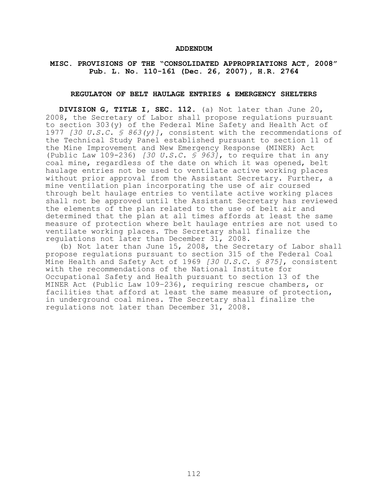# **MISC. PROVISIONS OF THE "CONSOLIDATED APPROPRIATIONS ACT, 2008" Pub. L. No. 110-161 (Dec. 26, 2007), H.R. 2764**

## **REGULATON OF BELT HAULAGE ENTRIES & EMERGENCY SHELTERS**

**DIVISION G, TITLE I, SEC. 112.** (a) Not later than June 20, 2008, the Secretary of Labor shall propose regulations pursuant to section 303(y) of the Federal Mine Safety and Health Act of 1977 *[30 U.S.C. § 863(y)]*, consistent with the recommendations of the Technical Study Panel established pursuant to section 11 of the Mine Improvement and New Emergency Response (MINER) Act (Public Law 109-236) *[30 U.S.C. § 963]*, to require that in any coal mine, regardless of the date on which it was opened, belt haulage entries not be used to ventilate active working places without prior approval from the Assistant Secretary. Further, a mine ventilation plan incorporating the use of air coursed through belt haulage entries to ventilate active working places shall not be approved until the Assistant Secretary has reviewed the elements of the plan related to the use of belt air and determined that the plan at all times affords at least the same measure of protection where belt haulage entries are not used to ventilate working places. The Secretary shall finalize the regulations not later than December 31, 2008.

(b) Not later than June 15, 2008, the Secretary of Labor shall propose regulations pursuant to section 315 of the Federal Coal Mine Health and Safety Act of 1969 *[30 U.S.C. § 875]*, consistent with the recommendations of the National Institute for Occupational Safety and Health pursuant to section 13 of the MINER Act (Public Law 109–236), requiring rescue chambers, or facilities that afford at least the same measure of protection, in underground coal mines. The Secretary shall finalize the regulations not later than December 31, 2008.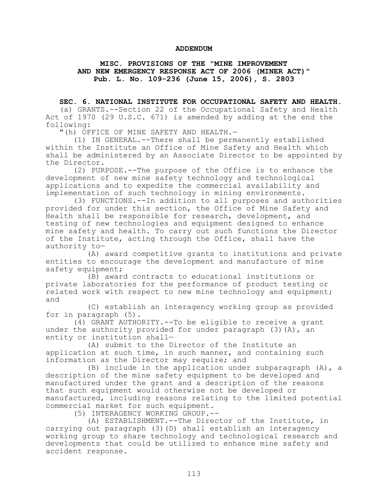# **MISC. PROVISIONS OF THE "MINE IMPROVEMENT AND NEW EMERGENCY RESPONSE ACT OF 2006 (MINER ACT)" Pub. L. No. 109-236 (June 15, 2006), S. 2803**

**SEC. 6. NATIONAL INSTITUTE FOR OCCUPATIONAL SAFETY AND HEALTH.** 

(a) GRANTS.--Section 22 of the Occupational Safety and Health Act of 1970 (29 U.S.C. 671) is amended by adding at the end the following:

"(h) OFFICE OF MINE SAFETY AND HEALTH.—

(1) IN GENERAL.--There shall be permanently established within the Institute an Office of Mine Safety and Health which shall be administered by an Associate Director to be appointed by the Director.

(2) PURPOSE.--The purpose of the Office is to enhance the development of new mine safety technology and technological applications and to expedite the commercial availability and implementation of such technology in mining environments.

(3) FUNCTIONS.--In addition to all purposes and authorities provided for under this section, the Office of Mine Safety and Health shall be responsible for research, development, and testing of new technologies and equipment designed to enhance mine safety and health. To carry out such functions the Director of the Institute, acting through the Office, shall have the authority to—

(A) award competitive grants to institutions and private entities to encourage the development and manufacture of mine safety equipment;

(B) award contracts to educational institutions or private laboratories for the performance of product testing or related work with respect to new mine technology and equipment; and

(C) establish an interagency working group as provided for in paragraph (5).

(4) GRANT AUTHORITY.--To be eligible to receive a grant under the authority provided for under paragraph  $(3)(A)$ , an entity or institution shall—

(A) submit to the Director of the Institute an application at such time, in such manner, and containing such information as the Director may require; and

(B) include in the application under subparagraph (A), a description of the mine safety equipment to be developed and manufactured under the grant and a description of the reasons that such equipment would otherwise not be developed or manufactured, including reasons relating to the limited potential commercial market for such equipment.

(5) INTERAGENCY WORKING GROUP.--

(A) ESTABLISHMENT.--The Director of the Institute, in carrying out paragraph (3)(D) shall establish an interagency working group to share technology and technological research and developments that could be utilized to enhance mine safety and accident response.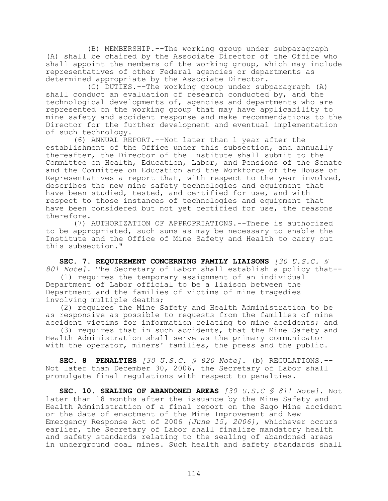(B) MEMBERSHIP.--The working group under subparagraph (A) shall be chaired by the Associate Director of the Office who shall appoint the members of the working group, which may include representatives of other Federal agencies or departments as determined appropriate by the Associate Director.

(C) DUTIES.--The working group under subparagraph (A) shall conduct an evaluation of research conducted by, and the technological developments of, agencies and departments who are represented on the working group that may have applicability to mine safety and accident response and make recommendations to the Director for the further development and eventual implementation of such technology.

(6) ANNUAL REPORT.--Not later than 1 year after the establishment of the Office under this subsection, and annually thereafter, the Director of the Institute shall submit to the Committee on Health, Education, Labor, and Pensions of the Senate and the Committee on Education and the Workforce of the House of Representatives a report that, with respect to the year involved, describes the new mine safety technologies and equipment that have been studied, tested, and certified for use, and with respect to those instances of technologies and equipment that have been considered but not yet certified for use, the reasons therefore.

(7) AUTHORIZATION OF APPROPRIATIONS.--There is authorized to be appropriated, such sums as may be necessary to enable the Institute and the Office of Mine Safety and Health to carry out this subsection."

**SEC. 7. REQUIREMENT CONCERNING FAMILY LIAISONS** *[30 U.S.C. § 801 Note]***.** The Secretary of Labor shall establish a policy that--

(1) requires the temporary assignment of an individual Department of Labor official to be a liaison between the Department and the families of victims of mine tragedies involving multiple deaths;

(2) requires the Mine Safety and Health Administration to be as responsive as possible to requests from the families of mine accident victims for information relating to mine accidents; and

(3) requires that in such accidents, that the Mine Safety and Health Administration shall serve as the primary communicator with the operator, miners' families, the press and the public.

**SEC. 8 PENALTIES** *[30 U.S.C. § 820 Note]*. (b) REGULATIONS.-- Not later than December 30, 2006, the Secretary of Labor shall promulgate final regulations with respect to penalties.

**SEC. 10. SEALING OF ABANDONED AREAS** *[30 U.S.C § 811 Note]***.** Not later than 18 months after the issuance by the Mine Safety and Health Administration of a final report on the Sago Mine accident or the date of enactment of the Mine Improvement and New Emergency Response Act of 2006 *[June 15, 2006]*, whichever occurs earlier, the Secretary of Labor shall finalize mandatory health and safety standards relating to the sealing of abandoned areas in underground coal mines. Such health and safety standards shall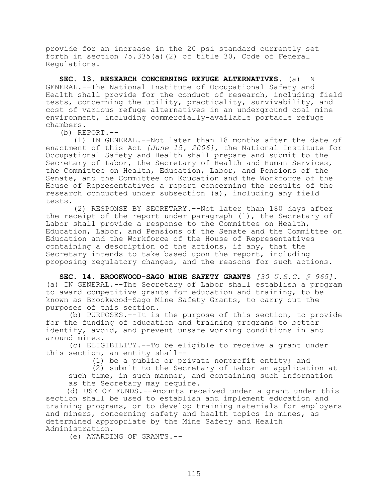provide for an increase in the 20 psi standard currently set forth in section 75.335(a)(2) of title 30, Code of Federal Regulations.

**SEC. 13. RESEARCH CONCERNING REFUGE ALTERNATIVES.** (a) IN GENERAL.--The National Institute of Occupational Safety and Health shall provide for the conduct of research, including field tests, concerning the utility, practicality, survivability, and cost of various refuge alternatives in an underground coal mine environment, including commercially-available portable refuge chambers.

(b) REPORT.--

(1) IN GENERAL.--Not later than 18 months after the date of enactment of this Act *[June 15, 2006]*, the National Institute for Occupational Safety and Health shall prepare and submit to the Secretary of Labor, the Secretary of Health and Human Services, the Committee on Health, Education, Labor, and Pensions of the Senate, and the Committee on Education and the Workforce of the House of Representatives a report concerning the results of the research conducted under subsection (a), including any field tests.

(2) RESPONSE BY SECRETARY.--Not later than 180 days after the receipt of the report under paragraph (1), the Secretary of Labor shall provide a response to the Committee on Health, Education, Labor, and Pensions of the Senate and the Committee on Education and the Workforce of the House of Representatives containing a description of the actions, if any, that the Secretary intends to take based upon the report, including proposing regulatory changes, and the reasons for such actions.

**SEC. 14. BROOKWOOD-SAGO MINE SAFETY GRANTS** *[30 U.S.C. § 965]***.**  (a) IN GENERAL.--The Secretary of Labor shall establish a program to award competitive grants for education and training, to be known as Brookwood-Sago Mine Safety Grants, to carry out the purposes of this section.

(b) PURPOSES.--It is the purpose of this section, to provide for the funding of education and training programs to better identify, avoid, and prevent unsafe working conditions in and around mines.

(c) ELIGIBILITY.--To be eligible to receive a grant under this section, an entity shall--

(1) be a public or private nonprofit entity; and

(2) submit to the Secretary of Labor an application at such time, in such manner, and containing such information as the Secretary may require.

(d) USE OF FUNDS.--Amounts received under a grant under this section shall be used to establish and implement education and training programs, or to develop training materials for employers and miners, concerning safety and health topics in mines, as determined appropriate by the Mine Safety and Health Administration.

(e) AWARDING OF GRANTS.--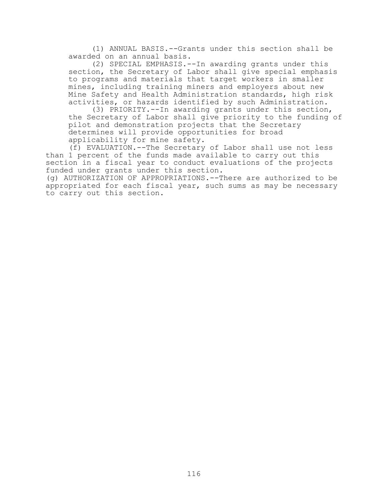(1) ANNUAL BASIS.--Grants under this section shall be awarded on an annual basis.

(2) SPECIAL EMPHASIS.--In awarding grants under this section, the Secretary of Labor shall give special emphasis to programs and materials that target workers in smaller mines, including training miners and employers about new Mine Safety and Health Administration standards, high risk activities, or hazards identified by such Administration.

(3) PRIORITY.--In awarding grants under this section, the Secretary of Labor shall give priority to the funding of pilot and demonstration projects that the Secretary determines will provide opportunities for broad applicability for mine safety.

(f) EVALUATION.--The Secretary of Labor shall use not less than 1 percent of the funds made available to carry out this section in a fiscal year to conduct evaluations of the projects funded under grants under this section.

(g) AUTHORIZATION OF APPROPRIATIONS.--There are authorized to be appropriated for each fiscal year, such sums as may be necessary to carry out this section.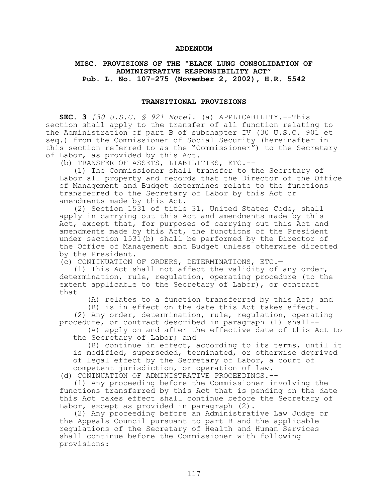# **MISC. PROVISIONS OF THE "BLACK LUNG CONSOLIDATION OF ADMINISTRATIVE RESPONSIBILITY ACT" Pub. L. No. 107-275 (November 2, 2002), H.R. 5542**

# **TRANSITIONAL PROVISIONS**

**SEC. 3** *[30 U.S.C. § 921 Note]***.** (a) APPLICABILITY.--This section shall apply to the transfer of all function relating to the Administration of part B of subchapter IV (30 U.S.C. 901 et seq.) from the Commissioner of Social Security (hereinafter in this section referred to as the "Commissioner") to the Secretary of Labor, as provided by this Act.

(b) TRANSFER OF ASSETS, LIABILITIES, ETC.--

(1) The Commissioner shall transfer to the Secretary of Labor all property and records that the Director of the Office of Management and Budget determines relate to the functions transferred to the Secretary of Labor by this Act or amendments made by this Act.

(2) Section 1531 of title 31, United States Code, shall apply in carrying out this Act and amendments made by this Act, except that, for purposes of carrying out this Act and amendments made by this Act, the functions of the President under section 1531(b) shall be performed by the Director of the Office of Management and Budget unless otherwise directed by the President.

(c) CONTINUATION OF ORDERS, DETERMINATIONS, ETC.—

(1) This Act shall not affect the validity of any order, determination, rule, regulation, operating procedure (to the extent applicable to the Secretary of Labor), or contract that—

(A) relates to a function transferred by this Act; and

(B) is in effect on the date this Act takes effect. (2) Any order, determination, rule, regulation, operating

procedure, or contract described in paragraph (1) shall--

(A) apply on and after the effective date of this Act to the Secretary of Labor; and

(B) continue in effect, according to its terms, until it is modified, superseded, terminated, or otherwise deprived of legal effect by the Secretary of Labor, a court of

competent jurisdiction, or operation of law.

(d) CONINUATION OF ADMINISTRATIVE PROCEEDINGS.--

(1) Any proceeding before the Commissioner involving the functions transferred by this Act that is pending on the date this Act takes effect shall continue before the Secretary of Labor, except as provided in paragraph (2).

(2) Any proceeding before an Administrative Law Judge or the Appeals Council pursuant to part B and the applicable regulations of the Secretary of Health and Human Services shall continue before the Commissioner with following provisions: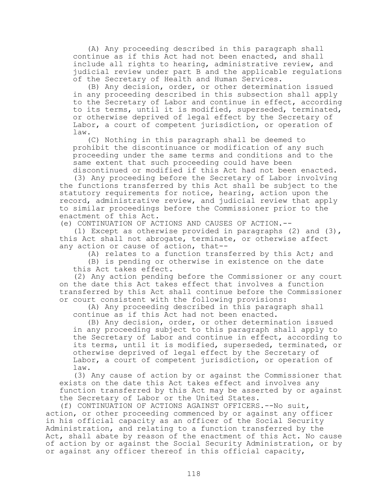(A) Any proceeding described in this paragraph shall continue as if this Act had not been enacted, and shall include all rights to hearing, administrative review, and judicial review under part B and the applicable regulations of the Secretary of Health and Human Services.

(B) Any decision, order, or other determination issued in any proceeding described in this subsection shall apply to the Secretary of Labor and continue in effect, according to its terms, until it is modified, superseded, terminated, or otherwise deprived of legal effect by the Secretary of Labor, a court of competent jurisdiction, or operation of law.

(C) Nothing in this paragraph shall be deemed to prohibit the discontinuance or modification of any such proceeding under the same terms and conditions and to the same extent that such proceeding could have been discontinued or modified if this Act had not been enacted.

(3) Any proceeding before the Secretary of Labor involving the functions transferred by this Act shall be subject to the statutory requirements for notice, hearing, action upon the record, administrative review, and judicial review that apply to similar proceedings before the Commissioner prior to the enactment of this Act.

(e) CONTINUATION OF ACTIONS AND CAUSES OF ACTION.--

(1) Except as otherwise provided in paragraphs (2) and (3), this Act shall not abrogate, terminate, or otherwise affect any action or cause of action, that--

(A) relates to a function transferred by this Act; and

(B) is pending or otherwise in existence on the date this Act takes effect.

(2) Any action pending before the Commissioner or any court on the date this Act takes effect that involves a function transferred by this Act shall continue before the Commissioner or court consistent with the following provisions:

(A) Any proceeding described in this paragraph shall continue as if this Act had not been enacted.

(B) Any decision, order, or other determination issued in any proceeding subject to this paragraph shall apply to the Secretary of Labor and continue in effect, according to its terms, until it is modified, superseded, terminated, or otherwise deprived of legal effect by the Secretary of Labor, a court of competent jurisdiction, or operation of law.

(3) Any cause of action by or against the Commissioner that exists on the date this Act takes effect and involves any function transferred by this Act may be asserted by or against the Secretary of Labor or the United States.

(f) CONTINUATION OF ACTIONS AGAINST OFFICERS.--No suit, action, or other proceeding commenced by or against any officer in his official capacity as an officer of the Social Security Administration, and relating to a function transferred by the Act, shall abate by reason of the enactment of this Act. No cause of action by or against the Social Security Administration, or by or against any officer thereof in this official capacity,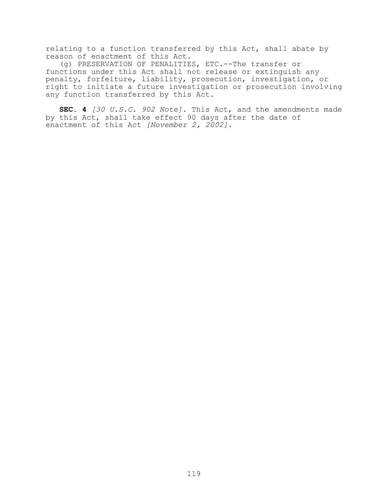relating to a function transferred by this Act, shall abate by reason of enactment of this Act.

(g) PRESERVATION OF PENALITIES, ETC.--The transfer or functions under this Act shall not release or extinguish any penalty, forfeiture, liability, prosecution, investigation, or right to initiate a future investigation or prosecution involving any function transferred by this Act.

**SEC. 4** *[30 U.S.C. 902 Note]***.** This Act, and the amendments made by this Act, shall take effect 90 days after the date of enactment of this Act *[November 2, 2002]*.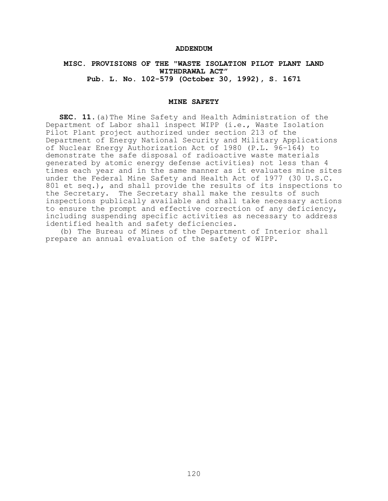# **MISC. PROVISIONS OF THE "WASTE ISOLATION PILOT PLANT LAND WITHDRAWAL ACT" Pub. L. No. 102-579 (October 30, 1992), S. 1671**

# **MINE SAFETY**

**SEC. 11.**(a)The Mine Safety and Health Administration of the Department of Labor shall inspect WIPP (i.e., Waste Isolation Pilot Plant project authorized under section 213 of the Department of Energy National Security and Military Applications of Nuclear Energy Authorization Act of 1980 (P.L. 96–164) to demonstrate the safe disposal of radioactive waste materials generated by atomic energy defense activities) not less than 4 times each year and in the same manner as it evaluates mine sites under the Federal Mine Safety and Health Act of 1977 (30 U.S.C. 801 et seq.), and shall provide the results of its inspections to the Secretary. The Secretary shall make the results of such inspections publically available and shall take necessary actions to ensure the prompt and effective correction of any deficiency, including suspending specific activities as necessary to address identified health and safety deficiencies.

(b) The Bureau of Mines of the Department of Interior shall prepare an annual evaluation of the safety of WIPP.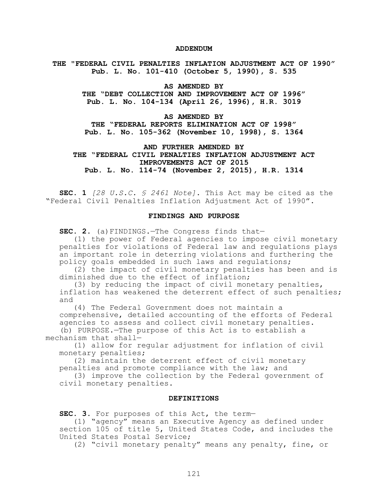**THE "FEDERAL CIVIL PENALTIES INFLATION ADJUSTMENT ACT OF 1990" Pub. L. No. 101-410 (October 5, 1990), S. 535**

> **AS AMENDED BY THE "DEBT COLLECTION AND IMPROVEMENT ACT OF 1996" Pub. L. No. 104-134 (April 26, 1996), H.R. 3019**

> **AS AMENDED BY THE "FEDERAL REPORTS ELIMINATION ACT OF 1998" Pub. L. No. 105-362 (November 10, 1998), S. 1364**

**AND FURTHER AMENDED BY THE "FEDERAL CIVIL PENALTIES INFLATION ADJUSTMENT ACT IMPROVEMENTS ACT OF 2015 Pub. L. No. 114-74 (November 2, 2015), H.R. 1314**

**SEC. 1** *[28 U.S.C. § 2461 Note]***.** This Act may be cited as the "Federal Civil Penalties Inflation Adjustment Act of 1990".

# **FINDINGS AND PURPOSE**

**SEC. 2.** (a)FINDINGS.—The Congress finds that—

(1) the power of Federal agencies to impose civil monetary penalties for violations of Federal law and regulations plays an important role in deterring violations and furthering the policy goals embedded in such laws and regulations;

(2) the impact of civil monetary penalties has been and is diminished due to the effect of inflation;

(3) by reducing the impact of civil monetary penalties, inflation has weakened the deterrent effect of such penalties; and

(4) The Federal Government does not maintain a comprehensive, detailed accounting of the efforts of Federal agencies to assess and collect civil monetary penalties.

(b) PURPOSE.—The purpose of this Act is to establish a mechanism that shall—

(1) allow for regular adjustment for inflation of civil monetary penalties;

(2) maintain the deterrent effect of civil monetary penalties and promote compliance with the law; and

(3) improve the collection by the Federal government of civil monetary penalties.

# **DEFINITIONS**

**SEC. 3.** For purposes of this Act, the term—

(1) "agency" means an Executive Agency as defined under section 105 of title 5, United States Code, and includes the United States Postal Service;

(2) "civil monetary penalty" means any penalty, fine, or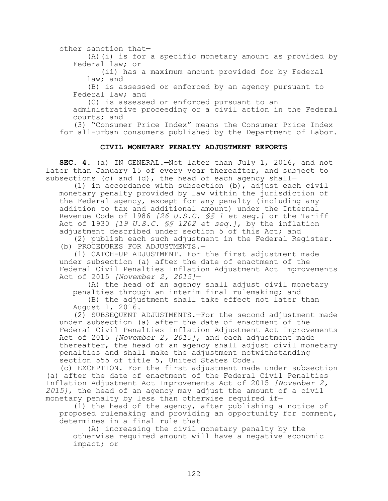other sanction that—

(A)(i) is for a specific monetary amount as provided by Federal law; or

(ii) has a maximum amount provided for by Federal law; and

(B) is assessed or enforced by an agency pursuant to Federal law; and

(C) is assessed or enforced pursuant to an

administrative proceeding or a civil action in the Federal courts; and

(3) "Consumer Price Index" means the Consumer Price Index for all-urban consumers published by the Department of Labor.

# **CIVIL MONETARY PENALTY ADJUSTMENT REPORTS**

**SEC. 4.** (a) IN GENERAL.—Not later than July 1, 2016, and not later than January 15 of every year thereafter, and subject to subsections (c) and (d), the head of each agency shall-

(1) in accordance with subsection (b), adjust each civil monetary penalty provided by law within the jurisdiction of the Federal agency, except for any penalty (including any addition to tax and additional amount) under the Internal Revenue Code of 1986 *[26 U.S.C. §§ 1 et seq.]* or the Tariff Act of 1930 *[19 U.S.C. §§ 1202 et seq.]*, by the inflation adjustment described under section 5 of this Act; and

(2) publish each such adjustment in the Federal Register. (b) PROCEDURES FOR ADJUSTMENTS.—

(1) CATCH-UP ADJUSTMENT.—For the first adjustment made under subsection (a) after the date of enactment of the Federal Civil Penalties Inflation Adjustment Act Improvements Act of 2015 *[November 2, 2015]*—

(A) the head of an agency shall adjust civil monetary penalties through an interim final rulemaking; and

(B) the adjustment shall take effect not later than August 1, 2016.

(2) SUBSEQUENT ADJUSTMENTS.—For the second adjustment made under subsection (a) after the date of enactment of the Federal Civil Penalties Inflation Adjustment Act Improvements Act of 2015 *[November 2, 2015]*, and each adjustment made thereafter, the head of an agency shall adjust civil monetary penalties and shall make the adjustment notwithstanding section 555 of title 5, United States Code.

(c) EXCEPTION.—For the first adjustment made under subsection (a) after the date of enactment of the Federal Civil Penalties Inflation Adjustment Act Improvements Act of 2015 *[November 2, 2015]*, the head of an agency may adjust the amount of a civil monetary penalty by less than otherwise required if—

(1) the head of the agency, after publishing a notice of proposed rulemaking and providing an opportunity for comment, determines in a final rule that—

(A) increasing the civil monetary penalty by the otherwise required amount will have a negative economic impact; or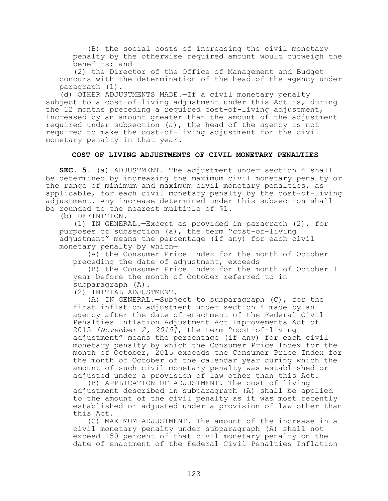(B) the social costs of increasing the civil monetary penalty by the otherwise required amount would outweigh the benefits; and

(2) the Director of the Office of Management and Budget concurs with the determination of the head of the agency under paragraph (1).

(d) OTHER ADJUSTMENTS MADE.—If a civil monetary penalty subject to a cost-of-living adjustment under this Act is, during the 12 months preceding a required cost-of-living adjustment, increased by an amount greater than the amount of the adjustment required under subsection (a), the head of the agency is not required to make the cost-of-living adjustment for the civil monetary penalty in that year.

## **COST OF LIVING ADJUSTMENTS OF CIVIL MONETARY PENALTIES**

**SEC. 5.** (a) ADJUSTMENT.—The adjustment under section 4 shall be determined by increasing the maximum civil monetary penalty or the range of minimum and maximum civil monetary penalties, as applicable, for each civil monetary penalty by the cost-of-living adjustment. Any increase determined under this subsection shall be rounded to the nearest multiple of \$1.

(b) DEFINITION.—

(1) IN GENERAL.—Except as provided in paragraph (2), for purposes of subsection (a), the term "cost-of-living adjustment" means the percentage (if any) for each civil monetary penalty by which—

(A) the Consumer Price Index for the month of October preceding the date of adjustment, exceeds

(B) the Consumer Price Index for the month of October 1 year before the month of October referred to in subparagraph (A).

(2) INITIAL ADJUSTMENT.—

(A) IN GENERAL.—Subject to subparagraph (C), for the first inflation adjustment under section 4 made by an agency after the date of enactment of the Federal Civil Penalties Inflation Adjustment Act Improvements Act of 2015 *[November 2, 2015]*, the term "cost-of-living adjustment" means the percentage (if any) for each civil monetary penalty by which the Consumer Price Index for the month of October, 2015 exceeds the Consumer Price Index for the month of October of the calendar year during which the amount of such civil monetary penalty was established or adjusted under a provision of law other than this Act.

(B) APPLICATION OF ADJUSTMENT.—The cost-of-living adjustment described in subparagraph (A) shall be applied to the amount of the civil penalty as it was most recently established or adjusted under a provision of law other than this Act.

(C) MAXIMUM ADJUSTMENT.—The amount of the increase in a civil monetary penalty under subparagraph (A) shall not exceed 150 percent of that civil monetary penalty on the date of enactment of the Federal Civil Penalties Inflation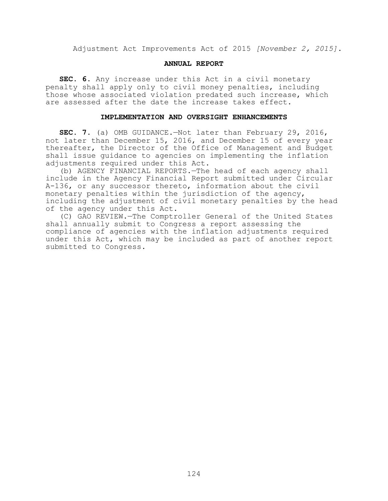Adjustment Act Improvements Act of 2015 *[November 2, 2015]*.

## **ANNUAL REPORT**

**SEC. 6**. Any increase under this Act in a civil monetary penalty shall apply only to civil money penalties, including those whose associated violation predated such increase, which are assessed after the date the increase takes effect.

## **IMPLEMENTATION AND OVERSIGHT ENHANCEMENTS**

**SEC. 7.** (a) OMB GUIDANCE.—Not later than February 29, 2016, not later than December 15, 2016, and December 15 of every year thereafter, the Director of the Office of Management and Budget shall issue guidance to agencies on implementing the inflation adjustments required under this Act.

(b) AGENCY FINANCIAL REPORTS.—The head of each agency shall include in the Agency Financial Report submitted under Circular A-136, or any successor thereto, information about the civil monetary penalties within the jurisdiction of the agency, including the adjustment of civil monetary penalties by the head of the agency under this Act.

(C) GAO REVIEW.—The Comptroller General of the United States shall annually submit to Congress a report assessing the compliance of agencies with the inflation adjustments required under this Act, which may be included as part of another report submitted to Congress.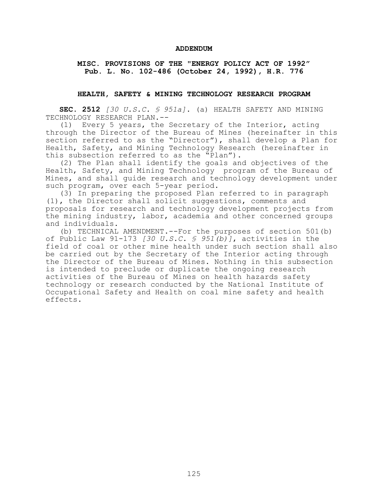# **MISC. PROVISIONS OF THE "ENERGY POLICY ACT OF 1992" Pub. L. No. 102-486 (October 24, 1992), H.R. 776**

## **HEALTH, SAFETY & MINING TECHNOLOGY RESEARCH PROGRAM**

**SEC. 2512** *[30 U.S.C. § 951a]*. (a) HEALTH SAFETY AND MINING TECHNOLOGY RESEARCH PLAN.--

(1) Every 5 years, the Secretary of the Interior, acting through the Director of the Bureau of Mines (hereinafter in this section referred to as the "Director"), shall develop a Plan for Health, Safety, and Mining Technology Research (hereinafter in this subsection referred to as the "Plan").

(2) The Plan shall identify the goals and objectives of the Health, Safety, and Mining Technology program of the Bureau of Mines, and shall guide research and technology development under such program, over each 5-year period.

(3) In preparing the proposed Plan referred to in paragraph (1), the Director shall solicit suggestions, comments and proposals for research and technology development projects from the mining industry, labor, academia and other concerned groups and individuals.

(b) TECHNICAL AMENDMENT.--For the purposes of section 501(b) of Public Law 91-173 *[30 U.S.C. § 951(b)]*, activities in the field of coal or other mine health under such section shall also be carried out by the Secretary of the Interior acting through the Director of the Bureau of Mines. Nothing in this subsection is intended to preclude or duplicate the ongoing research activities of the Bureau of Mines on health hazards safety technology or research conducted by the National Institute of Occupational Safety and Health on coal mine safety and health effects.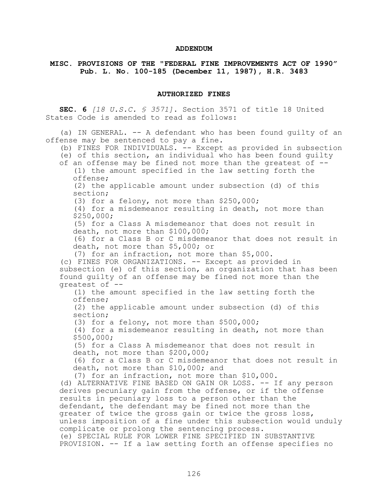# **MISC. PROVISIONS OF THE "FEDERAL FINE IMPROVEMENTS ACT OF 1990" Pub. L. No. 100-185 (December 11, 1987), H.R. 3483**

### **AUTHORIZED FINES**

**SEC. 6** *[18 U.S.C. § 3571]*. Section 3571 of title 18 United States Code is amended to read as follows:

(a) IN GENERAL. -- A defendant who has been found guilty of an offense may be sentenced to pay a fine. (b) FINES FOR INDIVIDUALS. -- Except as provided in subsection (e) of this section, an individual who has been found guilty of an offense may be fined not more than the greatest of -- (1) the amount specified in the law setting forth the offense; (2) the applicable amount under subsection (d) of this section; (3) for a felony, not more than \$250,000; (4) for a misdemeanor resulting in death, not more than \$250,000; (5) for a Class A misdemeanor that does not result in death, not more than \$100,000; (6) for a Class B or C misdemeanor that does not result in death, not more than \$5,000; or (7) for an infraction, not more than \$5,000. (c) FINES FOR ORGANIZATIONS. -- Except as provided in subsection (e) of this section, an organization that has been found guilty of an offense may be fined not more than the greatest of -- (1) the amount specified in the law setting forth the offense; (2) the applicable amount under subsection (d) of this section; (3) for a felony, not more than \$500,000; (4) for a misdemeanor resulting in death, not more than \$500,000; (5) for a Class A misdemeanor that does not result in death, not more than \$200,000; (6) for a Class B or C misdemeanor that does not result in death, not more than \$10,000; and (7) for an infraction, not more than \$10,000. (d) ALTERNATIVE FINE BASED ON GAIN OR LOSS. -- If any person derives pecuniary gain from the offense, or if the offense results in pecuniary loss to a person other than the defendant, the defendant may be fined not more than the greater of twice the gross gain or twice the gross loss, unless imposition of a fine under this subsection would unduly complicate or prolong the sentencing process. (e) SPECIAL RULE FOR LOWER FINE SPECIFIED IN SUBSTANTIVE PROVISION. -- If a law setting forth an offense specifies no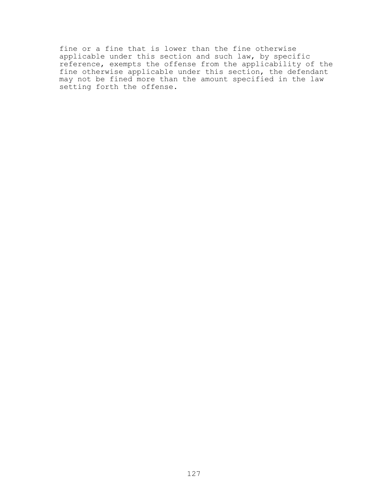fine or a fine that is lower than the fine otherwise applicable under this section and such law, by specific reference, exempts the offense from the applicability of the fine otherwise applicable under this section, the defendant may not be fined more than the amount specified in the law setting forth the offense.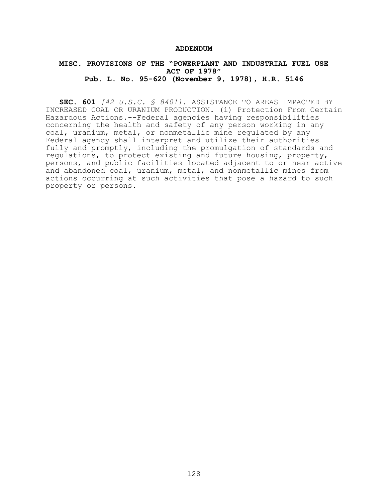# **MISC. PROVISIONS OF THE "POWERPLANT AND INDUSTRIAL FUEL USE ACT OF 1978" Pub. L. No. 95-620 (November 9, 1978), H.R. 5146**

**SEC. 601** *[42 U.S.C. § 8401]***.** ASSISTANCE TO AREAS IMPACTED BY INCREASED COAL OR URANIUM PRODUCTION. (i) Protection From Certain Hazardous Actions.--Federal agencies having responsibilities concerning the health and safety of any person working in any coal, uranium, metal, or nonmetallic mine regulated by any Federal agency shall interpret and utilize their authorities fully and promptly, including the promulgation of standards and regulations, to protect existing and future housing, property, persons, and public facilities located adjacent to or near active and abandoned coal, uranium, metal, and nonmetallic mines from actions occurring at such activities that pose a hazard to such property or persons.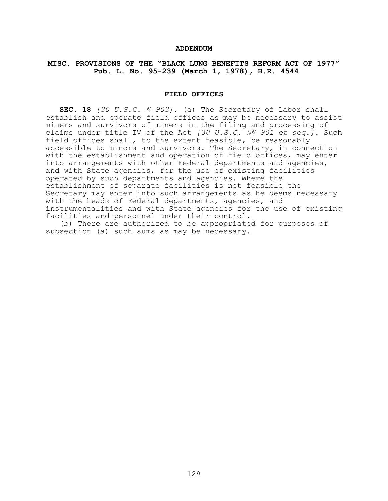# **MISC. PROVISIONS OF THE "BLACK LUNG BENEFITS REFORM ACT OF 1977" Pub. L. No. 95-239 (March 1, 1978), H.R. 4544**

# **FIELD OFFICES**

**SEC. 18** *[30 U.S.C. § 903]*. (a) The Secretary of Labor shall establish and operate field offices as may be necessary to assist miners and survivors of miners in the filing and processing of claims under title IV of the Act *[30 U.S.C. §§ 901 et seq.]*. Such field offices shall, to the extent feasible, be reasonably accessible to minors and survivors. The Secretary, in connection with the establishment and operation of field offices, may enter into arrangements with other Federal departments and agencies, and with State agencies, for the use of existing facilities operated by such departments and agencies. Where the establishment of separate facilities is not feasible the Secretary may enter into such arrangements as he deems necessary with the heads of Federal departments, agencies, and instrumentalities and with State agencies for the use of existing facilities and personnel under their control.

(b) There are authorized to be appropriated for purposes of subsection (a) such sums as may be necessary.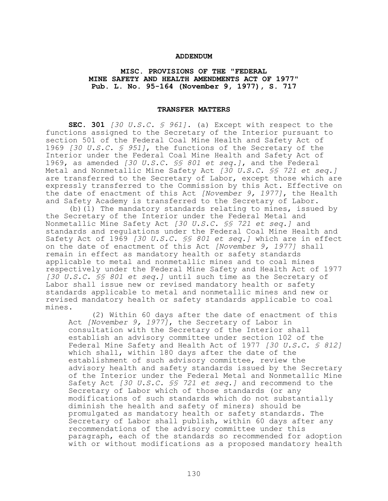**MISC. PROVISIONS OF THE "FEDERAL MINE SAFETY AND HEALTH AMENDMENTS ACT OF 1977" Pub. L. No. 95-164 (November 9, 1977), S. 717**

## **TRANSFER MATTERS**

**SEC. 301** *[30 U.S.C. § 961]*. (a) Except with respect to the functions assigned to the Secretary of the Interior pursuant to section 501 of the Federal Coal Mine Health and Safety Act of 1969 *[30 U.S.C. § 951]*, the functions of the Secretary of the Interior under the Federal Coal Mine Health and Safety Act of 1969, as amended *[30 U.S.C. §§ 801 et seq.]*, and the Federal Metal and Nonmetallic Mine Safety Act *[30 U.S.C. §§ 721 et seq.]* are transferred to the Secretary of Labor, except those which are expressly transferred to the Commission by this Act. Effective on the date of enactment of this Act *[November 9, 1977]*, the Health and Safety Academy is transferred to the Secretary of Labor.

(b)(1) The mandatory standards relating to mines, issued by the Secretary of the Interior under the Federal Metal and Nonmetallic Mine Safety Act *[30 U.S.C. §§ 721 et seq.]* and standards and regulations under the Federal Coal Mine Health and Safety Act of 1969 *[30 U.S.C. §§ 801 et seq.]* which are in effect on the date of enactment of this Act *[November 9, 1977]* shall remain in effect as mandatory health or safety standards applicable to metal and nonmetallic mines and to coal mines respectively under the Federal Mine Safety and Health Act of 1977 *[30 U.S.C. §§ 801 et seq.]* until such time as the Secretary of Labor shall issue new or revised mandatory health or safety standards applicable to metal and nonmetallic mines and new or revised mandatory health or safety standards applicable to coal mines.

(2) Within 60 days after the date of enactment of this Act *[November 9, 1977]*, the Secretary of Labor in consultation with the Secretary of the Interior shall establish an advisory committee under section 102 of the Federal Mine Safety and Health Act of 1977 *[30 U.S.C. § 812]* which shall, within 180 days after the date of the establishment of such advisory committee, review the advisory health and safety standards issued by the Secretary of the Interior under the Federal Metal and Nonmetallic Mine Safety Act *[30 U.S.C. §§ 721 et seq.]* and recommend to the Secretary of Labor which of those standards (or any modifications of such standards which do not substantially diminish the health and safety of miners) should be promulgated as mandatory health or safety standards. The Secretary of Labor shall publish, within 60 days after any recommendations of the advisory committee under this paragraph, each of the standards so recommended for adoption with or without modifications as a proposed mandatory health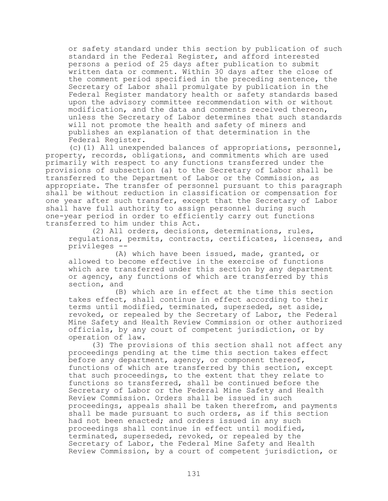or safety standard under this section by publication of such standard in the Federal Register, and afford interested persons a period of 25 days after publication to submit written data or comment. Within 30 days after the close of the comment period specified in the preceding sentence, the Secretary of Labor shall promulgate by publication in the Federal Register mandatory health or safety standards based upon the advisory committee recommendation with or without modification, and the data and comments received thereon, unless the Secretary of Labor determines that such standards will not promote the health and safety of miners and publishes an explanation of that determination in the Federal Register.

(c)(1) All unexpended balances of appropriations, personnel, property, records, obligations, and commitments which are used primarily with respect to any functions transferred under the provisions of subsection (a) to the Secretary of Labor shall be transferred to the Department of Labor or the Commission, as appropriate. The transfer of personnel pursuant to this paragraph shall be without reduction in classification or compensation for one year after such transfer, except that the Secretary of Labor shall have full authority to assign personnel during such one-year period in order to efficiently carry out functions transferred to him under this Act.

(2) All orders, decisions, determinations, rules, regulations, permits, contracts, certificates, licenses, and privileges --

(A) which have been issued, made, granted, or allowed to become effective in the exercise of functions which are transferred under this section by any department or agency, any functions of which are transferred by this section, and

(B) which are in effect at the time this section takes effect, shall continue in effect according to their terms until modified, terminated, superseded, set aside, revoked, or repealed by the Secretary of Labor, the Federal Mine Safety and Health Review Commission or other authorized officials, by any court of competent jurisdiction, or by operation of law.

(3) The provisions of this section shall not affect any proceedings pending at the time this section takes effect before any department, agency, or component thereof, functions of which are transferred by this section, except that such proceedings, to the extent that they relate to functions so transferred, shall be continued before the Secretary of Labor or the Federal Mine Safety and Health Review Commission. Orders shall be issued in such proceedings, appeals shall be taken therefrom, and payments shall be made pursuant to such orders, as if this section had not been enacted; and orders issued in any such proceedings shall continue in effect until modified, terminated, superseded, revoked, or repealed by the Secretary of Labor, the Federal Mine Safety and Health Review Commission, by a court of competent jurisdiction, or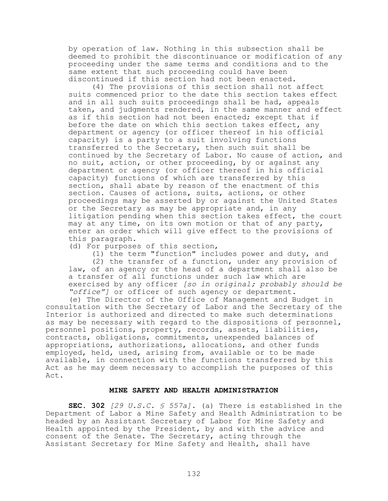by operation of law. Nothing in this subsection shall be deemed to prohibit the discontinuance or modification of any proceeding under the same terms and conditions and to the same extent that such proceeding could have been discontinued if this section had not been enacted.

(4) The provisions of this section shall not affect suits commenced prior to the date this section takes effect and in all such suits proceedings shall be had, appeals taken, and judgments rendered, in the same manner and effect as if this section had not been enacted; except that if before the date on which this section takes effect, any department or agency (or officer thereof in his official capacity) is a party to a suit involving functions transferred to the Secretary, then such suit shall be continued by the Secretary of Labor. No cause of action, and no suit, action, or other proceeding, by or against any department or agency (or officer thereof in his official capacity) functions of which are transferred by this section, shall abate by reason of the enactment of this section. Causes of actions, suits, actions, or other proceedings may be asserted by or against the United States or the Secretary as may be appropriate and, in any litigation pending when this section takes effect, the court may at any time, on its own motion or that of any party, enter an order which will give effect to the provisions of this paragraph.

(d) For purposes of this section,

(1) the term "function" includes power and duty, and

(2) the transfer of a function, under any provision of law, of an agency or the head of a department shall also be a transfer of all functions under such law which are exercised by any officer *[so in original; probably should be "office"]* or officer of such agency or department.

(e) The Director of the Office of Management and Budget in consultation with the Secretary of Labor and the Secretary of the Interior is authorized and directed to make such determinations as may be necessary with regard to the dispositions of personnel, personnel positions, property, records, assets, liabilities, contracts, obligations, commitments, unexpended balances of appropriations, authorizations, allocations, and other funds employed, held, used, arising from, available or to be made available, in connection with the functions transferred by this Act as he may deem necessary to accomplish the purposes of this Act.

## **MINE SAFETY AND HEALTH ADMINISTRATION**

**SEC. 302** *[29 U.S.C. § 557a]*. (a) There is established in the Department of Labor a Mine Safety and Health Administration to be headed by an Assistant Secretary of Labor for Mine Safety and Health appointed by the President, by and with the advice and consent of the Senate. The Secretary, acting through the Assistant Secretary for Mine Safety and Health, shall have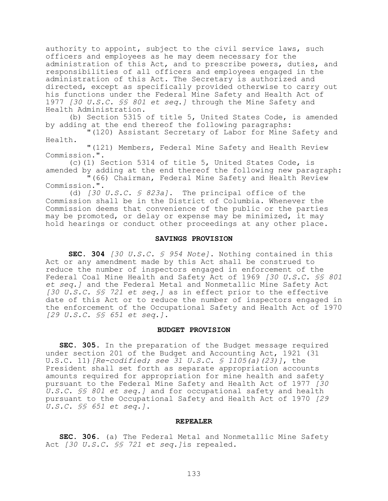authority to appoint, subject to the civil service laws, such officers and employees as he may deem necessary for the administration of this Act, and to prescribe powers, duties, and responsibilities of all officers and employees engaged in the administration of this Act. The Secretary is authorized and directed, except as specifically provided otherwise to carry out his functions under the Federal Mine Safety and Health Act of 1977 *[30 U.S.C. §§ 801 et seq.]* through the Mine Safety and Health Administration.

(b) Section 5315 of title 5, United States Code, is amended by adding at the end thereof the following paragraphs:

"(120) Assistant Secretary of Labor for Mine Safety and Health.

"(121) Members, Federal Mine Safety and Health Review Commission.".

(c)(1) Section 5314 of title 5, United States Code, is

amended by adding at the end thereof the following new paragraph: "(66) Chairman, Federal Mine Safety and Health Review Commission.".

(d) *[30 U.S.C. § 823a]***.** The principal office of the Commission shall be in the District of Columbia. Whenever the Commission deems that convenience of the public or the parties may be promoted, or delay or expense may be minimized, it may hold hearings or conduct other proceedings at any other place.

### **SAVINGS PROVISION**

**SEC. 304** *[30 U.S.C. § 954 Note]*. Nothing contained in this Act or any amendment made by this Act shall be construed to reduce the number of inspectors engaged in enforcement of the Federal Coal Mine Health and Safety Act of 1969 *[30 U.S.C. §§ 801 et seq.]* and the Federal Metal and Nonmetallic Mine Safety Act *[30 U.S.C. §§ 721 et seq.]* as in effect prior to the effective date of this Act or to reduce the number of inspectors engaged in the enforcement of the Occupational Safety and Health Act of 1970 *[29 U.S.C. §§ 651 et seq.]*.

#### **BUDGET PROVISION**

**SEC. 305**. In the preparation of the Budget message required under section 201 of the Budget and Accounting Act, 1921 (31 U.S.C. 11)*[Re-codified; see 31 U.S.C. § 1105(a)(23)]*, the President shall set forth as separate appropriation accounts amounts required for appropriation for mine health and safety pursuant to the Federal Mine Safety and Health Act of 1977 *[30 U.S.C. §§ 801 et seq.]* and for occupational safety and health pursuant to the Occupational Safety and Health Act of 1970 *[29 U.S.C. §§ 651 et seq.]*.

### **REPEALER**

**SEC. 306**. (a) The Federal Metal and Nonmetallic Mine Safety Act *[30 U.S.C. §§ 721 et seq.]*is repealed.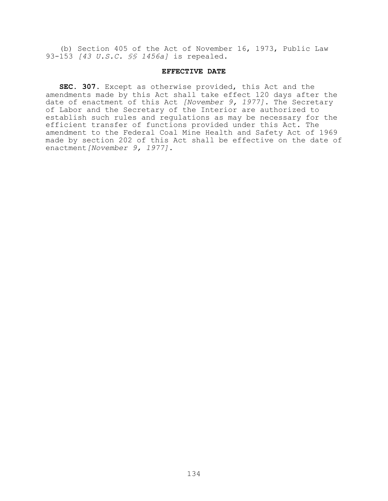(b) Section 405 of the Act of November 16, 1973, Public Law 93-153 *[43 U.S.C. §§ 1456a]* is repealed.

### **EFFECTIVE DATE**

**SEC. 307**. Except as otherwise provided, this Act and the amendments made by this Act shall take effect 120 days after the date of enactment of this Act *[November 9, 1977]*. The Secretary of Labor and the Secretary of the Interior are authorized to establish such rules and regulations as may be necessary for the efficient transfer of functions provided under this Act. The amendment to the Federal Coal Mine Health and Safety Act of 1969 made by section 202 of this Act shall be effective on the date of enactment*[November 9, 1977]*.